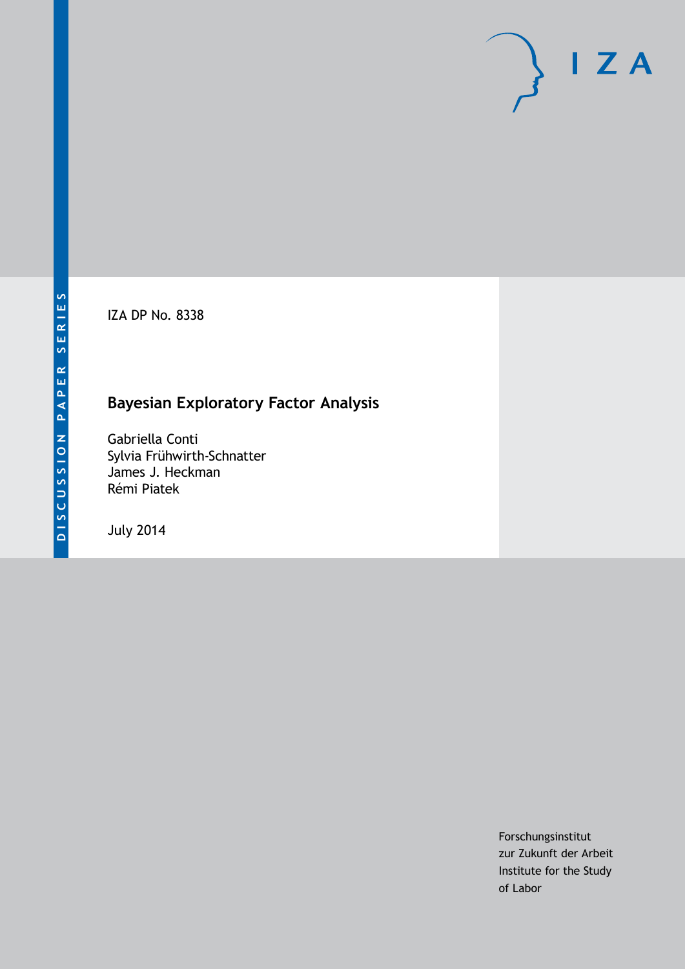IZA DP No. 8338

## **Bayesian Exploratory Factor Analysis**

Gabriella Conti Sylvia Frühwirth-Schnatter James J. Heckman Rémi Piatek

July 2014

Forschungsinstitut zur Zukunft der Arbeit Institute for the Study of Labor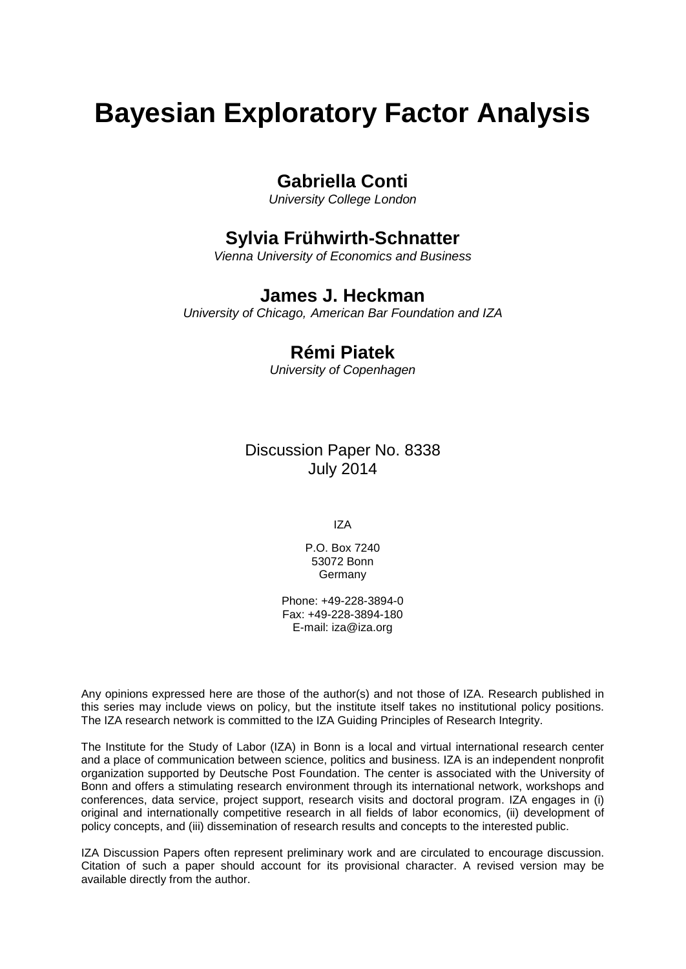# **Bayesian Exploratory Factor Analysis**

## **Gabriella Conti**

*University College London*

### **Sylvia Frühwirth-Schnatter**

*Vienna University of Economics and Business*

### **James J. Heckman**

*University of Chicago, American Bar Foundation and IZA*

## **Rémi Piatek**

*University of Copenhagen*

Discussion Paper No. 8338 July 2014

IZA

P.O. Box 7240 53072 Bonn Germany

Phone: +49-228-3894-0 Fax: +49-228-3894-180 E-mail: [iza@iza.org](mailto:iza@iza.org)

Any opinions expressed here are those of the author(s) and not those of IZA. Research published in this series may include views on policy, but the institute itself takes no institutional policy positions. The IZA research network is committed to the IZA Guiding Principles of Research Integrity.

The Institute for the Study of Labor (IZA) in Bonn is a local and virtual international research center and a place of communication between science, politics and business. IZA is an independent nonprofit organization supported by Deutsche Post Foundation. The center is associated with the University of Bonn and offers a stimulating research environment through its international network, workshops and conferences, data service, project support, research visits and doctoral program. IZA engages in (i) original and internationally competitive research in all fields of labor economics, (ii) development of policy concepts, and (iii) dissemination of research results and concepts to the interested public.

IZA Discussion Papers often represent preliminary work and are circulated to encourage discussion. Citation of such a paper should account for its provisional character. A revised version may be available directly from the author.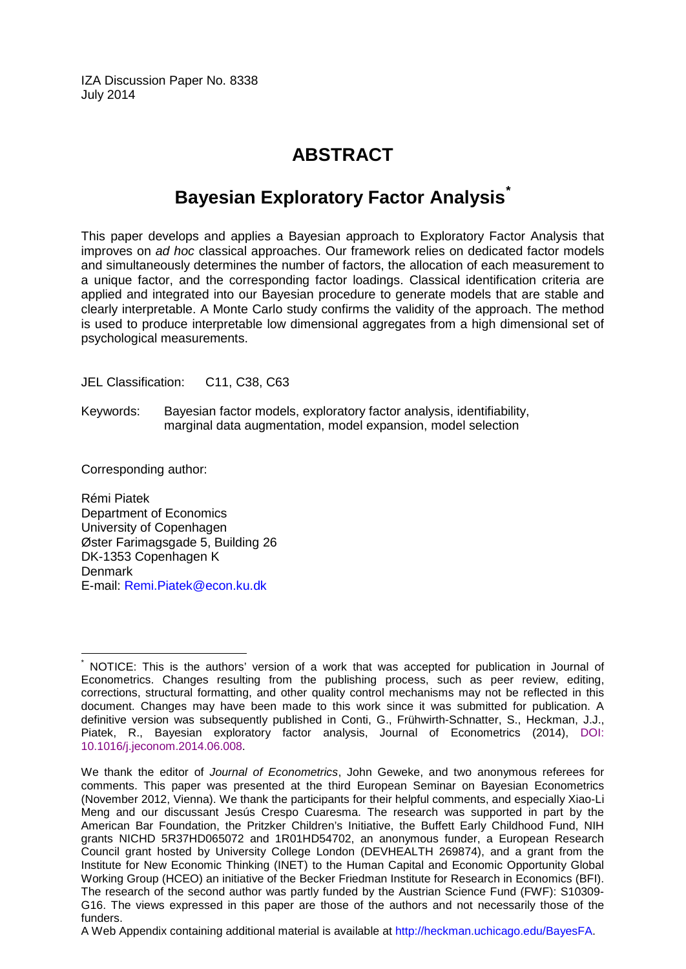IZA Discussion Paper No. 8338 July 2014

## **ABSTRACT**

## **Bayesian Exploratory Factor Analysis[\\*](#page-2-0)**

This paper develops and applies a Bayesian approach to Exploratory Factor Analysis that improves on *ad hoc* classical approaches. Our framework relies on dedicated factor models and simultaneously determines the number of factors, the allocation of each measurement to a unique factor, and the corresponding factor loadings. Classical identification criteria are applied and integrated into our Bayesian procedure to generate models that are stable and clearly interpretable. A Monte Carlo study confirms the validity of the approach. The method is used to produce interpretable low dimensional aggregates from a high dimensional set of psychological measurements.

JEL Classification: C11, C38, C63

Keywords: Bayesian factor models, exploratory factor analysis, identifiability, marginal data augmentation, model expansion, model selection

Corresponding author:

Rémi Piatek Department of Economics University of Copenhagen Øster Farimagsgade 5, Building 26 DK-1353 Copenhagen K **Denmark** E-mail: [Remi.Piatek@econ.ku.dk](mailto:Remi.Piatek@econ.ku.dk)

<span id="page-2-0"></span>NOTICE: This is the authors' version of a work that was accepted for publication in Journal of Econometrics. Changes resulting from the publishing process, such as peer review, editing, corrections, structural formatting, and other quality control mechanisms may not be reflected in this document. Changes may have been made to this work since it was submitted for publication. A definitive version was subsequently published in Conti, G., Frühwirth-Schnatter, S., Heckman, J.J., Piatek, R., Bayesian exploratory factor analysis, Journal of Econometrics (2014), [DOI:](http://dx.doi.org/10.1016/j.jeconom.2014.06.008)  [10.1016/j.jeconom.2014.06.008.](http://dx.doi.org/10.1016/j.jeconom.2014.06.008)

We thank the editor of *Journal of Econometrics*, John Geweke, and two anonymous referees for comments. This paper was presented at the third European Seminar on Bayesian Econometrics (November 2012, Vienna). We thank the participants for their helpful comments, and especially Xiao-Li Meng and our discussant Jesús Crespo Cuaresma. The research was supported in part by the American Bar Foundation, the Pritzker Children's Initiative, the Buffett Early Childhood Fund, NIH grants NICHD 5R37HD065072 and 1R01HD54702, an anonymous funder, a European Research Council grant hosted by University College London (DEVHEALTH 269874), and a grant from the Institute for New Economic Thinking (INET) to the Human Capital and Economic Opportunity Global Working Group (HCEO) an initiative of the Becker Friedman Institute for Research in Economics (BFI). The research of the second author was partly funded by the Austrian Science Fund (FWF): S10309- G16. The views expressed in this paper are those of the authors and not necessarily those of the funders.

A Web Appendix containing additional material is available at [http://heckman.uchicago.edu/BayesFA.](http://heckman.uchicago.edu/BayesFA)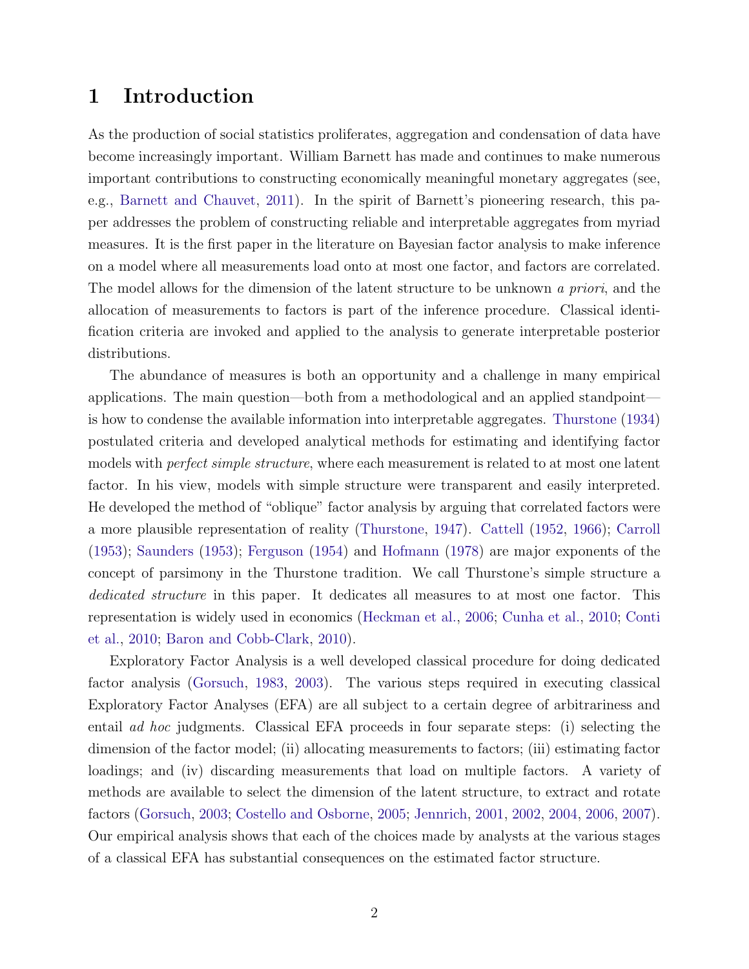### 1 Introduction

As the production of social statistics proliferates, aggregation and condensation of data have become increasingly important. William Barnett has made and continues to make numerous important contributions to constructing economically meaningful monetary aggregates (see, e.g., [Barnett and Chauvet,](#page-66-0) [2011\)](#page-66-0). In the spirit of Barnett's pioneering research, this paper addresses the problem of constructing reliable and interpretable aggregates from myriad measures. It is the first paper in the literature on Bayesian factor analysis to make inference on a model where all measurements load onto at most one factor, and factors are correlated. The model allows for the dimension of the latent structure to be unknown a priori, and the allocation of measurements to factors is part of the inference procedure. Classical identification criteria are invoked and applied to the analysis to generate interpretable posterior distributions.

The abundance of measures is both an opportunity and a challenge in many empirical applications. The main question—both from a methodological and an applied standpoint is how to condense the available information into interpretable aggregates. [Thurstone](#page-73-0) [\(1934\)](#page-73-0) postulated criteria and developed analytical methods for estimating and identifying factor models with *perfect simple structure*, where each measurement is related to at most one latent factor. In his view, models with simple structure were transparent and easily interpreted. He developed the method of "oblique" factor analysis by arguing that correlated factors were a more plausible representation of reality [\(Thurstone,](#page-73-1) [1947\)](#page-73-1). [Cattell](#page-67-0) [\(1952,](#page-67-0) [1966\)](#page-67-1); [Carroll](#page-67-2) [\(1953\)](#page-67-2); [Saunders](#page-73-2) [\(1953\)](#page-73-2); [Ferguson](#page-68-0) [\(1954\)](#page-68-0) and [Hofmann](#page-70-0) [\(1978\)](#page-70-0) are major exponents of the concept of parsimony in the Thurstone tradition. We call Thurstone's simple structure a dedicated structure in this paper. It dedicates all measures to at most one factor. This representation is widely used in economics [\(Heckman et al.,](#page-70-1) [2006;](#page-70-1) [Cunha et al.,](#page-68-1) [2010;](#page-68-1) [Conti](#page-67-3) [et al.,](#page-67-3) [2010;](#page-67-3) [Baron and Cobb-Clark,](#page-66-1) [2010\)](#page-66-1).

Exploratory Factor Analysis is a well developed classical procedure for doing dedicated factor analysis [\(Gorsuch,](#page-69-0) [1983,](#page-69-0) [2003\)](#page-69-1). The various steps required in executing classical Exploratory Factor Analyses (EFA) are all subject to a certain degree of arbitrariness and entail ad hoc judgments. Classical EFA proceeds in four separate steps: (i) selecting the dimension of the factor model; (ii) allocating measurements to factors; (iii) estimating factor loadings; and (iv) discarding measurements that load on multiple factors. A variety of methods are available to select the dimension of the latent structure, to extract and rotate factors [\(Gorsuch,](#page-69-1) [2003;](#page-69-1) [Costello and Osborne,](#page-68-2) [2005;](#page-68-2) [Jennrich,](#page-70-2) [2001,](#page-70-2) [2002,](#page-70-3) [2004,](#page-70-4) [2006,](#page-70-5) [2007\)](#page-70-6). Our empirical analysis shows that each of the choices made by analysts at the various stages of a classical EFA has substantial consequences on the estimated factor structure.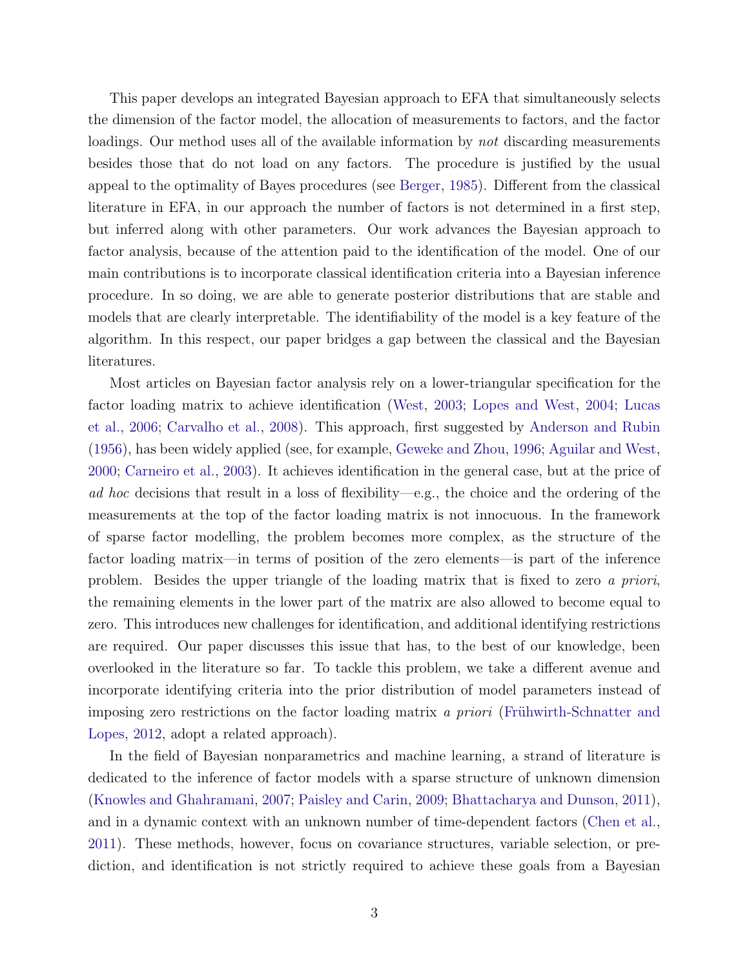This paper develops an integrated Bayesian approach to EFA that simultaneously selects the dimension of the factor model, the allocation of measurements to factors, and the factor loadings. Our method uses all of the available information by *not* discarding measurements besides those that do not load on any factors. The procedure is justified by the usual appeal to the optimality of Bayes procedures (see [Berger,](#page-66-2) [1985\)](#page-66-2). Different from the classical literature in EFA, in our approach the number of factors is not determined in a first step, but inferred along with other parameters. Our work advances the Bayesian approach to factor analysis, because of the attention paid to the identification of the model. One of our main contributions is to incorporate classical identification criteria into a Bayesian inference procedure. In so doing, we are able to generate posterior distributions that are stable and models that are clearly interpretable. The identifiability of the model is a key feature of the algorithm. In this respect, our paper bridges a gap between the classical and the Bayesian literatures.

Most articles on Bayesian factor analysis rely on a lower-triangular specification for the factor loading matrix to achieve identification [\(West,](#page-73-3) [2003;](#page-73-3) [Lopes and West,](#page-71-0) [2004;](#page-71-0) [Lucas](#page-72-0) [et al.,](#page-72-0) [2006;](#page-72-0) [Carvalho et al.,](#page-67-4) [2008\)](#page-67-4). This approach, first suggested by [Anderson and Rubin](#page-66-3) [\(1956\)](#page-66-3), has been widely applied (see, for example, [Geweke and Zhou,](#page-69-2) [1996;](#page-69-2) [Aguilar and West,](#page-66-4) [2000;](#page-66-4) [Carneiro et al.,](#page-67-5) [2003\)](#page-67-5). It achieves identification in the general case, but at the price of ad hoc decisions that result in a loss of flexibility—e.g., the choice and the ordering of the measurements at the top of the factor loading matrix is not innocuous. In the framework of sparse factor modelling, the problem becomes more complex, as the structure of the factor loading matrix—in terms of position of the zero elements—is part of the inference problem. Besides the upper triangle of the loading matrix that is fixed to zero a priori, the remaining elements in the lower part of the matrix are also allowed to become equal to zero. This introduces new challenges for identification, and additional identifying restrictions are required. Our paper discusses this issue that has, to the best of our knowledge, been overlooked in the literature so far. To tackle this problem, we take a different avenue and incorporate identifying criteria into the prior distribution of model parameters instead of imposing zero restrictions on the factor loading matrix a priori (Frühwirth-Schnatter and [Lopes,](#page-68-3) [2012,](#page-68-3) adopt a related approach).

In the field of Bayesian nonparametrics and machine learning, a strand of literature is dedicated to the inference of factor models with a sparse structure of unknown dimension [\(Knowles and Ghahramani,](#page-71-1) [2007;](#page-71-1) [Paisley and Carin,](#page-72-1) [2009;](#page-72-1) [Bhattacharya and Dunson,](#page-66-5) [2011\)](#page-66-5), and in a dynamic context with an unknown number of time-dependent factors [\(Chen et al.,](#page-67-6) [2011\)](#page-67-6). These methods, however, focus on covariance structures, variable selection, or prediction, and identification is not strictly required to achieve these goals from a Bayesian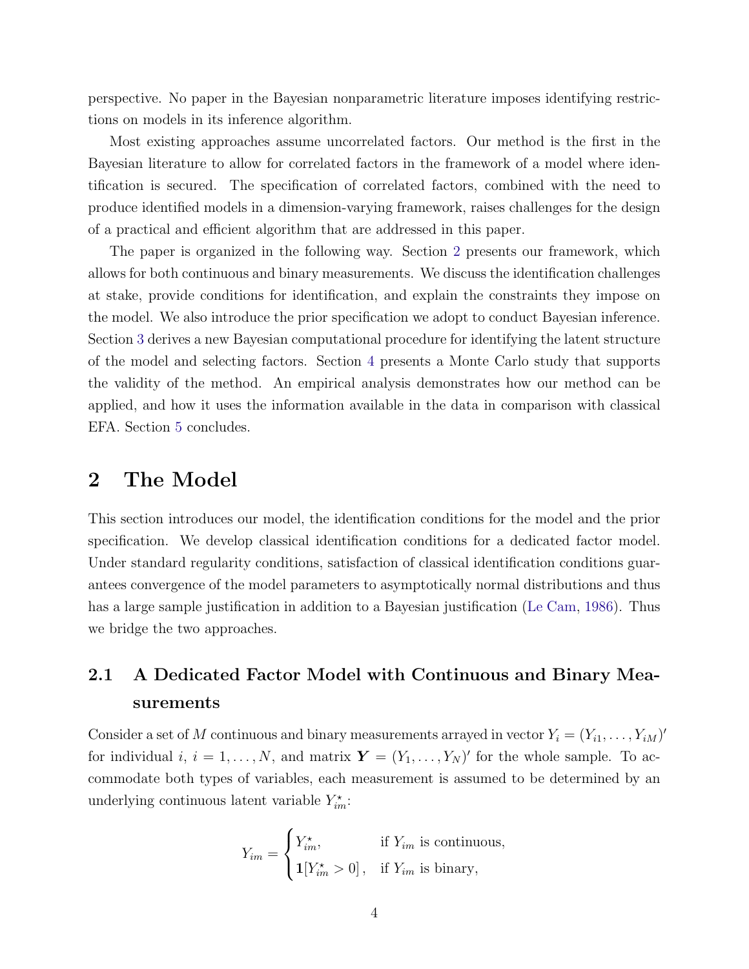perspective. No paper in the Bayesian nonparametric literature imposes identifying restrictions on models in its inference algorithm.

Most existing approaches assume uncorrelated factors. Our method is the first in the Bayesian literature to allow for correlated factors in the framework of a model where identification is secured. The specification of correlated factors, combined with the need to produce identified models in a dimension-varying framework, raises challenges for the design of a practical and efficient algorithm that are addressed in this paper.

The paper is organized in the following way. Section [2](#page-5-0) presents our framework, which allows for both continuous and binary measurements. We discuss the identification challenges at stake, provide conditions for identification, and explain the constraints they impose on the model. We also introduce the prior specification we adopt to conduct Bayesian inference. Section [3](#page-20-0) derives a new Bayesian computational procedure for identifying the latent structure of the model and selecting factors. Section [4](#page-34-0) presents a Monte Carlo study that supports the validity of the method. An empirical analysis demonstrates how our method can be applied, and how it uses the information available in the data in comparison with classical EFA. Section [5](#page-54-0) concludes.

### <span id="page-5-0"></span>2 The Model

This section introduces our model, the identification conditions for the model and the prior specification. We develop classical identification conditions for a dedicated factor model. Under standard regularity conditions, satisfaction of classical identification conditions guarantees convergence of the model parameters to asymptotically normal distributions and thus has a large sample justification in addition to a Bayesian justification [\(Le Cam,](#page-71-2) [1986\)](#page-71-2). Thus we bridge the two approaches.

## 2.1 A Dedicated Factor Model with Continuous and Binary Measurements

Consider a set of M continuous and binary measurements arrayed in vector  $Y_i = (Y_{i1}, \ldots, Y_{iM})'$ for individual i,  $i = 1, ..., N$ , and matrix  $\mathbf{Y} = (Y_1, ..., Y_N)'$  for the whole sample. To accommodate both types of variables, each measurement is assumed to be determined by an underlying continuous latent variable  $Y_{im}^{\star}$ :

$$
Y_{im} = \begin{cases} Y_{im}^{\star}, & \text{if } Y_{im} \text{ is continuous,} \\ \mathbf{1}[Y_{im}^{\star} > 0], & \text{if } Y_{im} \text{ is binary,} \end{cases}
$$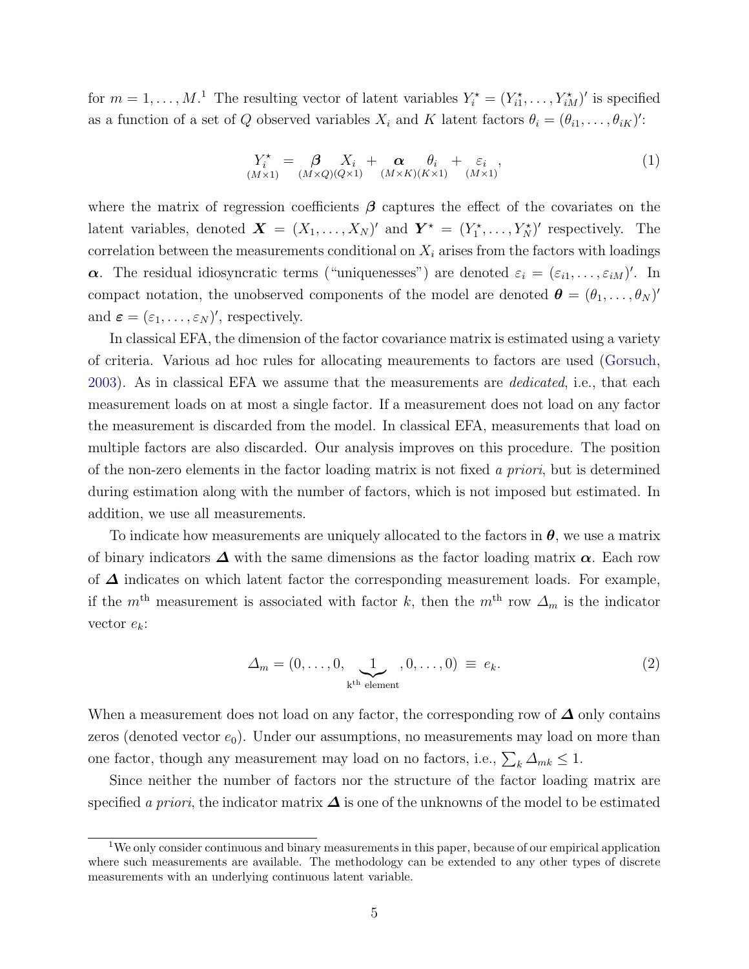for  $m = 1, \ldots, M$ .<sup>1</sup> The resulting vector of latent variables  $Y_i^* = (Y_{i1}^*, \ldots, Y_{iM}^*)'$  is specified as a function of a set of Q observed variables  $X_i$  and K latent factors  $\theta_i = (\theta_{i1}, \dots, \theta_{iK})'$ :

<span id="page-6-0"></span>
$$
Y_i^* = \mathbf{\beta} \t X_i + \mathbf{\alpha} \t \theta_i + \varepsilon_i ,
$$
  
\n
$$
(M \times 1) \t (M \times Q)(Q \times 1) \t (M \times K)(K \times 1) \t (M \times 1)
$$
\n
$$
(1)
$$

where the matrix of regression coefficients  $\beta$  captures the effect of the covariates on the latent variables, denoted  $\mathbf{X} = (X_1, \ldots, X_N)'$  and  $\mathbf{Y}^* = (Y_1^*, \ldots, Y_N^*)'$  respectively. The correlation between the measurements conditional on  $X_i$  arises from the factors with loadings  $\alpha$ . The residual idiosyncratic terms ("uniquenesses") are denoted  $\varepsilon_i = (\varepsilon_{i1}, \ldots, \varepsilon_{iM})'$ . In compact notation, the unobserved components of the model are denoted  $\boldsymbol{\theta} = (\theta_1, \dots, \theta_N)'$ and  $\boldsymbol{\varepsilon} = (\varepsilon_1, \ldots, \varepsilon_N)'$ , respectively.

In classical EFA, the dimension of the factor covariance matrix is estimated using a variety of criteria. Various ad hoc rules for allocating meaurements to factors are used [\(Gorsuch,](#page-69-1) [2003\)](#page-69-1). As in classical EFA we assume that the measurements are dedicated, i.e., that each measurement loads on at most a single factor. If a measurement does not load on any factor the measurement is discarded from the model. In classical EFA, measurements that load on multiple factors are also discarded. Our analysis improves on this procedure. The position of the non-zero elements in the factor loading matrix is not fixed a priori, but is determined during estimation along with the number of factors, which is not imposed but estimated. In addition, we use all measurements.

To indicate how measurements are uniquely allocated to the factors in  $\theta$ , we use a matrix of binary indicators  $\Delta$  with the same dimensions as the factor loading matrix  $\alpha$ . Each row of  $\Delta$  indicates on which latent factor the corresponding measurement loads. For example, if the m<sup>th</sup> measurement is associated with factor k, then the m<sup>th</sup> row  $\Delta_m$  is the indicator vector  $e_k$ :

<span id="page-6-1"></span>
$$
\Delta_m = (0, \dots, 0, \underbrace{1}_{k^{\text{th}} \text{ element}}, 0, \dots, 0) \equiv e_k. \tag{2}
$$

When a measurement does not load on any factor, the corresponding row of  $\Delta$  only contains zeros (denoted vector  $e_0$ ). Under our assumptions, no measurements may load on more than one factor, though any measurement may load on no factors, i.e.,  $\sum_{k} \Delta_{mk} \leq 1$ .

Since neither the number of factors nor the structure of the factor loading matrix are specified a priori, the indicator matrix  $\Delta$  is one of the unknowns of the model to be estimated

<sup>&</sup>lt;sup>1</sup>We only consider continuous and binary measurements in this paper, because of our empirical application where such measurements are available. The methodology can be extended to any other types of discrete measurements with an underlying continuous latent variable.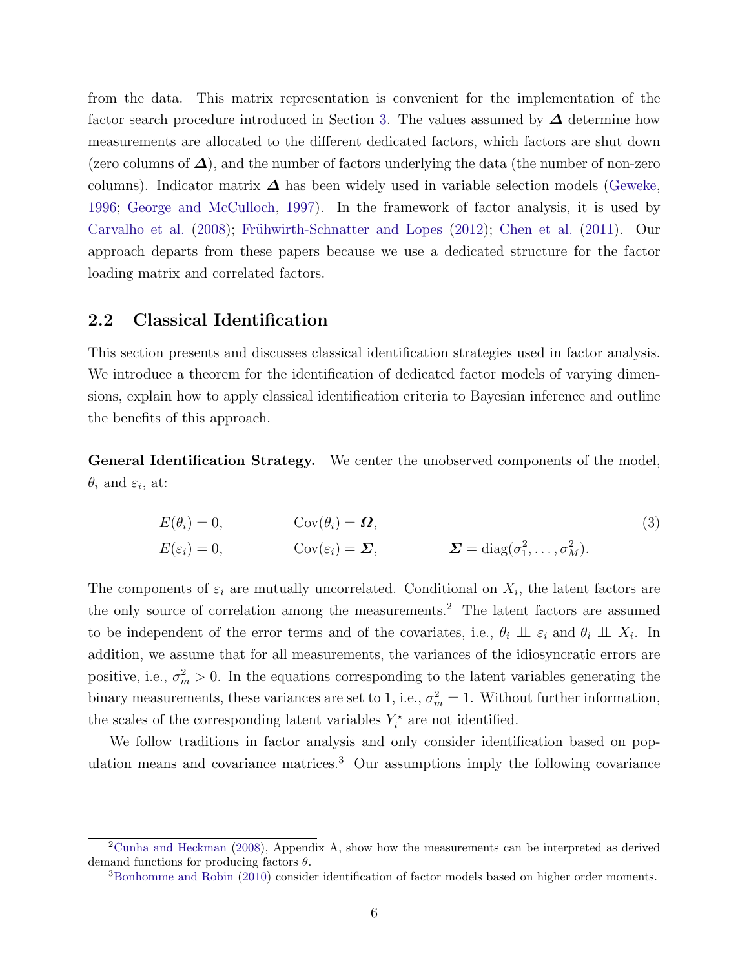from the data. This matrix representation is convenient for the implementation of the factor search procedure introduced in Section [3.](#page-20-0) The values assumed by  $\Delta$  determine how measurements are allocated to the different dedicated factors, which factors are shut down (zero columns of  $\Delta$ ), and the number of factors underlying the data (the number of non-zero columns). Indicator matrix  $\Delta$  has been widely used in variable selection models [\(Geweke,](#page-69-3) [1996;](#page-69-3) [George and McCulloch,](#page-69-4) [1997\)](#page-69-4). In the framework of factor analysis, it is used by [Carvalho et al.](#page-67-4)  $(2008)$ ; Frühwirth-Schnatter and Lopes  $(2012)$ ; [Chen et al.](#page-67-6)  $(2011)$ . Our approach departs from these papers because we use a dedicated structure for the factor loading matrix and correlated factors.

#### <span id="page-7-1"></span>2.2 Classical Identification

This section presents and discusses classical identification strategies used in factor analysis. We introduce a theorem for the identification of dedicated factor models of varying dimensions, explain how to apply classical identification criteria to Bayesian inference and outline the benefits of this approach.

General Identification Strategy. We center the unobserved components of the model,  $\theta_i$  and  $\varepsilon_i$ , at:

<span id="page-7-0"></span>
$$
E(\theta_i) = 0, \qquad \text{Cov}(\theta_i) = \Omega, \qquad (3)
$$
  

$$
E(\varepsilon_i) = 0, \qquad \text{Cov}(\varepsilon_i) = \Sigma, \qquad \Sigma = \text{diag}(\sigma_1^2, \dots, \sigma_M^2).
$$

The components of  $\varepsilon_i$  are mutually uncorrelated. Conditional on  $X_i$ , the latent factors are the only source of correlation among the measurements.<sup>2</sup> The latent factors are assumed to be independent of the error terms and of the covariates, i.e.,  $\theta_i \perp \!\!\! \perp \varepsilon_i$  and  $\theta_i \perp \!\!\! \perp X_i$ . In addition, we assume that for all measurements, the variances of the idiosyncratic errors are positive, i.e.,  $\sigma_m^2 > 0$ . In the equations corresponding to the latent variables generating the binary measurements, these variances are set to 1, i.e.,  $\sigma_m^2 = 1$ . Without further information, the scales of the corresponding latent variables  $Y_i^*$  are not identified.

We follow traditions in factor analysis and only consider identification based on population means and covariance matrices.<sup>3</sup> Our assumptions imply the following covariance

<sup>2</sup>[Cunha and Heckman](#page-68-4) [\(2008\)](#page-68-4), Appendix A, show how the measurements can be interpreted as derived demand functions for producing factors  $\theta$ .

<sup>3</sup>[Bonhomme and Robin](#page-66-6) [\(2010\)](#page-66-6) consider identification of factor models based on higher order moments.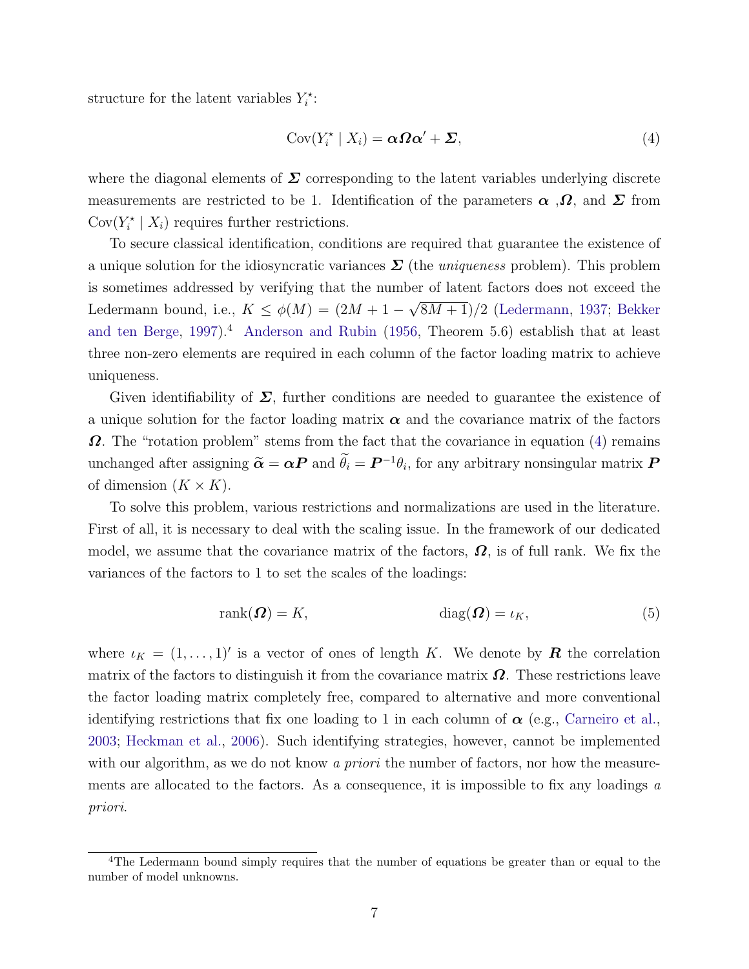structure for the latent variables  $Y_i^*$ :

<span id="page-8-0"></span>
$$
Cov(Y_i^* | X_i) = \alpha \Omega \alpha' + \Sigma,
$$
\n(4)

where the diagonal elements of  $\Sigma$  corresponding to the latent variables underlying discrete measurements are restricted to be 1. Identification of the parameters  $\alpha$ ,  $\Omega$ , and  $\Sigma$  from  $Cov(Y_i^* | X_i)$  requires further restrictions.

To secure classical identification, conditions are required that guarantee the existence of a unique solution for the idiosyncratic variances  $\Sigma$  (the *uniqueness* problem). This problem is sometimes addressed by verifying that the number of latent factors does not exceed the Ledermann bound, i.e.,  $K \leq \phi(M) = (2M + 1 -$ √  $(8M + 1)/2$  [\(Ledermann,](#page-71-3) [1937;](#page-71-3) [Bekker](#page-66-7) [and ten Berge,](#page-66-7)  $1997$ ).<sup>4</sup> [Anderson and Rubin](#page-66-3) [\(1956,](#page-66-3) Theorem 5.6) establish that at least three non-zero elements are required in each column of the factor loading matrix to achieve uniqueness.

Given identifiability of  $\Sigma$ , further conditions are needed to guarantee the existence of a unique solution for the factor loading matrix  $\alpha$  and the covariance matrix of the factors  $\Omega$ . The "rotation problem" stems from the fact that the covariance in equation [\(4\)](#page-8-0) remains unchanged after assigning  $\tilde{\alpha} = \alpha P$  and  $\tilde{\theta}_i = P^{-1}\theta_i$ , for any arbitrary nonsingular matrix  $P$ of dimension  $(K \times K)$ .

To solve this problem, various restrictions and normalizations are used in the literature. First of all, it is necessary to deal with the scaling issue. In the framework of our dedicated model, we assume that the covariance matrix of the factors,  $\Omega$ , is of full rank. We fix the variances of the factors to 1 to set the scales of the loadings:

<span id="page-8-1"></span>
$$
rank(\Omega) = K, \qquad \text{diag}(\Omega) = \iota_K,\tag{5}
$$

where  $\iota_K = (1, \ldots, 1)'$  is a vector of ones of length K. We denote by **R** the correlation matrix of the factors to distinguish it from the covariance matrix  $\Omega$ . These restrictions leave the factor loading matrix completely free, compared to alternative and more conventional identifying restrictions that fix one loading to 1 in each column of  $\alpha$  (e.g., [Carneiro et al.,](#page-67-5) [2003;](#page-67-5) [Heckman et al.,](#page-70-1) [2006\)](#page-70-1). Such identifying strategies, however, cannot be implemented with our algorithm, as we do not know a *priori* the number of factors, nor how the measurements are allocated to the factors. As a consequence, it is impossible to fix any loadings a priori.

<sup>4</sup>The Ledermann bound simply requires that the number of equations be greater than or equal to the number of model unknowns.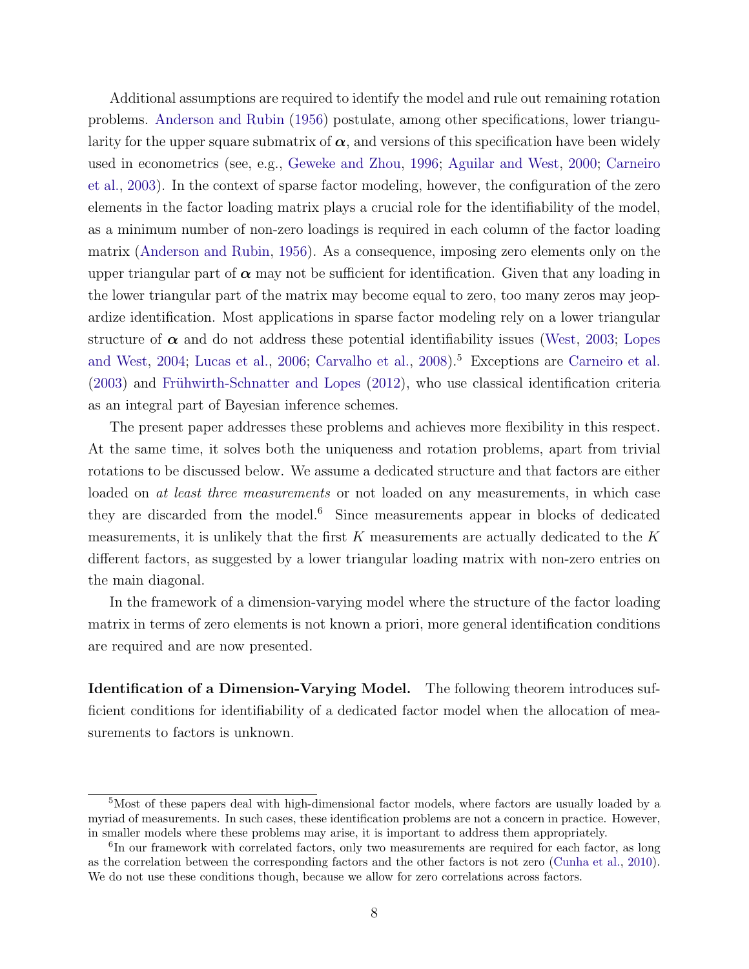Additional assumptions are required to identify the model and rule out remaining rotation problems. [Anderson and Rubin](#page-66-3) [\(1956\)](#page-66-3) postulate, among other specifications, lower triangularity for the upper square submatrix of  $\alpha$ , and versions of this specification have been widely used in econometrics (see, e.g., [Geweke and Zhou,](#page-69-2) [1996;](#page-69-2) [Aguilar and West,](#page-66-4) [2000;](#page-66-4) [Carneiro](#page-67-5) [et al.,](#page-67-5) [2003\)](#page-67-5). In the context of sparse factor modeling, however, the configuration of the zero elements in the factor loading matrix plays a crucial role for the identifiability of the model, as a minimum number of non-zero loadings is required in each column of the factor loading matrix [\(Anderson and Rubin,](#page-66-3) [1956\)](#page-66-3). As a consequence, imposing zero elements only on the upper triangular part of  $\alpha$  may not be sufficient for identification. Given that any loading in the lower triangular part of the matrix may become equal to zero, too many zeros may jeopardize identification. Most applications in sparse factor modeling rely on a lower triangular structure of  $\alpha$  and do not address these potential identifiability issues [\(West,](#page-73-3) [2003;](#page-73-3) [Lopes](#page-71-0) [and West,](#page-71-0) [2004;](#page-71-0) [Lucas et al.,](#page-72-0) [2006;](#page-72-0) [Carvalho et al.,](#page-67-4) [2008\)](#page-67-4).<sup>5</sup> Exceptions are [Carneiro et al.](#page-67-5)  $(2003)$  and Frühwirth-Schnatter and Lopes  $(2012)$ , who use classical identification criteria as an integral part of Bayesian inference schemes.

The present paper addresses these problems and achieves more flexibility in this respect. At the same time, it solves both the uniqueness and rotation problems, apart from trivial rotations to be discussed below. We assume a dedicated structure and that factors are either loaded on *at least three measurements* or not loaded on any measurements, in which case they are discarded from the model.<sup>6</sup> Since measurements appear in blocks of dedicated measurements, it is unlikely that the first  $K$  measurements are actually dedicated to the  $K$ different factors, as suggested by a lower triangular loading matrix with non-zero entries on the main diagonal.

In the framework of a dimension-varying model where the structure of the factor loading matrix in terms of zero elements is not known a priori, more general identification conditions are required and are now presented.

Identification of a Dimension-Varying Model. The following theorem introduces sufficient conditions for identifiability of a dedicated factor model when the allocation of measurements to factors is unknown.

<sup>5</sup>Most of these papers deal with high-dimensional factor models, where factors are usually loaded by a myriad of measurements. In such cases, these identification problems are not a concern in practice. However, in smaller models where these problems may arise, it is important to address them appropriately.

<sup>&</sup>lt;sup>6</sup>In our framework with correlated factors, only two measurements are required for each factor, as long as the correlation between the corresponding factors and the other factors is not zero [\(Cunha et al.,](#page-68-1) [2010\)](#page-68-1). We do not use these conditions though, because we allow for zero correlations across factors.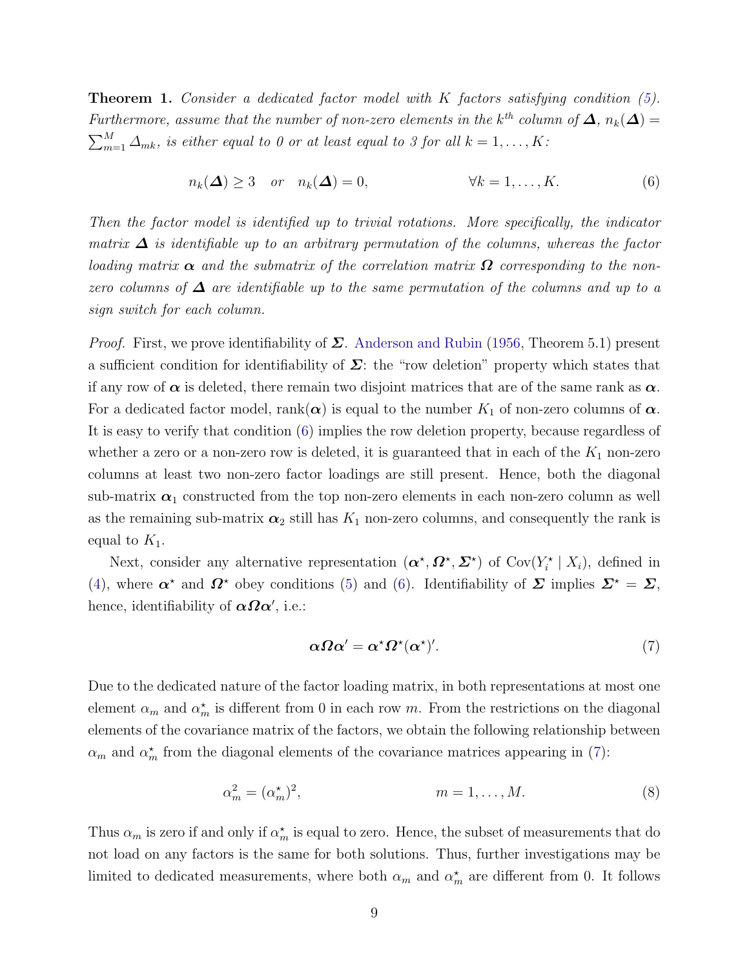<span id="page-10-3"></span>**Theorem 1.** Consider a dedicated factor model with K factors satisfying condition  $(5)$ . Furthermore, assume that the number of non-zero elements in the k<sup>th</sup> column of  $\Delta$ ,  $n_k(\Delta)$  =  $\sum_{m=1}^{M} \Delta_{mk}$ , is either equal to 0 or at least equal to 3 for all  $k = 1, \ldots, K$ :

<span id="page-10-0"></span>
$$
n_k(\Delta) \ge 3 \quad or \quad n_k(\Delta) = 0, \qquad \forall k = 1, ..., K. \tag{6}
$$

Then the factor model is identified up to trivial rotations. More specifically, the indicator matrix  $\Delta$  is identifiable up to an arbitrary permutation of the columns, whereas the factor loading matrix  $\alpha$  and the submatrix of the correlation matrix  $\Omega$  corresponding to the nonzero columns of  $\Delta$  are identifiable up to the same permutation of the columns and up to a sign switch for each column.

*Proof.* First, we prove identifiability of  $\Sigma$ . [Anderson and Rubin](#page-66-3) [\(1956,](#page-66-3) Theorem 5.1) present a sufficient condition for identifiability of  $\Sigma$ : the "row deletion" property which states that if any row of  $\alpha$  is deleted, there remain two disjoint matrices that are of the same rank as  $\alpha$ . For a dedicated factor model, rank( $\alpha$ ) is equal to the number  $K_1$  of non-zero columns of  $\alpha$ . It is easy to verify that condition [\(6\)](#page-10-0) implies the row deletion property, because regardless of whether a zero or a non-zero row is deleted, it is guaranteed that in each of the  $K_1$  non-zero columns at least two non-zero factor loadings are still present. Hence, both the diagonal sub-matrix  $\alpha_1$  constructed from the top non-zero elements in each non-zero column as well as the remaining sub-matrix  $\alpha_2$  still has  $K_1$  non-zero columns, and consequently the rank is equal to  $K_1$ .

Next, consider any alternative representation  $(\alpha^*, \Omega^*, \Sigma^*)$  of  $Cov(Y_i^* | X_i)$ , defined in [\(4\)](#page-8-0), where  $\alpha^*$  and  $\Omega^*$  obey conditions [\(5\)](#page-8-1) and [\(6\)](#page-10-0). Identifiability of  $\Sigma$  implies  $\Sigma^* = \Sigma$ , hence, identifiability of  $\alpha \Omega \alpha'$ , i.e.:

<span id="page-10-2"></span><span id="page-10-1"></span>
$$
\alpha \Omega \alpha' = \alpha^* \Omega^* (\alpha^*)'. \tag{7}
$$

Due to the dedicated nature of the factor loading matrix, in both representations at most one element  $\alpha_m$  and  $\alpha_m^*$  is different from 0 in each row m. From the restrictions on the diagonal elements of the covariance matrix of the factors, we obtain the following relationship between  $\alpha_m$  and  $\alpha_m^*$  from the diagonal elements of the covariance matrices appearing in [\(7\)](#page-10-1):

$$
\alpha_m^2 = (\alpha_m^*)^2,\qquad m = 1, \dots, M. \tag{8}
$$

Thus  $\alpha_m$  is zero if and only if  $\alpha_m^*$  is equal to zero. Hence, the subset of measurements that do not load on any factors is the same for both solutions. Thus, further investigations may be limited to dedicated measurements, where both  $\alpha_m$  and  $\alpha_m^*$  are different from 0. It follows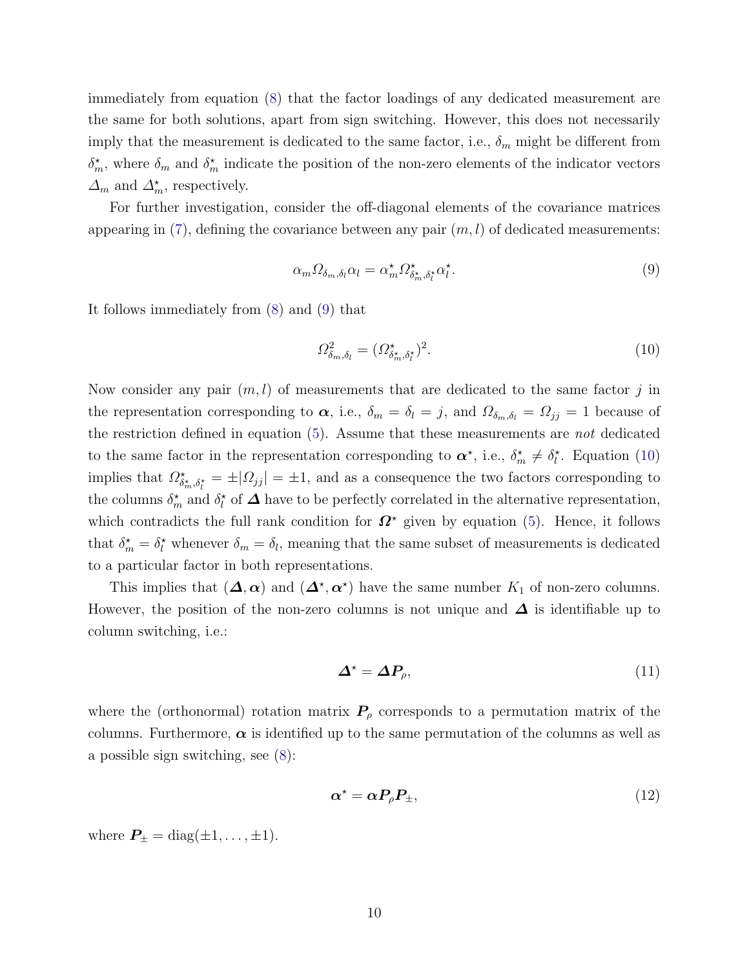immediately from equation [\(8\)](#page-10-2) that the factor loadings of any dedicated measurement are the same for both solutions, apart from sign switching. However, this does not necessarily imply that the measurement is dedicated to the same factor, i.e.,  $\delta_m$  might be different from  $\delta_m^*$ , where  $\delta_m$  and  $\delta_m^*$  indicate the position of the non-zero elements of the indicator vectors  $\Delta_m$  and  $\Delta_m^*$ , respectively.

For further investigation, consider the off-diagonal elements of the covariance matrices appearing in  $(7)$ , defining the covariance between any pair  $(m, l)$  of dedicated measurements:

$$
\alpha_m \Omega_{\delta_m, \delta_l} \alpha_l = \alpha_m^* \Omega_{\delta_m^*, \delta_l^*}^* \alpha_l^*.
$$
\n<sup>(9)</sup>

It follows immediately from [\(8\)](#page-10-2) and [\(9\)](#page-11-0) that

<span id="page-11-1"></span><span id="page-11-0"></span>
$$
\Omega_{\delta_m,\delta_l}^2 = (\Omega_{\delta_m^*,\delta_l^*}^*)^2. \tag{10}
$$

Now consider any pair  $(m, l)$  of measurements that are dedicated to the same factor j in the representation corresponding to  $\alpha$ , i.e.,  $\delta_m = \delta_l = j$ , and  $\Omega_{\delta_m,\delta_l} = \Omega_{jj} = 1$  because of the restriction defined in equation [\(5\)](#page-8-1). Assume that these measurements are not dedicated to the same factor in the representation corresponding to  $\alpha^*$ , i.e.,  $\delta_m^* \neq \delta_l^*$ . Equation [\(10\)](#page-11-1) implies that  $\Omega^*_{\delta^*_{m},\delta^*_{l}} = \pm |Q_{jj}| = \pm 1$ , and as a consequence the two factors corresponding to the columns  $\delta_m^*$  and  $\delta_l^*$  of  $\Delta$  have to be perfectly correlated in the alternative representation, which contradicts the full rank condition for  $\Omega^*$  given by equation [\(5\)](#page-8-1). Hence, it follows that  $\delta_m^* = \delta_l^*$  whenever  $\delta_m = \delta_l$ , meaning that the same subset of measurements is dedicated to a particular factor in both representations.

This implies that  $(\Delta, \alpha)$  and  $(\Delta^*, \alpha^*)$  have the same number  $K_1$  of non-zero columns. However, the position of the non-zero columns is not unique and  $\Delta$  is identifiable up to column switching, i.e.:

<span id="page-11-3"></span>
$$
\Delta^* = \Delta P_\rho,\tag{11}
$$

where the (orthonormal) rotation matrix  $P_\rho$  corresponds to a permutation matrix of the columns. Furthermore,  $\alpha$  is identified up to the same permutation of the columns as well as a possible sign switching, see [\(8\)](#page-10-2):

<span id="page-11-2"></span>
$$
\alpha^* = \alpha P_{\rho} P_{\pm},\tag{12}
$$

where  $P_{\pm} = \text{diag}(\pm 1, \ldots, \pm 1)$ .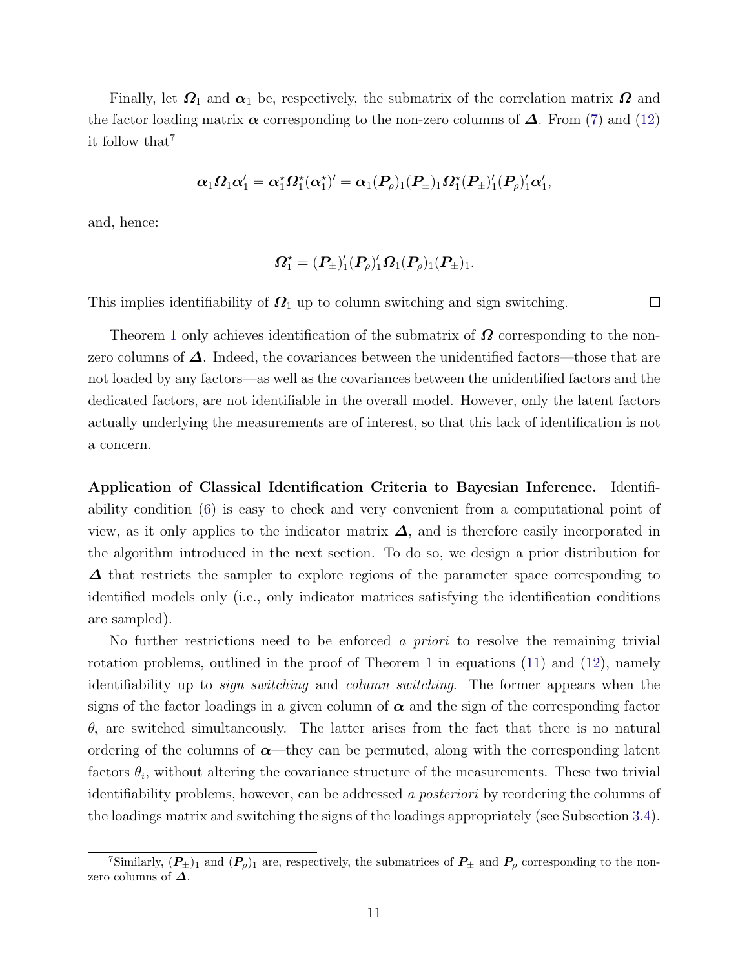Finally, let  $\Omega_1$  and  $\alpha_1$  be, respectively, the submatrix of the correlation matrix  $\Omega$  and the factor loading matrix  $\alpha$  corresponding to the non-zero columns of  $\Delta$ . From [\(7\)](#page-10-1) and [\(12\)](#page-11-2) it follow that<sup>7</sup>

$$
\boldsymbol{\alpha}_1\boldsymbol{\varOmega}_1\boldsymbol{\alpha}_1^\prime=\boldsymbol{\alpha}_1^\star\boldsymbol{\varOmega}_1^\star(\boldsymbol{\alpha}_1^\star)'=\boldsymbol{\alpha}_1(\boldsymbol{P}_{\!\rho})_1(\boldsymbol{P}_{\!\pm})_1\boldsymbol{\varOmega}_1^\star(\boldsymbol{P}_{\!\pm})_1^\prime(\boldsymbol{P}_{\!\rho})_1^\prime\boldsymbol{\alpha}_1^\prime,
$$

and, hence:

$$
\bm{\varOmega}_1^{\star} = (\bm{P}_{\!\pm})_1^{\prime} (\bm{P}_{\!\rho})_1^{\prime} \bm{\varOmega}_1 (\bm{P}_{\!\rho})_1 (\bm{P}_{\!\pm})_1.
$$

 $\Box$ 

This implies identifiability of  $\Omega_1$  up to column switching and sign switching.

Theorem [1](#page-10-3) only achieves identification of the submatrix of  $\Omega$  corresponding to the nonzero columns of ∆. Indeed, the covariances between the unidentified factors—those that are not loaded by any factors—as well as the covariances between the unidentified factors and the dedicated factors, are not identifiable in the overall model. However, only the latent factors actually underlying the measurements are of interest, so that this lack of identification is not a concern.

Application of Classical Identification Criteria to Bayesian Inference. Identifiability condition [\(6\)](#page-10-0) is easy to check and very convenient from a computational point of view, as it only applies to the indicator matrix  $\Delta$ , and is therefore easily incorporated in the algorithm introduced in the next section. To do so, we design a prior distribution for ∆ that restricts the sampler to explore regions of the parameter space corresponding to identified models only (i.e., only indicator matrices satisfying the identification conditions are sampled).

No further restrictions need to be enforced *a priori* to resolve the remaining trivial rotation problems, outlined in the proof of Theorem [1](#page-10-3) in equations  $(11)$  and  $(12)$ , namely identifiability up to sign switching and column switching. The former appears when the signs of the factor loadings in a given column of  $\alpha$  and the sign of the corresponding factor  $\theta_i$  are switched simultaneously. The latter arises from the fact that there is no natural ordering of the columns of  $\alpha$ —they can be permuted, along with the corresponding latent factors  $\theta_i$ , without altering the covariance structure of the measurements. These two trivial identifiability problems, however, can be addressed a posteriori by reordering the columns of the loadings matrix and switching the signs of the loadings appropriately (see Subsection [3.4\)](#page-33-0).

<sup>&</sup>lt;sup>7</sup>Similarly,  $(P_{\pm})_1$  and  $(P_{\rho})_1$  are, respectively, the submatrices of  $P_{\pm}$  and  $P_{\rho}$  corresponding to the nonzero columns of  $\Delta$ .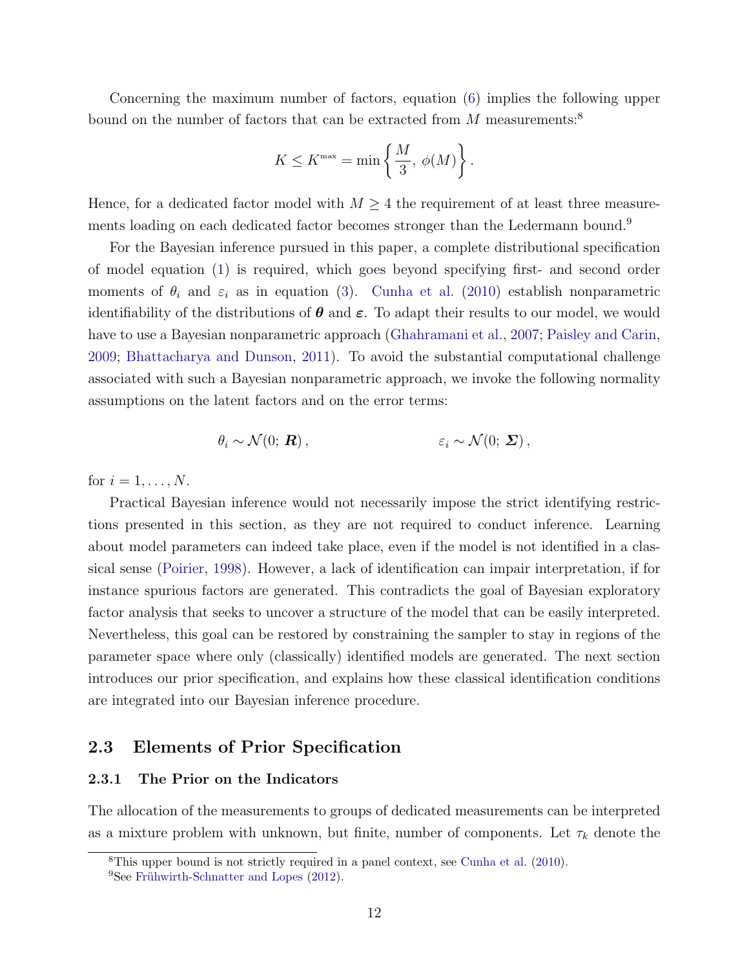Concerning the maximum number of factors, equation [\(6\)](#page-10-0) implies the following upper bound on the number of factors that can be extracted from  $M$  measurements:<sup>8</sup>

$$
K \leq K^{\max} = \min \left\{ \frac{M}{3}, \phi(M) \right\}.
$$

Hence, for a dedicated factor model with  $M \geq 4$  the requirement of at least three measurements loading on each dedicated factor becomes stronger than the Ledermann bound.<sup>9</sup>

For the Bayesian inference pursued in this paper, a complete distributional specification of model equation [\(1\)](#page-6-0) is required, which goes beyond specifying first- and second order moments of  $\theta_i$  and  $\varepsilon_i$  as in equation [\(3\)](#page-7-0). [Cunha et al.](#page-68-1) [\(2010\)](#page-68-1) establish nonparametric identifiability of the distributions of  $\theta$  and  $\varepsilon$ . To adapt their results to our model, we would have to use a Bayesian nonparametric approach [\(Ghahramani et al.,](#page-69-5) [2007;](#page-69-5) [Paisley and Carin,](#page-72-1) [2009;](#page-72-1) [Bhattacharya and Dunson,](#page-66-5) [2011\)](#page-66-5). To avoid the substantial computational challenge associated with such a Bayesian nonparametric approach, we invoke the following normality assumptions on the latent factors and on the error terms:

$$
\theta_i \sim \mathcal{N}(0; \mathbf{R}), \qquad \epsilon_i \sim \mathcal{N}(0; \mathbf{\Sigma}),
$$

for  $i = 1, \ldots, N$ .

Practical Bayesian inference would not necessarily impose the strict identifying restrictions presented in this section, as they are not required to conduct inference. Learning about model parameters can indeed take place, even if the model is not identified in a classical sense [\(Poirier,](#page-72-2) [1998\)](#page-72-2). However, a lack of identification can impair interpretation, if for instance spurious factors are generated. This contradicts the goal of Bayesian exploratory factor analysis that seeks to uncover a structure of the model that can be easily interpreted. Nevertheless, this goal can be restored by constraining the sampler to stay in regions of the parameter space where only (classically) identified models are generated. The next section introduces our prior specification, and explains how these classical identification conditions are integrated into our Bayesian inference procedure.

#### <span id="page-13-0"></span>2.3 Elements of Prior Specification

#### <span id="page-13-1"></span>2.3.1 The Prior on the Indicators

The allocation of the measurements to groups of dedicated measurements can be interpreted as a mixture problem with unknown, but finite, number of components. Let  $\tau_k$  denote the

<sup>8</sup>This upper bound is not strictly required in a panel context, see [Cunha et al.](#page-68-1) [\(2010\)](#page-68-1).

 ${}^{9}$ See Frühwirth-Schnatter and Lopes [\(2012\)](#page-68-3).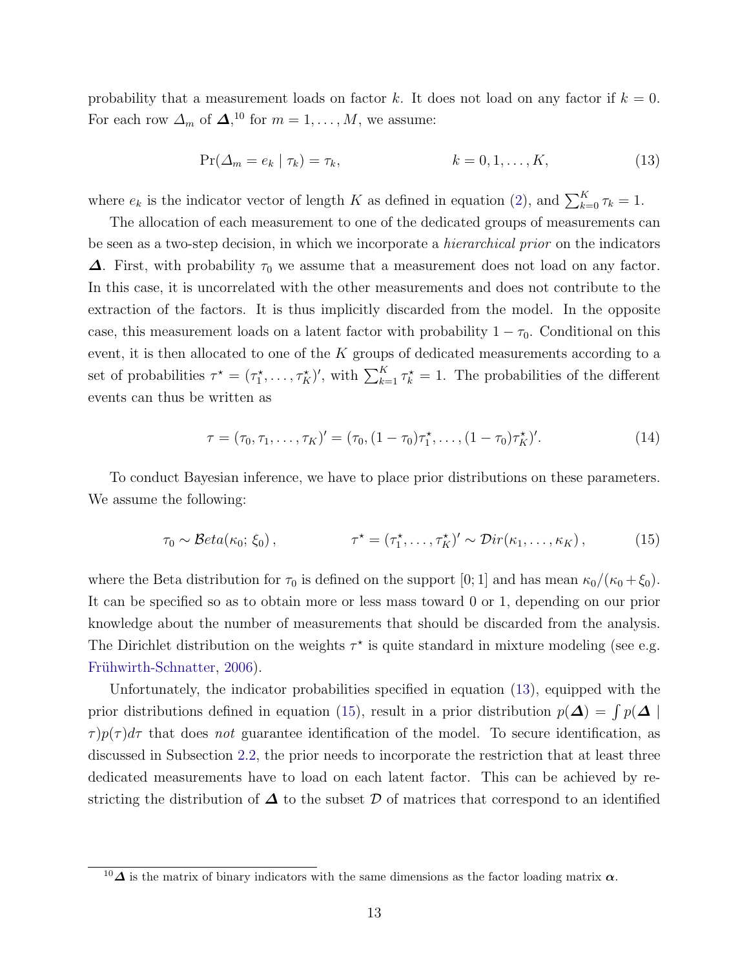probability that a measurement loads on factor k. It does not load on any factor if  $k = 0$ . For each row  $\Delta_m$  of  $\mathbf{\Delta}$ ,<sup>10</sup> for  $m = 1, \ldots, M$ , we assume:

<span id="page-14-0"></span>
$$
\Pr(\Delta_m = e_k \mid \tau_k) = \tau_k, \qquad k = 0, 1, \dots, K,
$$
\n(13)

where  $e_k$  is the indicator vector of length K as defined in equation [\(2\)](#page-6-1), and  $\sum_{k=0}^{K} \tau_k = 1$ .

The allocation of each measurement to one of the dedicated groups of measurements can be seen as a two-step decision, in which we incorporate a *hierarchical prior* on the indicators  $\Delta$ . First, with probability  $\tau_0$  we assume that a measurement does not load on any factor. In this case, it is uncorrelated with the other measurements and does not contribute to the extraction of the factors. It is thus implicitly discarded from the model. In the opposite case, this measurement loads on a latent factor with probability  $1 - \tau_0$ . Conditional on this event, it is then allocated to one of the K groups of dedicated measurements according to a set of probabilities  $\tau^* = (\tau_1^*, \ldots, \tau_K^*)'$ , with  $\sum_{k=1}^K \tau_k^* = 1$ . The probabilities of the different events can thus be written as

<span id="page-14-1"></span>
$$
\tau = (\tau_0, \tau_1, \dots, \tau_K)' = (\tau_0, (1 - \tau_0)\tau_1^*, \dots, (1 - \tau_0)\tau_K^*)'.
$$
\n(14)

To conduct Bayesian inference, we have to place prior distributions on these parameters. We assume the following:

$$
\tau_0 \sim \mathcal{B}eta(\kappa_0; \xi_0), \qquad \qquad \tau^* = (\tau_1^*, \ldots, \tau_K^*)' \sim \mathcal{D}ir(\kappa_1, \ldots, \kappa_K), \qquad (15)
$$

where the Beta distribution for  $\tau_0$  is defined on the support [0; 1] and has mean  $\kappa_0/(\kappa_0 + \xi_0)$ . It can be specified so as to obtain more or less mass toward 0 or 1, depending on our prior knowledge about the number of measurements that should be discarded from the analysis. The Dirichlet distribution on the weights  $\tau^*$  is quite standard in mixture modeling (see e.g. Frühwirth-Schnatter, [2006\)](#page-68-5).

Unfortunately, the indicator probabilities specified in equation [\(13\)](#page-14-0), equipped with the prior distributions defined in equation [\(15\)](#page-14-1), result in a prior distribution  $p(\Delta) = \int p(\Delta)$  $\tau$ ) $p(\tau) d\tau$  that does not guarantee identification of the model. To secure identification, as discussed in Subsection [2.2,](#page-7-1) the prior needs to incorporate the restriction that at least three dedicated measurements have to load on each latent factor. This can be achieved by restricting the distribution of  $\Delta$  to the subset D of matrices that correspond to an identified

 $10\Delta$  is the matrix of binary indicators with the same dimensions as the factor loading matrix  $\alpha$ .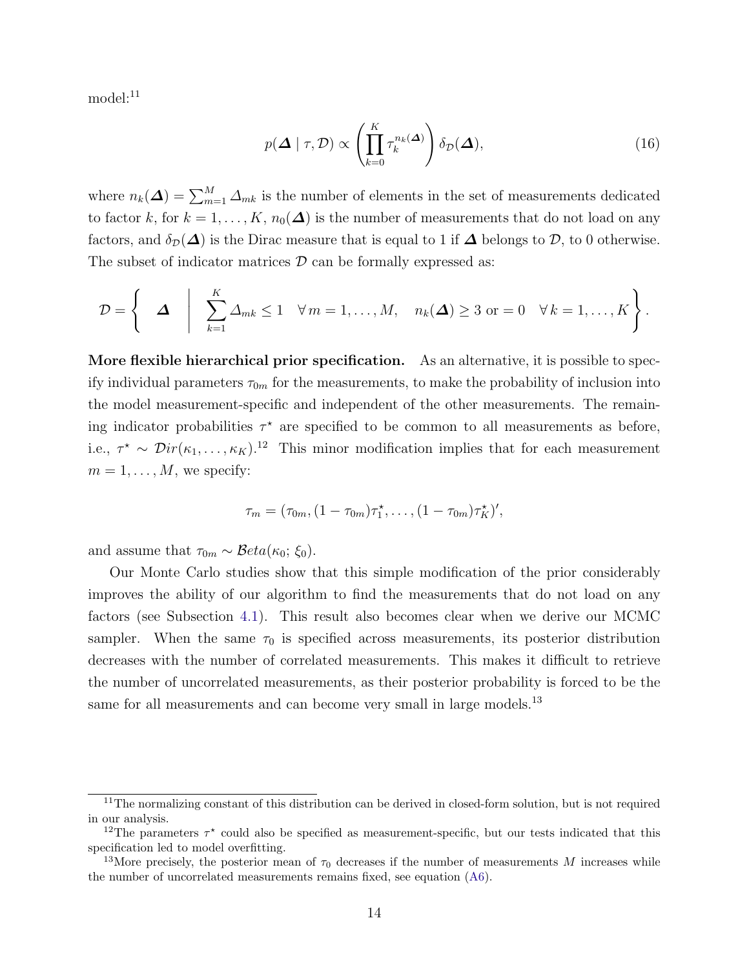$model:$ <sup>11</sup>

<span id="page-15-0"></span>
$$
p(\mathbf{\Delta} \mid \tau, \mathcal{D}) \propto \left(\prod_{k=0}^{K} \tau_k^{n_k(\mathbf{\Delta})}\right) \delta_{\mathcal{D}}(\mathbf{\Delta}), \tag{16}
$$

where  $n_k(\Delta) = \sum_{m=1}^{M} \Delta_{mk}$  is the number of elements in the set of measurements dedicated to factor k, for  $k = 1, ..., K$ ,  $n_0(\Delta)$  is the number of measurements that do not load on any factors, and  $\delta_{\mathcal{D}}(\Delta)$  is the Dirac measure that is equal to 1 if  $\Delta$  belongs to  $\mathcal{D}$ , to 0 otherwise. The subset of indicator matrices  $\mathcal D$  can be formally expressed as:

$$
\mathcal{D} = \left\{\begin{array}{c} \Delta \\ \end{array} \middle| \begin{array}{c} \sum_{k=1}^{K} \Delta_{mk} \leq 1 \quad \forall \, m = 1, \ldots, M, \quad n_k(\Delta) \geq 3 \text{ or } = 0 \quad \forall \, k = 1, \ldots, K \end{array} \right\}.
$$

More flexible hierarchical prior specification. As an alternative, it is possible to specify individual parameters  $\tau_{0m}$  for the measurements, to make the probability of inclusion into the model measurement-specific and independent of the other measurements. The remaining indicator probabilities  $\tau^*$  are specified to be common to all measurements as before, i.e.,  $\tau^* \sim Dir(\kappa_1, \ldots, \kappa_K)$ .<sup>12</sup> This minor modification implies that for each measurement  $m = 1, \ldots, M$ , we specify:

$$
\tau_m = (\tau_{0m}, (1 - \tau_{0m})\tau_1^*, \ldots, (1 - \tau_{0m})\tau_K^*)',
$$

and assume that  $\tau_{0m} \sim \mathcal{B}eta(\kappa_0; \xi_0)$ .

Our Monte Carlo studies show that this simple modification of the prior considerably improves the ability of our algorithm to find the measurements that do not load on any factors (see Subsection [4.1\)](#page-34-1). This result also becomes clear when we derive our MCMC sampler. When the same  $\tau_0$  is specified across measurements, its posterior distribution decreases with the number of correlated measurements. This makes it difficult to retrieve the number of uncorrelated measurements, as their posterior probability is forced to be the same for all measurements and can become very small in large models.<sup>13</sup>

 $11$ The normalizing constant of this distribution can be derived in closed-form solution, but is not required in our analysis.

<sup>&</sup>lt;sup>12</sup>The parameters  $\tau^*$  could also be specified as measurement-specific, but our tests indicated that this specification led to model overfitting.

<sup>&</sup>lt;sup>13</sup>More precisely, the posterior mean of  $\tau_0$  decreases if the number of measurements M increases while the number of uncorrelated measurements remains fixed, see equation [\(A6\)](#page-59-0).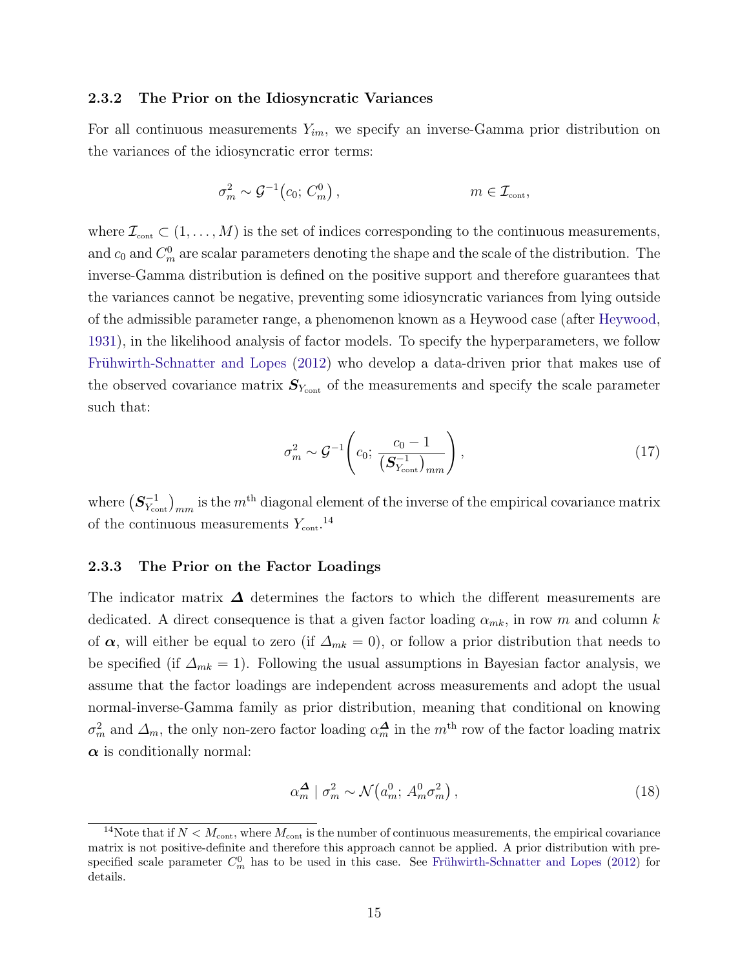#### 2.3.2 The Prior on the Idiosyncratic Variances

For all continuous measurements  $Y_{im}$ , we specify an inverse-Gamma prior distribution on the variances of the idiosyncratic error terms:

$$
\sigma_m^2 \sim \mathcal{G}^{-1}(c_0; C_m^0), \qquad m \in \mathcal{I}_{\text{cont}},
$$

where  $\mathcal{I}_{\text{cont}} \subset (1, \ldots, M)$  is the set of indices corresponding to the continuous measurements, and  $c_0$  and  $C_m^0$  are scalar parameters denoting the shape and the scale of the distribution. The inverse-Gamma distribution is defined on the positive support and therefore guarantees that the variances cannot be negative, preventing some idiosyncratic variances from lying outside of the admissible parameter range, a phenomenon known as a Heywood case (after [Heywood,](#page-70-7) [1931\)](#page-70-7), in the likelihood analysis of factor models. To specify the hyperparameters, we follow Frühwirth-Schnatter and Lopes [\(2012\)](#page-68-3) who develop a data-driven prior that makes use of the observed covariance matrix  $S_{Y_{\text{cont}}}$  of the measurements and specify the scale parameter such that:

$$
\sigma_m^2 \sim \mathcal{G}^{-1}\left(c_0; \frac{c_0 - 1}{\left(\mathcal{S}_{Y_{\text{cont}}}^{-1}\right)_{mm}}\right),\tag{17}
$$

where  $(S_{Y_{\infty}}^{-1})$  $\binom{r-1}{Y_{\text{cont}}}$  is the  $m^{\text{th}}$  diagonal element of the inverse of the empirical covariance matrix of the continuous measurements  $Y_{\text{cont}}$ <sup>14</sup>

#### 2.3.3 The Prior on the Factor Loadings

The indicator matrix  $\Delta$  determines the factors to which the different measurements are dedicated. A direct consequence is that a given factor loading  $\alpha_{mk}$ , in row m and column k of  $\alpha$ , will either be equal to zero (if  $\Delta_{mk} = 0$ ), or follow a prior distribution that needs to be specified (if  $\Delta_{mk} = 1$ ). Following the usual assumptions in Bayesian factor analysis, we assume that the factor loadings are independent across measurements and adopt the usual normal-inverse-Gamma family as prior distribution, meaning that conditional on knowing  $\sigma_m^2$  and  $\Delta_m$ , the only non-zero factor loading  $\alpha_m^{\mathbf{\Delta}}$  in the  $m^{\text{th}}$  row of the factor loading matrix  $\alpha$  is conditionally normal:

<span id="page-16-0"></span>
$$
\alpha_m^{\mathbf{A}} \mid \sigma_m^2 \sim \mathcal{N}\big(a_m^0; A_m^0 \sigma_m^2\big),\tag{18}
$$

<sup>&</sup>lt;sup>14</sup>Note that if  $N < M<sub>cont</sub>$ , where  $M<sub>cont</sub>$  is the number of continuous measurements, the empirical covariance matrix is not positive-definite and therefore this approach cannot be applied. A prior distribution with prespecified scale parameter  $C_m^0$  has to be used in this case. See Frühwirth-Schnatter and Lopes [\(2012\)](#page-68-3) for details.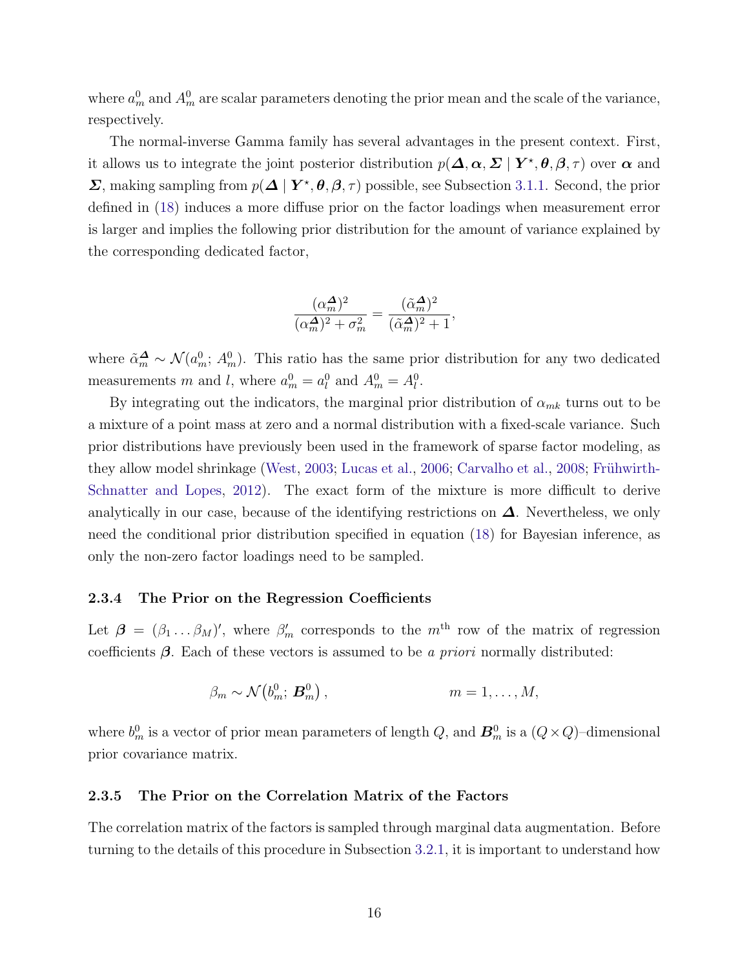where  $a_m^0$  and  $A_m^0$  are scalar parameters denoting the prior mean and the scale of the variance, respectively.

The normal-inverse Gamma family has several advantages in the present context. First, it allows us to integrate the joint posterior distribution  $p(\Delta, \alpha, \Sigma \mid Y^*, \theta, \beta, \tau)$  over  $\alpha$  and  $\Sigma$ , making sampling from  $p(\Delta | Y^*, \theta, \beta, \tau)$  possible, see Subsection [3.1.1.](#page-23-0) Second, the prior defined in [\(18\)](#page-16-0) induces a more diffuse prior on the factor loadings when measurement error is larger and implies the following prior distribution for the amount of variance explained by the corresponding dedicated factor,

$$
\frac{(\alpha_m^{\mathbf{A}})^2}{(\alpha_m^{\mathbf{A}})^2+\sigma_m^2}=\frac{(\tilde{\alpha}_m^{\mathbf{A}})^2}{(\tilde{\alpha}_m^{\mathbf{A}})^2+1},
$$

where  $\tilde{\alpha}_m^{\Delta} \sim \mathcal{N}(a_m^0; A_m^0)$ . This ratio has the same prior distribution for any two dedicated measurements m and l, where  $a_m^0 = a_l^0$  and  $A_m^0 = A_l^0$ .

By integrating out the indicators, the marginal prior distribution of  $\alpha_{mk}$  turns out to be a mixture of a point mass at zero and a normal distribution with a fixed-scale variance. Such prior distributions have previously been used in the framework of sparse factor modeling, as they allow model shrinkage [\(West,](#page-73-3) [2003;](#page-73-3) [Lucas et al.,](#page-72-0) [2006;](#page-72-0) [Carvalho et al.,](#page-67-4) [2008;](#page-67-4) Frühwirth-[Schnatter and Lopes,](#page-68-3) [2012\)](#page-68-3). The exact form of the mixture is more difficult to derive analytically in our case, because of the identifying restrictions on  $\Delta$ . Nevertheless, we only need the conditional prior distribution specified in equation [\(18\)](#page-16-0) for Bayesian inference, as only the non-zero factor loadings need to be sampled.

#### 2.3.4 The Prior on the Regression Coefficients

Let  $\beta = (\beta_1 \dots \beta_M)'$ , where  $\beta'_m$  corresponds to the m<sup>th</sup> row of the matrix of regression coefficients  $\beta$ . Each of these vectors is assumed to be a priori normally distributed:

$$
\beta_m \sim \mathcal{N}(b_m^0; \, \mathbf{B}_m^0) \,, \qquad m = 1, \ldots, M,
$$

where  $b_m^0$  is a vector of prior mean parameters of length Q, and  $\mathbf{B}_m^0$  is a  $(Q \times Q)$ -dimensional prior covariance matrix.

#### <span id="page-17-0"></span>2.3.5 The Prior on the Correlation Matrix of the Factors

The correlation matrix of the factors is sampled through marginal data augmentation. Before turning to the details of this procedure in Subsection [3.2.1,](#page-27-0) it is important to understand how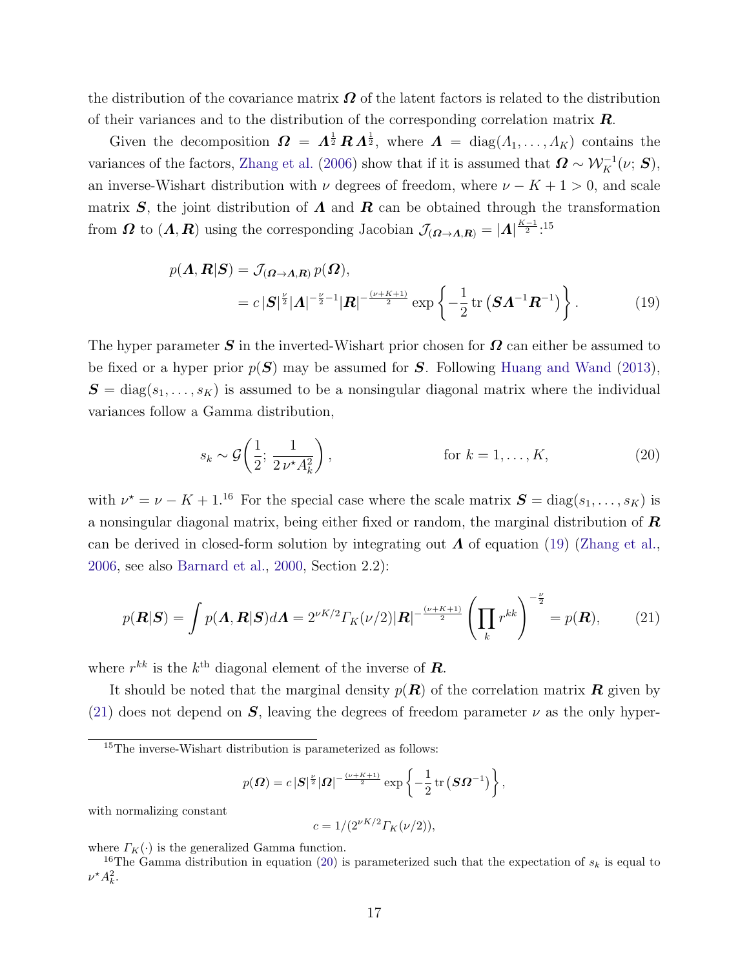the distribution of the covariance matrix  $\Omega$  of the latent factors is related to the distribution of their variances and to the distribution of the corresponding correlation matrix  $\mathbf{R}$ .

Given the decomposition  $\mathbf{\Omega} = \mathbf{\Lambda}^{\frac{1}{2}} \mathbf{R} \mathbf{\Lambda}^{\frac{1}{2}}$ , where  $\mathbf{\Lambda} = \text{diag}(\Lambda_1, \ldots, \Lambda_K)$  contains the variances of the factors, [Zhang et al.](#page-74-0) [\(2006\)](#page-74-0) show that if it is assumed that  $\mathbf{\Omega} \sim \mathcal{W}_K^{-1}(\nu; \mathbf{S}),$ an inverse-Wishart distribution with  $\nu$  degrees of freedom, where  $\nu - K + 1 > 0$ , and scale matrix S, the joint distribution of  $\Lambda$  and  $\mathbf R$  can be obtained through the transformation from  $\Omega$  to  $(A, R)$  using the corresponding Jacobian  $\mathcal{J}_{(\Omega \to A, R)} = |A|^{\frac{K-1}{2} \cdot 15}$ 

$$
p(\boldsymbol{\Lambda}, \boldsymbol{R}|\boldsymbol{S}) = \mathcal{J}_{(\boldsymbol{\Omega} \to \boldsymbol{\Lambda}, \boldsymbol{R})} p(\boldsymbol{\Omega}),
$$
  
=  $c |\boldsymbol{S}|^{\frac{\nu}{2}} |\boldsymbol{\Lambda}|^{-\frac{\nu}{2}-1} |\boldsymbol{R}|^{-\frac{(\nu + K + 1)}{2}} \exp \left\{-\frac{1}{2} \operatorname{tr} (\boldsymbol{S} \boldsymbol{\Lambda}^{-1} \boldsymbol{R}^{-1})\right\}.$  (19)

The hyper parameter S in the inverted-Wishart prior chosen for  $\Omega$  can either be assumed to be fixed or a hyper prior  $p(S)$  may be assumed for S. Following [Huang and Wand](#page-70-8) [\(2013\)](#page-70-8),  $S = diag(s_1, \ldots, s_K)$  is assumed to be a nonsingular diagonal matrix where the individual variances follow a Gamma distribution,

<span id="page-18-2"></span><span id="page-18-0"></span>
$$
s_k \sim \mathcal{G}\left(\frac{1}{2}; \frac{1}{2\nu^{\star} A_k^2}\right), \qquad \text{for } k = 1, \dots, K,
$$
 (20)

with  $\nu^* = \nu - K + 1^{16}$  For the special case where the scale matrix  $\mathbf{S} = \text{diag}(s_1, \ldots, s_K)$  is a nonsingular diagonal matrix, being either fixed or random, the marginal distribution of  $\bm{R}$ can be derived in closed-form solution by integrating out  $\Lambda$  of equation [\(19\)](#page-18-0) [\(Zhang et al.,](#page-74-0) [2006,](#page-74-0) see also [Barnard et al.,](#page-66-8) [2000,](#page-66-8) Section 2.2):

$$
p(\mathbf{R}|\mathbf{S}) = \int p(\mathbf{\Lambda}, \mathbf{R}|\mathbf{S}) d\mathbf{\Lambda} = 2^{\nu K/2} \Gamma_K(\nu/2) |\mathbf{R}|^{-\frac{(\nu + K + 1)}{2}} \left( \prod_k r^{kk} \right)^{-\frac{\nu}{2}} = p(\mathbf{R}), \tag{21}
$$

where  $r^{kk}$  is the  $k^{\text{th}}$  diagonal element of the inverse of **R**.

It should be noted that the marginal density  $p(R)$  of the correlation matrix R given by [\(21\)](#page-18-1) does not depend on S, leaving the degrees of freedom parameter  $\nu$  as the only hyper-

$$
p(\boldsymbol{\Omega}) = c |\boldsymbol{S}|^{\frac{\nu}{2}} |\boldsymbol{\Omega}|^{-\frac{(\nu + K + 1)}{2}} \exp \left\{-\frac{1}{2} \operatorname{tr} (\boldsymbol{S} \boldsymbol{\Omega}^{-1})\right\},\,
$$

with normalizing constant

<span id="page-18-1"></span>
$$
c = 1/(2^{\nu K/2} \Gamma_K(\nu/2)),
$$

where  $\Gamma_K(\cdot)$  is the generalized Gamma function.

 $15$ The inverse-Wishart distribution is parameterized as follows:

<sup>&</sup>lt;sup>16</sup>The Gamma distribution in equation [\(20\)](#page-18-2) is parameterized such that the expectation of  $s_k$  is equal to  $\nu^* A_k^2$ .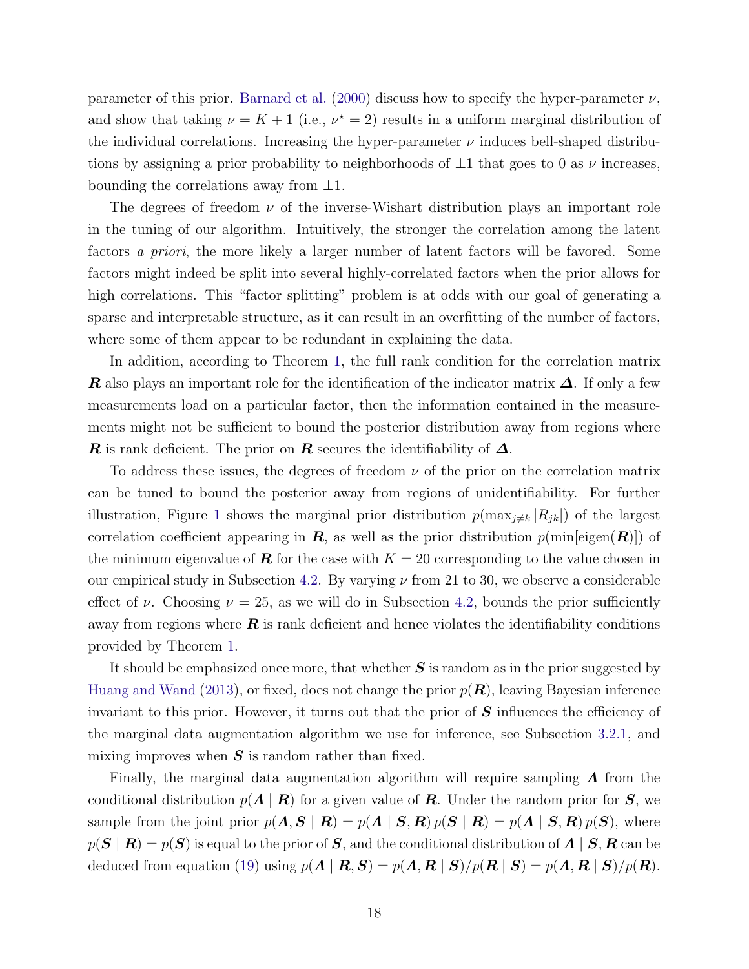parameter of this prior. [Barnard et al.](#page-66-8)  $(2000)$  discuss how to specify the hyper-parameter  $\nu$ , and show that taking  $\nu = K + 1$  (i.e.,  $\nu^* = 2$ ) results in a uniform marginal distribution of the individual correlations. Increasing the hyper-parameter  $\nu$  induces bell-shaped distributions by assigning a prior probability to neighborhoods of  $\pm 1$  that goes to 0 as  $\nu$  increases, bounding the correlations away from  $\pm 1$ .

The degrees of freedom  $\nu$  of the inverse-Wishart distribution plays an important role in the tuning of our algorithm. Intuitively, the stronger the correlation among the latent factors a priori, the more likely a larger number of latent factors will be favored. Some factors might indeed be split into several highly-correlated factors when the prior allows for high correlations. This "factor splitting" problem is at odds with our goal of generating a sparse and interpretable structure, as it can result in an overfitting of the number of factors, where some of them appear to be redundant in explaining the data.

In addition, according to Theorem [1,](#page-10-3) the full rank condition for the correlation matrix **R** also plays an important role for the identification of the indicator matrix  $\Delta$ . If only a few measurements load on a particular factor, then the information contained in the measurements might not be sufficient to bound the posterior distribution away from regions where **R** is rank deficient. The prior on **R** secures the identifiability of  $\Delta$ .

To address these issues, the degrees of freedom  $\nu$  of the prior on the correlation matrix can be tuned to bound the posterior away from regions of unidentifiability. For further illustration, Figure [1](#page-20-1) shows the marginal prior distribution  $p(\max_{j\neq k} |R_{jk}|)$  of the largest correlation coefficient appearing in  $\mathbf{R}$ , as well as the prior distribution  $p(\min[\text{eigen}(\mathbf{R})])$  of the minimum eigenvalue of **R** for the case with  $K = 20$  corresponding to the value chosen in our empirical study in Subsection [4.2.](#page-42-0) By varying  $\nu$  from 21 to 30, we observe a considerable effect of  $\nu$ . Choosing  $\nu = 25$ , as we will do in Subsection [4.2,](#page-42-0) bounds the prior sufficiently away from regions where  $\boldsymbol{R}$  is rank deficient and hence violates the identifiability conditions provided by Theorem [1.](#page-10-3)

It should be emphasized once more, that whether  $S$  is random as in the prior suggested by [Huang and Wand](#page-70-8) [\(2013\)](#page-70-8), or fixed, does not change the prior  $p(\mathbf{R})$ , leaving Bayesian inference invariant to this prior. However, it turns out that the prior of  $S$  influences the efficiency of the marginal data augmentation algorithm we use for inference, see Subsection [3.2.1,](#page-27-0) and mixing improves when  $S$  is random rather than fixed.

Finally, the marginal data augmentation algorithm will require sampling  $\Lambda$  from the conditional distribution  $p(\mathbf{\Lambda} \mid \mathbf{R})$  for a given value of **R**. Under the random prior for **S**, we sample from the joint prior  $p(A, S | R) = p(A | S, R) p(S | R) = p(A | S, R) p(S)$ , where  $p(\mathbf{S} \mid \mathbf{R}) = p(\mathbf{S})$  is equal to the prior of  $\mathbf{S}$ , and the conditional distribution of  $\mathbf{\Lambda} \mid \mathbf{S}, \mathbf{R}$  can be deduced from equation [\(19\)](#page-18-0) using  $p(A | R, S) = p(A, R | S) / p(R | S) = p(A, R | S) / p(R)$ .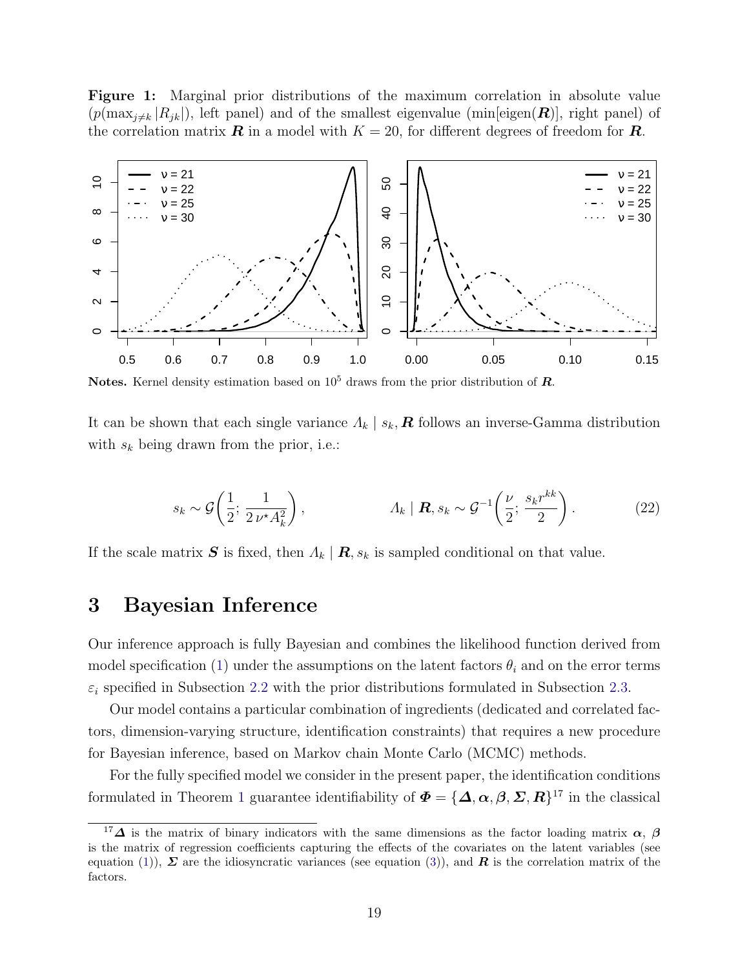<span id="page-20-1"></span>Figure 1: Marginal prior distributions of the maximum correlation in absolute value  $(p(\max_{j\neq k} |R_{jk}|),$  left panel) and of the smallest eigenvalue (min[eigen( $\mathbf{R}$ )], right panel) of the correlation matrix **R** in a model with  $K = 20$ , for different degrees of freedom for **R**.



**Notes.** Kernel density estimation based on  $10^5$  draws from the prior distribution of **R**.

It can be shown that each single variance  $\Lambda_k \mid s_k, \mathbf{R}$  follows an inverse-Gamma distribution with  $s_k$  being drawn from the prior, i.e.:

<span id="page-20-2"></span>
$$
s_k \sim \mathcal{G}\left(\frac{1}{2}; \frac{1}{2\nu^{\star} A_k^2}\right), \qquad \qquad A_k \mid \mathbf{R}, s_k \sim \mathcal{G}^{-1}\left(\frac{\nu}{2}; \frac{s_k r^{kk}}{2}\right). \tag{22}
$$

If the scale matrix S is fixed, then  $\Lambda_k \mid \mathbf{R}, s_k$  is sampled conditional on that value.

## <span id="page-20-0"></span>3 Bayesian Inference

Our inference approach is fully Bayesian and combines the likelihood function derived from model specification [\(1\)](#page-6-0) under the assumptions on the latent factors  $\theta_i$  and on the error terms  $\varepsilon_i$  specified in Subsection [2.2](#page-7-1) with the prior distributions formulated in Subsection [2.3.](#page-13-0)

Our model contains a particular combination of ingredients (dedicated and correlated factors, dimension-varying structure, identification constraints) that requires a new procedure for Bayesian inference, based on Markov chain Monte Carlo (MCMC) methods.

For the fully specified model we consider in the present paper, the identification conditions formulated in Theorem [1](#page-10-3) guarantee identifiability of  $\boldsymbol{\Phi} = \{\boldsymbol{\Delta}, \boldsymbol{\alpha}, \boldsymbol{\beta}, \boldsymbol{\Sigma}, \boldsymbol{R}\}^{17}$  in the classical

<sup>&</sup>lt;sup>17</sup> $\Delta$  is the matrix of binary indicators with the same dimensions as the factor loading matrix  $\alpha$ ,  $\beta$ is the matrix of regression coefficients capturing the effects of the covariates on the latent variables (see equation [\(1\)](#page-6-0)),  $\Sigma$  are the idiosyncratic variances (see equation [\(3\)](#page-7-0)), and  $\boldsymbol{R}$  is the correlation matrix of the factors.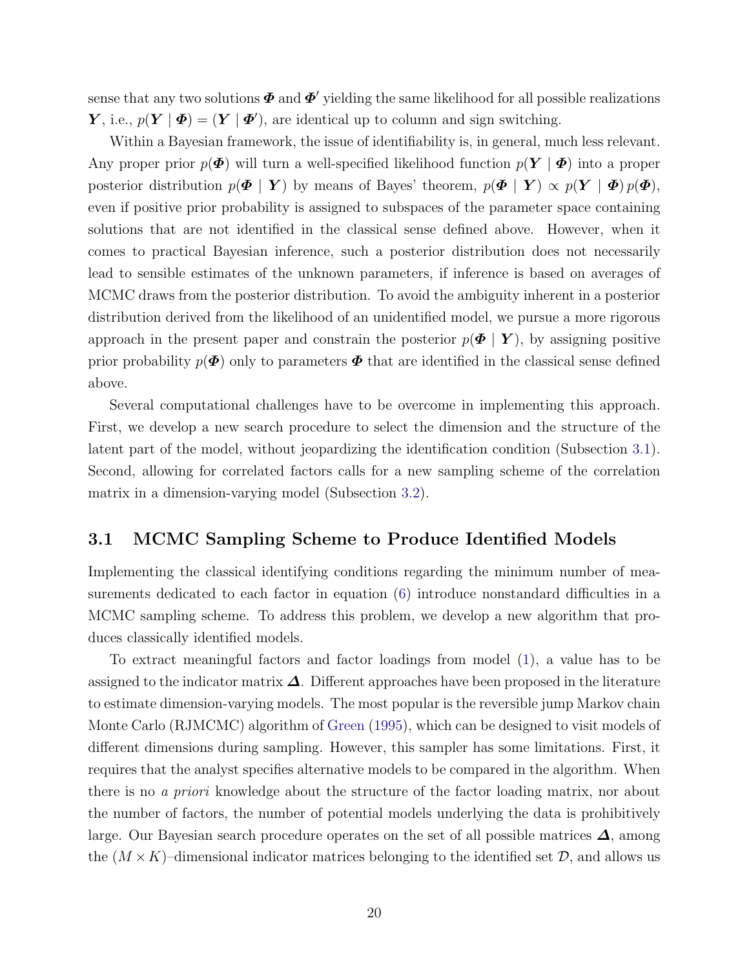sense that any two solutions  $\boldsymbol{\Phi}$  and  $\boldsymbol{\Phi}'$  yielding the same likelihood for all possible realizations  $\boldsymbol{Y}$ , i.e.,  $p(\boldsymbol{Y} | \boldsymbol{\Phi}) = (\boldsymbol{Y} | \boldsymbol{\Phi}')$ , are identical up to column and sign switching.

Within a Bayesian framework, the issue of identifiability is, in general, much less relevant. Any proper prior  $p(\mathbf{\Phi})$  will turn a well-specified likelihood function  $p(\mathbf{Y} | \mathbf{\Phi})$  into a proper posterior distribution  $p(\mathbf{\Phi} | Y)$  by means of Bayes' theorem,  $p(\mathbf{\Phi} | Y) \propto p(Y | \mathbf{\Phi}) p(\mathbf{\Phi})$ , even if positive prior probability is assigned to subspaces of the parameter space containing solutions that are not identified in the classical sense defined above. However, when it comes to practical Bayesian inference, such a posterior distribution does not necessarily lead to sensible estimates of the unknown parameters, if inference is based on averages of MCMC draws from the posterior distribution. To avoid the ambiguity inherent in a posterior distribution derived from the likelihood of an unidentified model, we pursue a more rigorous approach in the present paper and constrain the posterior  $p(\mathbf{\Phi} \mid \mathbf{Y})$ , by assigning positive prior probability  $p(\mathbf{\Phi})$  only to parameters  $\mathbf{\Phi}$  that are identified in the classical sense defined above.

Several computational challenges have to be overcome in implementing this approach. First, we develop a new search procedure to select the dimension and the structure of the latent part of the model, without jeopardizing the identification condition (Subsection [3.1\)](#page-21-0). Second, allowing for correlated factors calls for a new sampling scheme of the correlation matrix in a dimension-varying model (Subsection [3.2\)](#page-26-0).

#### <span id="page-21-0"></span>3.1 MCMC Sampling Scheme to Produce Identified Models

Implementing the classical identifying conditions regarding the minimum number of measurements dedicated to each factor in equation [\(6\)](#page-10-0) introduce nonstandard difficulties in a MCMC sampling scheme. To address this problem, we develop a new algorithm that produces classically identified models.

To extract meaningful factors and factor loadings from model [\(1\)](#page-6-0), a value has to be assigned to the indicator matrix  $\Delta$ . Different approaches have been proposed in the literature to estimate dimension-varying models. The most popular is the reversible jump Markov chain Monte Carlo (RJMCMC) algorithm of [Green](#page-69-6) [\(1995\)](#page-69-6), which can be designed to visit models of different dimensions during sampling. However, this sampler has some limitations. First, it requires that the analyst specifies alternative models to be compared in the algorithm. When there is no a priori knowledge about the structure of the factor loading matrix, nor about the number of factors, the number of potential models underlying the data is prohibitively large. Our Bayesian search procedure operates on the set of all possible matrices  $\Delta$ , among the  $(M \times K)$ –dimensional indicator matrices belonging to the identified set  $\mathcal{D}$ , and allows us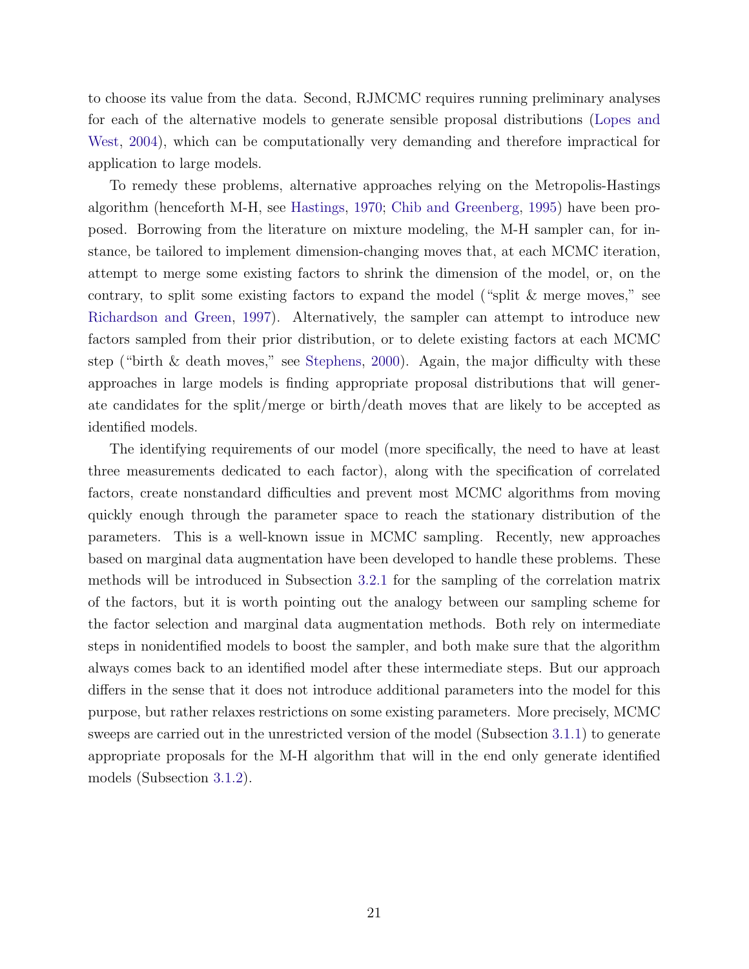to choose its value from the data. Second, RJMCMC requires running preliminary analyses for each of the alternative models to generate sensible proposal distributions [\(Lopes and](#page-71-0) [West,](#page-71-0) [2004\)](#page-71-0), which can be computationally very demanding and therefore impractical for application to large models.

To remedy these problems, alternative approaches relying on the Metropolis-Hastings algorithm (henceforth M-H, see [Hastings,](#page-69-7) [1970;](#page-69-7) [Chib and Greenberg,](#page-67-7) [1995\)](#page-67-7) have been proposed. Borrowing from the literature on mixture modeling, the M-H sampler can, for instance, be tailored to implement dimension-changing moves that, at each MCMC iteration, attempt to merge some existing factors to shrink the dimension of the model, or, on the contrary, to split some existing factors to expand the model ("split & merge moves," see [Richardson and Green,](#page-72-3) [1997\)](#page-72-3). Alternatively, the sampler can attempt to introduce new factors sampled from their prior distribution, or to delete existing factors at each MCMC step ("birth & death moves," see [Stephens,](#page-73-4) [2000\)](#page-73-4). Again, the major difficulty with these approaches in large models is finding appropriate proposal distributions that will generate candidates for the split/merge or birth/death moves that are likely to be accepted as identified models.

The identifying requirements of our model (more specifically, the need to have at least three measurements dedicated to each factor), along with the specification of correlated factors, create nonstandard difficulties and prevent most MCMC algorithms from moving quickly enough through the parameter space to reach the stationary distribution of the parameters. This is a well-known issue in MCMC sampling. Recently, new approaches based on marginal data augmentation have been developed to handle these problems. These methods will be introduced in Subsection [3.2.1](#page-27-0) for the sampling of the correlation matrix of the factors, but it is worth pointing out the analogy between our sampling scheme for the factor selection and marginal data augmentation methods. Both rely on intermediate steps in nonidentified models to boost the sampler, and both make sure that the algorithm always comes back to an identified model after these intermediate steps. But our approach differs in the sense that it does not introduce additional parameters into the model for this purpose, but rather relaxes restrictions on some existing parameters. More precisely, MCMC sweeps are carried out in the unrestricted version of the model (Subsection [3.1.1\)](#page-23-0) to generate appropriate proposals for the M-H algorithm that will in the end only generate identified models (Subsection [3.1.2\)](#page-24-0).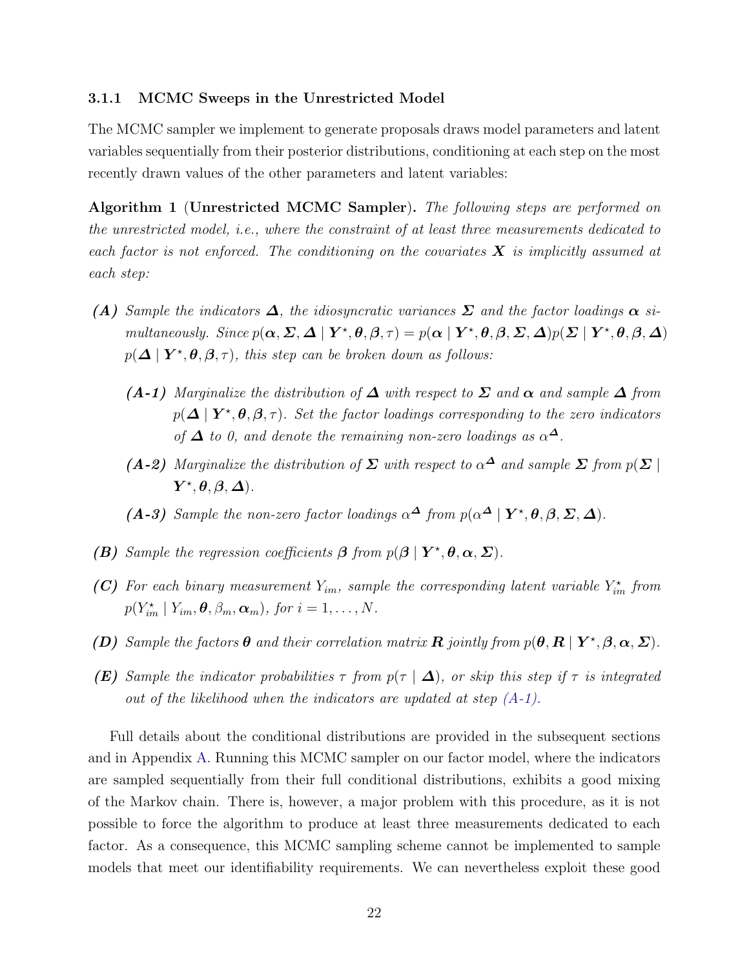#### <span id="page-23-0"></span>3.1.1 MCMC Sweeps in the Unrestricted Model

The MCMC sampler we implement to generate proposals draws model parameters and latent variables sequentially from their posterior distributions, conditioning at each step on the most recently drawn values of the other parameters and latent variables:

<span id="page-23-2"></span>Algorithm 1 (Unrestricted MCMC Sampler). The following steps are performed on the unrestricted model, i.e., where the constraint of at least three measurements dedicated to each factor is not enforced. The conditioning on the covariates  $\boldsymbol{X}$  is implicitly assumed at each step:

- <span id="page-23-3"></span><span id="page-23-1"></span>(A) Sample the indicators  $\Delta$ , the idiosyncratic variances  $\Sigma$  and the factor loadings  $\alpha$  simultaneously. Since  $p(\boldsymbol{\alpha}, \boldsymbol{\Sigma}, \boldsymbol{\Delta} \mid \boldsymbol{Y}^*, \boldsymbol{\theta}, \boldsymbol{\beta}, \tau) = p(\boldsymbol{\alpha} \mid \boldsymbol{Y}^*, \boldsymbol{\theta}, \boldsymbol{\beta}, \boldsymbol{\Sigma}, \boldsymbol{\Delta}) p(\boldsymbol{\Sigma} \mid \boldsymbol{Y}^*, \boldsymbol{\theta}, \boldsymbol{\beta}, \boldsymbol{\Delta})$  $p(\Delta | Y^*, \theta, \beta, \tau)$ , this step can be broken down as follows:
	- (A-1) Marginalize the distribution of  $\Delta$  with respect to  $\Sigma$  and  $\alpha$  and sample  $\Delta$  from  $p(\Delta \mid Y^*, \theta, \beta, \tau)$ . Set the factor loadings corresponding to the zero indicators of  $\Delta$  to 0, and denote the remaining non-zero loadings as  $\alpha^{\Delta}$ .
	- (A-2) Marginalize the distribution of  $\Sigma$  with respect to  $\alpha^{\Delta}$  and sample  $\Sigma$  from  $p(\Sigma)$  $\bm{Y}^{\star}, \bm{\theta}, \bm{\beta}, \bm{\Delta})$  .
	- (A-3) Sample the non-zero factor loadings  $\alpha^{\Delta}$  from  $p(\alpha^{\Delta} | Y^*, \theta, \beta, \Sigma, \Delta)$ .
- <span id="page-23-9"></span><span id="page-23-8"></span><span id="page-23-5"></span>(B) Sample the regression coefficients  $\beta$  from  $p(\beta | Y^*, \theta, \alpha, \Sigma)$ .
- <span id="page-23-7"></span>(C) For each binary measurement  $Y_{im}$ , sample the corresponding latent variable  $Y_{im}^{\star}$  from  $p(Y_{im}^{\star} | Y_{im}, \theta, \beta_m, \alpha_m)$ , for  $i = 1, ..., N$ .
- <span id="page-23-6"></span>(D) Sample the factors  $\theta$  and their correlation matrix **R** jointly from  $p(\theta, R | Y^*, \beta, \alpha, \Sigma)$ .
- <span id="page-23-4"></span>**(E)** Sample the indicator probabilities  $\tau$  from  $p(\tau | \Delta)$ , or skip this step if  $\tau$  is integrated out of the likelihood when the indicators are updated at step  $(A-1)$ .

Full details about the conditional distributions are provided in the subsequent sections and in Appendix [A.](#page-56-0) Running this MCMC sampler on our factor model, where the indicators are sampled sequentially from their full conditional distributions, exhibits a good mixing of the Markov chain. There is, however, a major problem with this procedure, as it is not possible to force the algorithm to produce at least three measurements dedicated to each factor. As a consequence, this MCMC sampling scheme cannot be implemented to sample models that meet our identifiability requirements. We can nevertheless exploit these good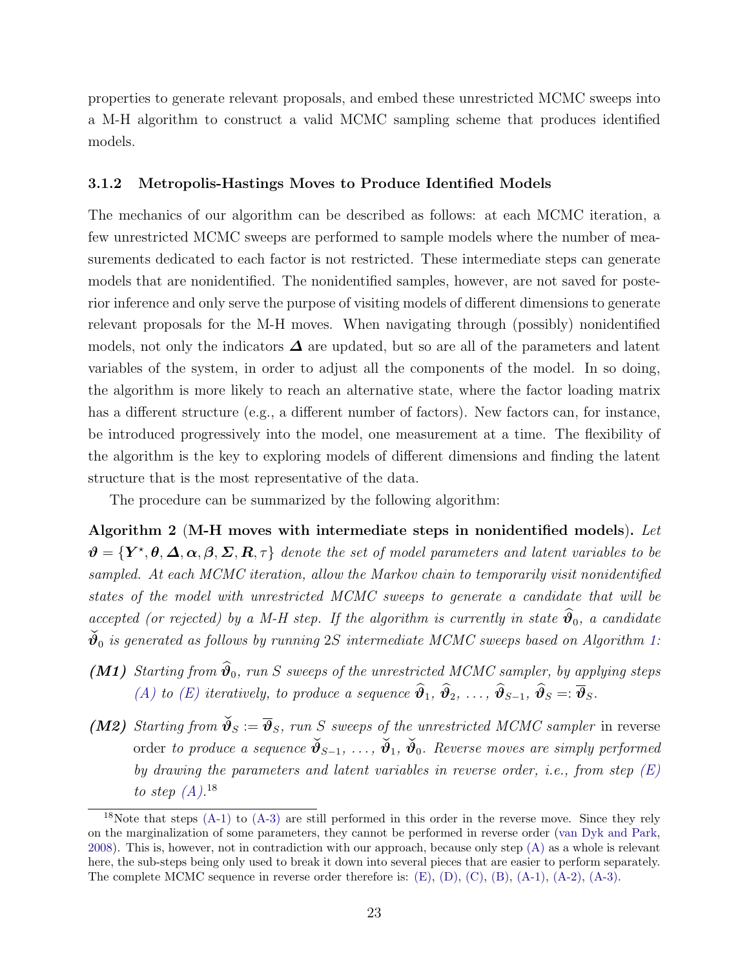properties to generate relevant proposals, and embed these unrestricted MCMC sweeps into a M-H algorithm to construct a valid MCMC sampling scheme that produces identified models.

#### <span id="page-24-0"></span>3.1.2 Metropolis-Hastings Moves to Produce Identified Models

The mechanics of our algorithm can be described as follows: at each MCMC iteration, a few unrestricted MCMC sweeps are performed to sample models where the number of measurements dedicated to each factor is not restricted. These intermediate steps can generate models that are nonidentified. The nonidentified samples, however, are not saved for posterior inference and only serve the purpose of visiting models of different dimensions to generate relevant proposals for the M-H moves. When navigating through (possibly) nonidentified models, not only the indicators  $\Delta$  are updated, but so are all of the parameters and latent variables of the system, in order to adjust all the components of the model. In so doing, the algorithm is more likely to reach an alternative state, where the factor loading matrix has a different structure (e.g., a different number of factors). New factors can, for instance, be introduced progressively into the model, one measurement at a time. The flexibility of the algorithm is the key to exploring models of different dimensions and finding the latent structure that is the most representative of the data.

The procedure can be summarized by the following algorithm:

Algorithm 2 (M-H moves with intermediate steps in nonidentified models). Let  $\theta = \{Y^*, \theta, \Delta, \alpha, \beta, \Sigma, R, \tau\}$  denote the set of model parameters and latent variables to be sampled. At each MCMC iteration, allow the Markov chain to temporarily visit nonidentified states of the model with unrestricted MCMC sweeps to generate a candidate that will be accepted (or rejected) by a M-H step. If the algorithm is currently in state  $\widehat{\mathfrak{D}}_0$ , a candidate  $\check{\vartheta}_0$  is generated as follows by running 2S intermediate MCMC sweeps based on Algorithm [1:](#page-23-2)

- (M1) Starting from  $\widehat{\mathbf{\theta}}_0$ , run S sweeps of the unrestricted MCMC sampler, by applying steps [\(A\)](#page-23-3) to [\(E\)](#page-23-4) iteratively, to produce a sequence  $\widehat{\boldsymbol{\vartheta}}_1$ ,  $\widehat{\boldsymbol{\vartheta}}_2$ , ...,  $\widehat{\boldsymbol{\vartheta}}_{S-1}$ ,  $\widehat{\boldsymbol{\vartheta}}_S =: \overline{\boldsymbol{\vartheta}}_S$ .
- (M2) Starting from  $\check{\Theta}_S := \overline{\Theta}_S$ , run S sweeps of the unrestricted MCMC sampler in reverse order to produce a sequence  $\check{\mathfrak{d}}_{S-1}, \ldots, \check{\mathfrak{d}}_1, \check{\mathfrak{d}}_0$ . Reverse moves are simply performed by drawing the parameters and latent variables in reverse order, i.e., from step  $(E)$ to step  $(A)$ .<sup>18</sup>

<sup>&</sup>lt;sup>18</sup>Note that steps  $(A-1)$  to  $(A-3)$  are still performed in this order in the reverse move. Since they rely on the marginalization of some parameters, they cannot be performed in reverse order [\(van Dyk and Park,](#page-73-5) [2008\)](#page-73-5). This is, however, not in contradiction with our approach, because only step [\(A\)](#page-23-3) as a whole is relevant here, the sub-steps being only used to break it down into several pieces that are easier to perform separately. The complete MCMC sequence in reverse order therefore is: [\(E\),](#page-23-4) [\(D\),](#page-23-6) [\(C\),](#page-23-7) [\(B\),](#page-23-8) [\(A-1\),](#page-23-1) [\(A-2\),](#page-23-9) [\(A-3\).](#page-23-5)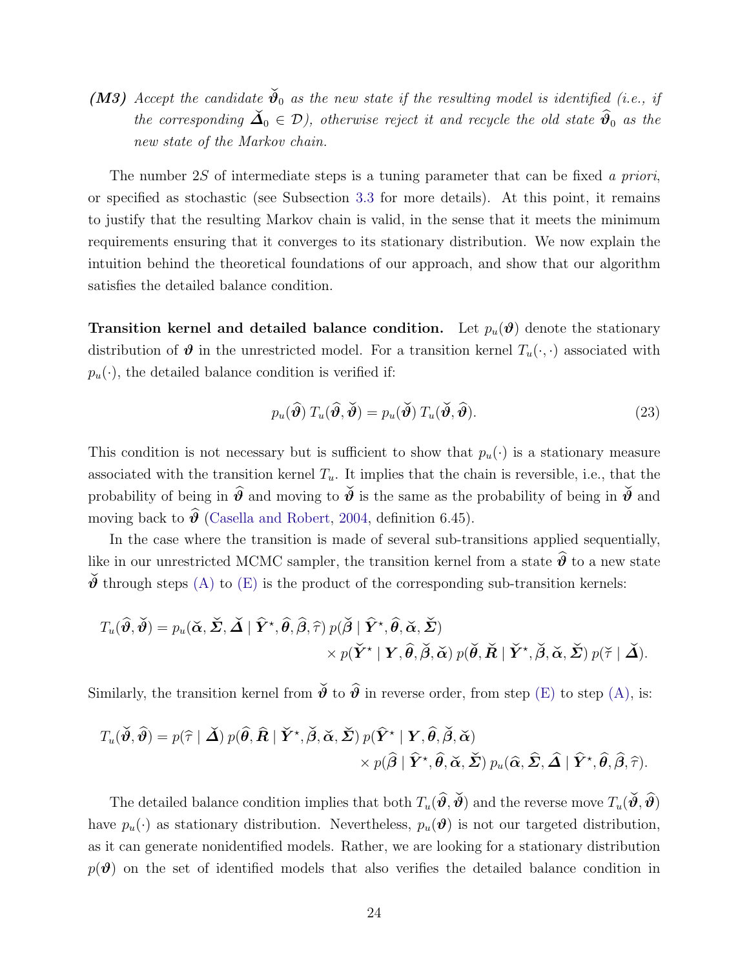(M3) Accept the candidate  $\check{\theta}_0$  as the new state if the resulting model is identified (i.e., if the corresponding  $\check{A}_0 \in \mathcal{D}$ ), otherwise reject it and recycle the old state  $\widehat{\theta}_0$  as the new state of the Markov chain.

The number 2S of intermediate steps is a tuning parameter that can be fixed a priori, or specified as stochastic (see Subsection [3.3](#page-31-0) for more details). At this point, it remains to justify that the resulting Markov chain is valid, in the sense that it meets the minimum requirements ensuring that it converges to its stationary distribution. We now explain the intuition behind the theoretical foundations of our approach, and show that our algorithm satisfies the detailed balance condition.

**Transition kernel and detailed balance condition.** Let  $p_u(\theta)$  denote the stationary distribution of  $\theta$  in the unrestricted model. For a transition kernel  $T_u(\cdot, \cdot)$  associated with  $p_u(\cdot)$ , the detailed balance condition is verified if:

<span id="page-25-0"></span>
$$
p_u(\widehat{\boldsymbol{\vartheta}}) T_u(\widehat{\boldsymbol{\vartheta}}, \widecheck{\boldsymbol{\vartheta}}) = p_u(\widecheck{\boldsymbol{\vartheta}}) T_u(\widecheck{\boldsymbol{\vartheta}}, \widehat{\boldsymbol{\vartheta}}).
$$
\n(23)

This condition is not necessary but is sufficient to show that  $p_u(\cdot)$  is a stationary measure associated with the transition kernel  $T_u$ . It implies that the chain is reversible, i.e., that the probability of being in  $\hat{\theta}$  and moving to  $\check{\theta}$  is the same as the probability of being in  $\check{\theta}$  and moving back to  $\hat{\theta}$  [\(Casella and Robert,](#page-67-8) [2004,](#page-67-8) definition 6.45).

In the case where the transition is made of several sub-transitions applied sequentially, like in our unrestricted MCMC sampler, the transition kernel from a state  $\hat{\theta}$  to a new state  $\check{\theta}$  through steps [\(A\)](#page-23-3) to [\(E\)](#page-23-4) is the product of the corresponding sub-transition kernels:

$$
T_u(\widehat{\boldsymbol{\vartheta}},\widecheck{\boldsymbol{\vartheta}})=p_u(\widecheck{\boldsymbol{\alpha}},\widecheck{\boldsymbol{\Sigma}},\widecheck{\boldsymbol{\Delta}}\mid \widehat{\boldsymbol{Y}}^{\star},\widehat{\boldsymbol{\theta}},\widehat{\boldsymbol{\beta}},\widehat{\tau})p(\widecheck{\boldsymbol{\beta}}\mid \widehat{\boldsymbol{Y}}^{\star},\widehat{\boldsymbol{\theta}},\widecheck{\boldsymbol{\alpha}},\widecheck{\boldsymbol{\Sigma}})\times p(\widecheck{\boldsymbol{\vartheta}},\widecheck{\boldsymbol{\beta}},\widecheck{\boldsymbol{\vartheta}},\widecheck{\boldsymbol{\vartheta}},\widecheck{\boldsymbol{\vartheta}},\widecheck{\boldsymbol{\vartheta}},\widecheck{\boldsymbol{\vartheta}},\widecheck{\boldsymbol{\vartheta}},\widecheck{\boldsymbol{\vartheta}},\widecheck{\boldsymbol{\vartheta}},\widecheck{\boldsymbol{\vartheta}},\widecheck{\boldsymbol{\vartheta}},\widecheck{\boldsymbol{\vartheta}},\widecheck{\boldsymbol{\vartheta}})\times(\widecheck{\tau}\mid \widecheck{\boldsymbol{\Delta}}).
$$

Similarly, the transition kernel from  $\check{\theta}$  to  $\hat{\theta}$  in reverse order, from step [\(E\)](#page-23-4) to step [\(A\),](#page-23-3) is:

$$
T_u(\check{\boldsymbol{\vartheta}},\widehat{\boldsymbol{\vartheta}}) = p(\widehat{\tau} \mid \check{\boldsymbol{\Delta}}) p(\widehat{\boldsymbol{\theta}},\widehat{\boldsymbol{R}} \mid \check{\boldsymbol{Y}}^{\star},\check{\boldsymbol{\beta}},\check{\boldsymbol{\alpha}},\check{\boldsymbol{\Sigma}}) p(\widehat{\boldsymbol{Y}}^{\star} \mid \boldsymbol{Y},\widehat{\boldsymbol{\theta}},\check{\boldsymbol{\beta}},\check{\boldsymbol{\alpha}}) \\
\times p(\widehat{\boldsymbol{\beta}} \mid \widehat{\boldsymbol{Y}}^{\star},\widehat{\boldsymbol{\theta}},\check{\boldsymbol{\alpha}},\check{\boldsymbol{\Sigma}}) p_u(\widehat{\boldsymbol{\alpha}},\widehat{\boldsymbol{\Sigma}},\widehat{\boldsymbol{\Delta}} \mid \widehat{\boldsymbol{Y}}^{\star},\widehat{\boldsymbol{\theta}},\widehat{\boldsymbol{\beta}},\widehat{\tau}).
$$

The detailed balance condition implies that both  $T_u(\hat{\theta}, \check{\theta})$  and the reverse move  $T_u(\check{\theta}, \hat{\theta})$ have  $p_u(\cdot)$  as stationary distribution. Nevertheless,  $p_u(\boldsymbol{\vartheta})$  is not our targeted distribution, as it can generate nonidentified models. Rather, we are looking for a stationary distribution  $p(\boldsymbol{\vartheta})$  on the set of identified models that also verifies the detailed balance condition in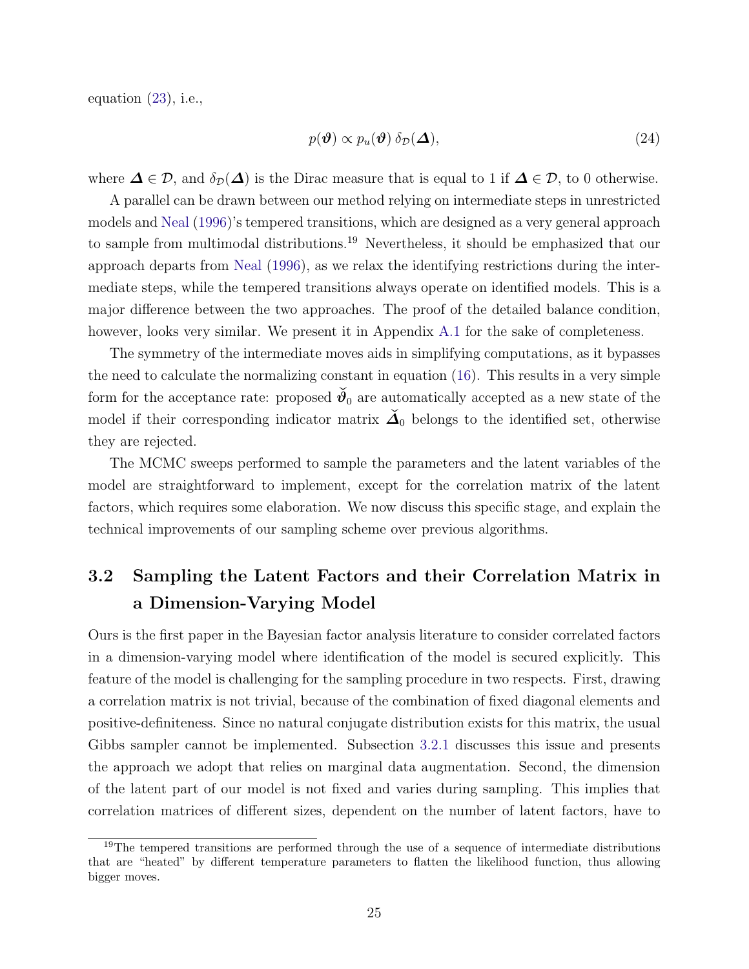equation  $(23)$ , i.e.,

$$
p(\boldsymbol{\vartheta}) \propto p_u(\boldsymbol{\vartheta}) \, \delta_{\mathcal{D}}(\boldsymbol{\varDelta}), \tag{24}
$$

where  $\Delta \in \mathcal{D}$ , and  $\delta_{\mathcal{D}}(\Delta)$  is the Dirac measure that is equal to 1 if  $\Delta \in \mathcal{D}$ , to 0 otherwise.

A parallel can be drawn between our method relying on intermediate steps in unrestricted models and [Neal](#page-72-4) [\(1996\)](#page-72-4)'s tempered transitions, which are designed as a very general approach to sample from multimodal distributions.<sup>19</sup> Nevertheless, it should be emphasized that our approach departs from [Neal](#page-72-4) [\(1996\)](#page-72-4), as we relax the identifying restrictions during the intermediate steps, while the tempered transitions always operate on identified models. This is a major difference between the two approaches. The proof of the detailed balance condition, however, looks very similar. We present it in Appendix [A.1](#page-56-1) for the sake of completeness.

The symmetry of the intermediate moves aids in simplifying computations, as it bypasses the need to calculate the normalizing constant in equation [\(16\)](#page-15-0). This results in a very simple form for the acceptance rate: proposed  $\check{\theta}_0$  are automatically accepted as a new state of the model if their corresponding indicator matrix  $\tilde{\Delta}_0$  belongs to the identified set, otherwise they are rejected.

The MCMC sweeps performed to sample the parameters and the latent variables of the model are straightforward to implement, except for the correlation matrix of the latent factors, which requires some elaboration. We now discuss this specific stage, and explain the technical improvements of our sampling scheme over previous algorithms.

## <span id="page-26-0"></span>3.2 Sampling the Latent Factors and their Correlation Matrix in a Dimension-Varying Model

Ours is the first paper in the Bayesian factor analysis literature to consider correlated factors in a dimension-varying model where identification of the model is secured explicitly. This feature of the model is challenging for the sampling procedure in two respects. First, drawing a correlation matrix is not trivial, because of the combination of fixed diagonal elements and positive-definiteness. Since no natural conjugate distribution exists for this matrix, the usual Gibbs sampler cannot be implemented. Subsection [3.2.1](#page-27-0) discusses this issue and presents the approach we adopt that relies on marginal data augmentation. Second, the dimension of the latent part of our model is not fixed and varies during sampling. This implies that correlation matrices of different sizes, dependent on the number of latent factors, have to

 $19$ The tempered transitions are performed through the use of a sequence of intermediate distributions that are "heated" by different temperature parameters to flatten the likelihood function, thus allowing bigger moves.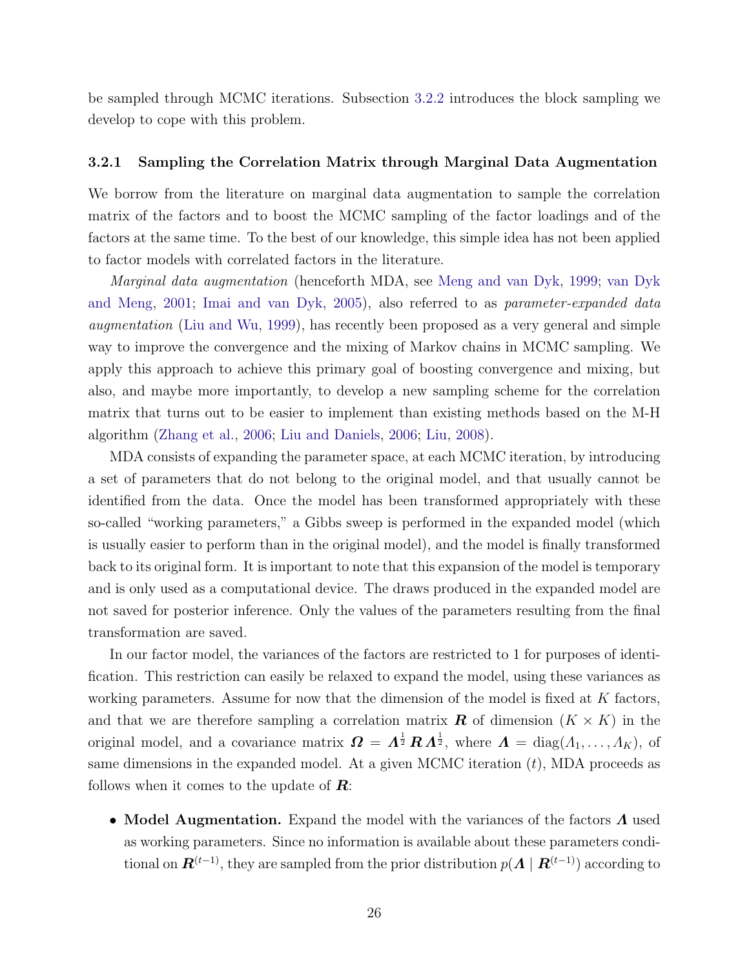be sampled through MCMC iterations. Subsection [3.2.2](#page-29-0) introduces the block sampling we develop to cope with this problem.

#### <span id="page-27-0"></span>3.2.1 Sampling the Correlation Matrix through Marginal Data Augmentation

We borrow from the literature on marginal data augmentation to sample the correlation matrix of the factors and to boost the MCMC sampling of the factor loadings and of the factors at the same time. To the best of our knowledge, this simple idea has not been applied to factor models with correlated factors in the literature.

Marginal data augmentation (henceforth MDA, see [Meng and van Dyk,](#page-72-5) [1999;](#page-72-5) [van Dyk](#page-73-6) [and Meng,](#page-73-6) [2001;](#page-73-6) [Imai and van Dyk,](#page-70-9) [2005\)](#page-70-9), also referred to as parameter-expanded data augmentation [\(Liu and Wu,](#page-71-4) [1999\)](#page-71-4), has recently been proposed as a very general and simple way to improve the convergence and the mixing of Markov chains in MCMC sampling. We apply this approach to achieve this primary goal of boosting convergence and mixing, but also, and maybe more importantly, to develop a new sampling scheme for the correlation matrix that turns out to be easier to implement than existing methods based on the M-H algorithm [\(Zhang et al.,](#page-74-0) [2006;](#page-74-0) [Liu and Daniels,](#page-71-5) [2006;](#page-71-5) [Liu,](#page-71-6) [2008\)](#page-71-6).

MDA consists of expanding the parameter space, at each MCMC iteration, by introducing a set of parameters that do not belong to the original model, and that usually cannot be identified from the data. Once the model has been transformed appropriately with these so-called "working parameters," a Gibbs sweep is performed in the expanded model (which is usually easier to perform than in the original model), and the model is finally transformed back to its original form. It is important to note that this expansion of the model is temporary and is only used as a computational device. The draws produced in the expanded model are not saved for posterior inference. Only the values of the parameters resulting from the final transformation are saved.

In our factor model, the variances of the factors are restricted to 1 for purposes of identification. This restriction can easily be relaxed to expand the model, using these variances as working parameters. Assume for now that the dimension of the model is fixed at  $K$  factors, and that we are therefore sampling a correlation matrix **R** of dimension  $(K \times K)$  in the original model, and a covariance matrix  $\mathbf{\Omega} = \mathbf{\Lambda}^{\frac{1}{2}} \mathbf{R} \mathbf{\Lambda}^{\frac{1}{2}}$ , where  $\mathbf{\Lambda} = \text{diag}(A_1, \ldots, A_K)$ , of same dimensions in the expanded model. At a given MCMC iteration  $(t)$ , MDA proceeds as follows when it comes to the update of  $\mathbf{R}$ :

• Model Augmentation. Expand the model with the variances of the factors  $\Lambda$  used as working parameters. Since no information is available about these parameters conditional on  $\mathbf{R}^{(t-1)}$ , they are sampled from the prior distribution  $p(\mathbf{\Lambda} \mid \mathbf{R}^{(t-1)})$  according to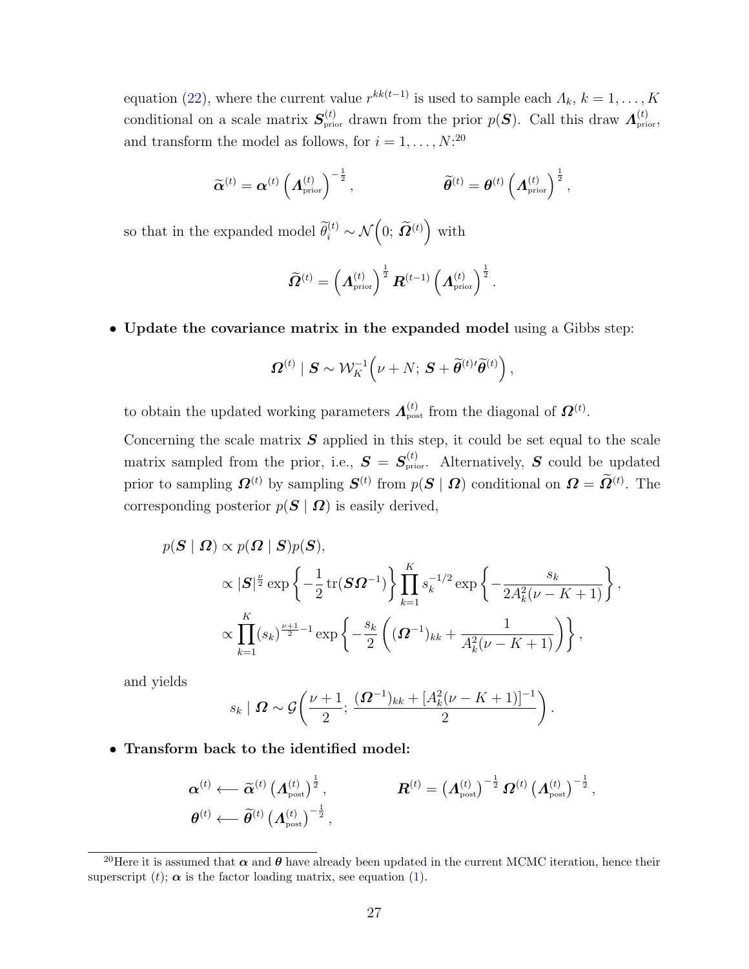equation [\(22\)](#page-20-2), where the current value  $r^{kk(t-1)}$  is used to sample each  $\Lambda_k$ ,  $k = 1, \ldots, K$ conditional on a scale matrix  $S_{\text{prior}}^{(t)}$  drawn from the prior  $p(S)$ . Call this draw  $\Lambda_{\text{prior}}^{(t)}$ , and transform the model as follows, for  $i = 1, \ldots, N$ :<sup>20</sup>

$$
\widetilde{\boldsymbol{\alpha}}^{(t)} = \boldsymbol{\alpha}^{(t)} \left( \boldsymbol{\Lambda}_{\text{prior}}^{(t)} \right)^{-\frac{1}{2}}, \qquad \qquad \widetilde{\boldsymbol{\theta}}^{(t)} = \boldsymbol{\theta}^{(t)} \left( \boldsymbol{\Lambda}_{\text{prior}}^{(t)} \right)^{\frac{1}{2}},
$$

so that in the expanded model  $\widetilde{\theta}_i^{(t)} \sim \mathcal{N}\left(0; \ \widetilde{\mathbf{\Omega}}^{(t)}\right)$  with

$$
\widetilde{\boldsymbol{\Omega}}^{(t)} = \left(\boldsymbol{\varLambda}_{\text{prior}}^{(t)}\right)^{\frac{1}{2}} \boldsymbol{R}^{(t-1)}\left(\boldsymbol{\varLambda}_{\text{prior}}^{(t)}\right)^{\frac{1}{2}}.
$$

• Update the covariance matrix in the expanded model using a Gibbs step:

$$
\boldsymbol{\varOmega}^{(t)} \mid \boldsymbol{S} \sim \mathcal{W}^{-1}_K \Big(\nu + N; \, \boldsymbol{S} + \widetilde{\boldsymbol{\theta}}^{(t)\prime} \widetilde{\boldsymbol{\theta}}^{(t)} \Big) \,,
$$

to obtain the updated working parameters  $\boldsymbol{\Lambda}_{\text{post}}^{(t)}$  from the diagonal of  $\boldsymbol{\Omega}^{(t)}$ .

Concerning the scale matrix  $S$  applied in this step, it could be set equal to the scale matrix sampled from the prior, i.e.,  $S = S_{\text{prior}}^{(t)}$ . Alternatively, S could be updated prior to sampling  $\mathbf{\Omega}^{(t)}$  by sampling  $\mathbf{S}^{(t)}$  from  $p(\mathbf{S} | \mathbf{\Omega})$  conditional on  $\mathbf{\Omega} = \mathbf{\Omega}^{(t)}$ . The corresponding posterior  $p(\mathbf{S} \mid \mathbf{\Omega})$  is easily derived,

$$
p(\mathbf{S} \mid \mathbf{\Omega}) \propto p(\mathbf{\Omega} \mid \mathbf{S})p(\mathbf{S}),
$$
  
\n
$$
\propto |\mathbf{S}|^{\frac{\nu}{2}} \exp \left\{-\frac{1}{2} \operatorname{tr}(\mathbf{S} \mathbf{\Omega}^{-1})\right\} \prod_{k=1}^{K} s_k^{-1/2} \exp \left\{-\frac{s_k}{2A_k^2(\nu - K + 1)}\right\},
$$
  
\n
$$
\propto \prod_{k=1}^{K} (s_k)^{\frac{\nu+1}{2}-1} \exp \left\{-\frac{s_k}{2} \left((\mathbf{\Omega}^{-1})_{kk} + \frac{1}{A_k^2(\nu - K + 1)}\right)\right\},
$$

and yields

$$
s_k \mid \mathbf{\Omega} \sim \mathcal{G}\left(\frac{\nu+1}{2}; \frac{(\mathbf{\Omega}^{-1})_{kk} + [A_k^2(\nu-K+1)]^{-1}}{2}\right).
$$

• Transform back to the identified model:

$$
\begin{aligned} \boldsymbol{\alpha}^{(t)}\longleftarrow&\widetilde{\boldsymbol{\alpha}}^{(t)}\left(\boldsymbol{\varLambda}_{\mathrm{post}}^{(t)}\right)^{\frac{1}{2}}, \qquad \qquad \boldsymbol{R}^{(t)}=\left(\boldsymbol{\varLambda}_{\mathrm{post}}^{(t)}\right)^{-\frac{1}{2}}\boldsymbol{\varOmega}^{(t)}\left(\boldsymbol{\varLambda}_{\mathrm{post}}^{(t)}\right)^{-\frac{1}{2}},\\ \boldsymbol{\theta}^{(t)}\longleftarrow&\widetilde{\boldsymbol{\theta}}^{(t)}\left(\boldsymbol{\varLambda}_{\mathrm{post}}^{(t)}\right)^{-\frac{1}{2}}, \end{aligned}
$$

<sup>&</sup>lt;sup>20</sup>Here it is assumed that  $\alpha$  and  $\theta$  have already been updated in the current MCMC iteration, hence their superscript (t);  $\alpha$  is the factor loading matrix, see equation [\(1\)](#page-6-0).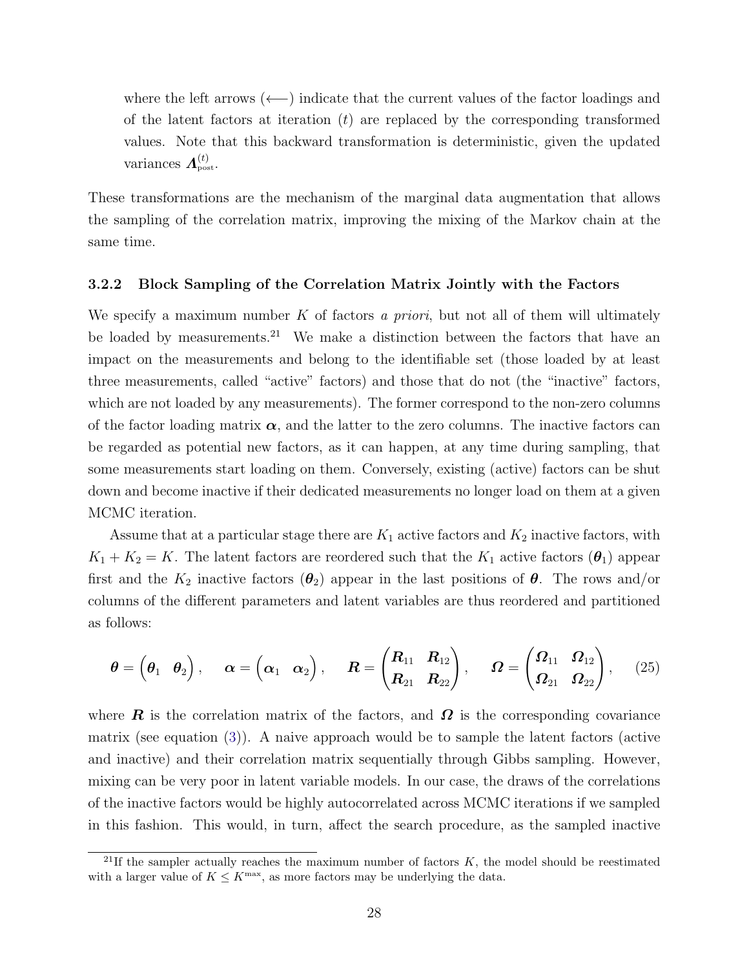where the left arrows (←−) indicate that the current values of the factor loadings and of the latent factors at iteration  $(t)$  are replaced by the corresponding transformed values. Note that this backward transformation is deterministic, given the updated variances  $\boldsymbol{\varLambda}_{\text{post}}^{(t)}$ .

These transformations are the mechanism of the marginal data augmentation that allows the sampling of the correlation matrix, improving the mixing of the Markov chain at the same time.

#### <span id="page-29-0"></span>3.2.2 Block Sampling of the Correlation Matrix Jointly with the Factors

We specify a maximum number  $K$  of factors a priori, but not all of them will ultimately be loaded by measurements.<sup>21</sup> We make a distinction between the factors that have an impact on the measurements and belong to the identifiable set (those loaded by at least three measurements, called "active" factors) and those that do not (the "inactive" factors, which are not loaded by any measurements). The former correspond to the non-zero columns of the factor loading matrix  $\alpha$ , and the latter to the zero columns. The inactive factors can be regarded as potential new factors, as it can happen, at any time during sampling, that some measurements start loading on them. Conversely, existing (active) factors can be shut down and become inactive if their dedicated measurements no longer load on them at a given MCMC iteration.

Assume that at a particular stage there are  $K_1$  active factors and  $K_2$  inactive factors, with  $K_1 + K_2 = K$ . The latent factors are reordered such that the  $K_1$  active factors  $(\theta_1)$  appear first and the  $K_2$  inactive factors  $(\theta_2)$  appear in the last positions of  $\theta$ . The rows and/or columns of the different parameters and latent variables are thus reordered and partitioned as follows:

<span id="page-29-1"></span>
$$
\boldsymbol{\theta} = \left(\boldsymbol{\theta}_1 \quad \boldsymbol{\theta}_2\right), \qquad \boldsymbol{\alpha} = \left(\boldsymbol{\alpha}_1 \quad \boldsymbol{\alpha}_2\right), \qquad \boldsymbol{R} = \left(\begin{matrix} \boldsymbol{R}_{11} & \boldsymbol{R}_{12} \\ \boldsymbol{R}_{21} & \boldsymbol{R}_{22} \end{matrix}\right), \qquad \boldsymbol{\Omega} = \left(\begin{matrix} \boldsymbol{\Omega}_{11} & \boldsymbol{\Omega}_{12} \\ \boldsymbol{\Omega}_{21} & \boldsymbol{\Omega}_{22} \end{matrix}\right), \qquad (25)
$$

where **R** is the correlation matrix of the factors, and  $\Omega$  is the corresponding covariance matrix (see equation [\(3\)](#page-7-0)). A naive approach would be to sample the latent factors (active and inactive) and their correlation matrix sequentially through Gibbs sampling. However, mixing can be very poor in latent variable models. In our case, the draws of the correlations of the inactive factors would be highly autocorrelated across MCMC iterations if we sampled in this fashion. This would, in turn, affect the search procedure, as the sampled inactive

<sup>&</sup>lt;sup>21</sup>If the sampler actually reaches the maximum number of factors  $K$ , the model should be reestimated with a larger value of  $K \leq K^{\max}$ , as more factors may be underlying the data.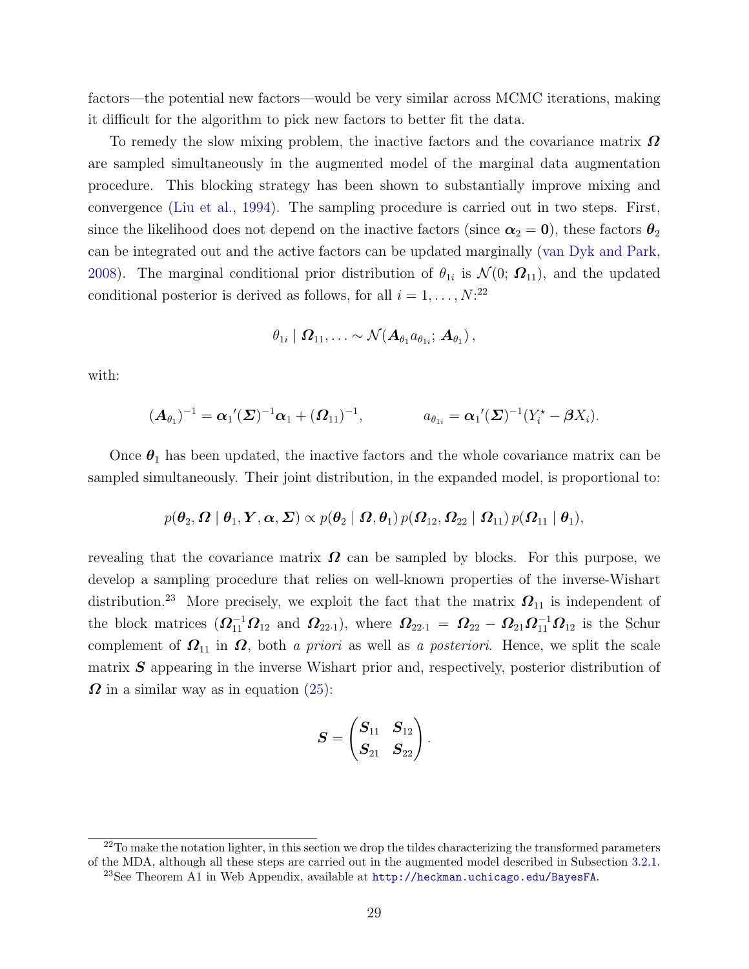factors—the potential new factors—would be very similar across MCMC iterations, making it difficult for the algorithm to pick new factors to better fit the data.

To remedy the slow mixing problem, the inactive factors and the covariance matrix  $\Omega$ are sampled simultaneously in the augmented model of the marginal data augmentation procedure. This blocking strategy has been shown to substantially improve mixing and convergence [\(Liu et al.,](#page-71-7) [1994\)](#page-71-7). The sampling procedure is carried out in two steps. First, since the likelihood does not depend on the inactive factors (since  $\alpha_2 = 0$ ), these factors  $\theta_2$ can be integrated out and the active factors can be updated marginally [\(van Dyk and Park,](#page-73-5) [2008\)](#page-73-5). The marginal conditional prior distribution of  $\theta_{1i}$  is  $\mathcal{N}(0; \Omega_{11})$ , and the updated conditional posterior is derived as follows, for all  $i = 1, \ldots, N$ <sup>22</sup>

$$
\theta_{1i} \mid \boldsymbol{\varOmega}_{11}, \ldots \sim \mathcal{N}(\boldsymbol{A}_{\theta_{1}} a_{\theta_{1i}}; \, \boldsymbol{A}_{\theta_{1}}),
$$

with:

$$
(\mathbf{A}_{\theta_1})^{-1} = \alpha_1'(\Sigma)^{-1} \alpha_1 + (\mathbf{\Omega}_{11})^{-1}, \qquad a_{\theta_{1i}} = \alpha_1'(\Sigma)^{-1} (Y_i^* - \beta X_i).
$$

Once  $\theta_1$  has been updated, the inactive factors and the whole covariance matrix can be sampled simultaneously. Their joint distribution, in the expanded model, is proportional to:

$$
p(\boldsymbol{\theta}_2, \boldsymbol{\Omega} \mid \boldsymbol{\theta}_1, \boldsymbol{Y}, \boldsymbol{\alpha}, \boldsymbol{\varSigma}) \propto p(\boldsymbol{\theta}_2 \mid \boldsymbol{\Omega}, \boldsymbol{\theta}_1) \, p(\boldsymbol{\Omega}_{12}, \boldsymbol{\Omega}_{22} \mid \boldsymbol{\Omega}_{11}) \, p(\boldsymbol{\Omega}_{11} \mid \boldsymbol{\theta}_1),
$$

revealing that the covariance matrix  $\Omega$  can be sampled by blocks. For this purpose, we develop a sampling procedure that relies on well-known properties of the inverse-Wishart distribution.<sup>23</sup> More precisely, we exploit the fact that the matrix  $\Omega_{11}$  is independent of the block matrices  $(\Omega_{11}^{-1}\Omega_{12}$  and  $\Omega_{22\cdot1}$ ), where  $\Omega_{22\cdot1} = \Omega_{22} - \Omega_{21}\Omega_{11}^{-1}\Omega_{12}$  is the Schur complement of  $\Omega_{11}$  in  $\Omega$ , both a priori as well as a posteriori. Hence, we split the scale matrix  $S$  appearing in the inverse Wishart prior and, respectively, posterior distribution of  $\Omega$  in a similar way as in equation [\(25\)](#page-29-1):

$$
\bm{S} = \begin{pmatrix} \bm{S}_{11} & \bm{S}_{12} \\ \bm{S}_{21} & \bm{S}_{22} \end{pmatrix}.
$$

 $22$ To make the notation lighter, in this section we drop the tildes characterizing the transformed parameters of the MDA, although all these steps are carried out in the augmented model described in Subsection [3.2.1.](#page-27-0) <sup>23</sup>See Theorem A1 in Web Appendix, available at <http://heckman.uchicago.edu/BayesFA>.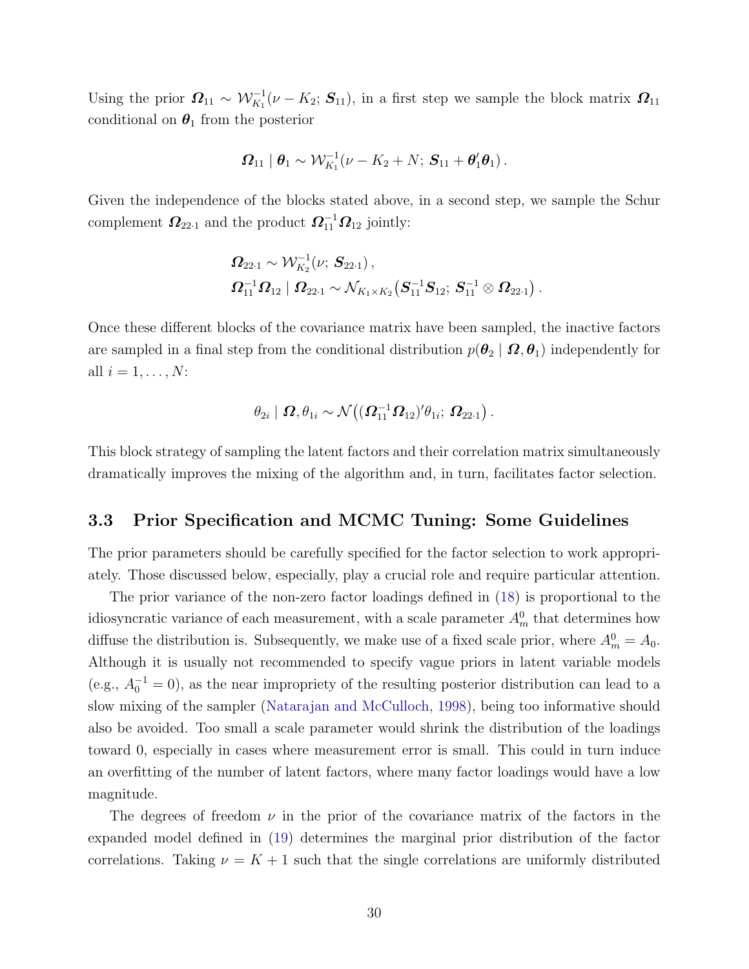Using the prior  $\mathbf{\Omega}_{11} \sim \mathcal{W}_{K_1}^{-1}(\nu - K_2; \mathbf{S}_{11})$ , in a first step we sample the block matrix  $\mathbf{\Omega}_{11}$ conditional on  $\theta_1$  from the posterior

$$
\Omega_{11} | \theta_1 \sim \mathcal{W}_{K_1}^{-1}(\nu - K_2 + N; \, \mathbf{S}_{11} + \theta_1' \theta_1).
$$

Given the independence of the blocks stated above, in a second step, we sample the Schur complement  $\Omega_{22\cdot1}$  and the product  $\Omega_{11}^{-1}\Omega_{12}$  jointly:

$$
\begin{aligned} &\boldsymbol{\Omega}_{22\cdot 1} \sim \mathcal{W}_{K_2}^{-1}(\nu;\,\boldsymbol{S}_{22\cdot 1})\,, \\ &\boldsymbol{\Omega}_{11}^{-1}\boldsymbol{\Omega}_{12}\mid \boldsymbol{\Omega}_{22\cdot 1} \sim \mathcal{N}_{K_1\times K_2}\big(\boldsymbol{S}_{11}^{-1}\boldsymbol{S}_{12};\,\boldsymbol{S}_{11}^{-1}\otimes \boldsymbol{\Omega}_{22\cdot 1}\big)\,. \end{aligned}
$$

Once these different blocks of the covariance matrix have been sampled, the inactive factors are sampled in a final step from the conditional distribution  $p(\theta_2 | \Omega, \theta_1)$  independently for all  $i = 1, \ldots, N$ :

$$
\theta_{2i} \mid \boldsymbol{\Omega}, \theta_{1i} \sim \mathcal{N}((\boldsymbol{\Omega}_{11}^{-1} \boldsymbol{\Omega}_{12})' \theta_{1i}; \boldsymbol{\Omega}_{22 \cdot 1}).
$$

This block strategy of sampling the latent factors and their correlation matrix simultaneously dramatically improves the mixing of the algorithm and, in turn, facilitates factor selection.

#### <span id="page-31-0"></span>3.3 Prior Specification and MCMC Tuning: Some Guidelines

The prior parameters should be carefully specified for the factor selection to work appropriately. Those discussed below, especially, play a crucial role and require particular attention.

The prior variance of the non-zero factor loadings defined in [\(18\)](#page-16-0) is proportional to the idiosyncratic variance of each measurement, with a scale parameter  $A_m^0$  that determines how diffuse the distribution is. Subsequently, we make use of a fixed scale prior, where  $A_m^0 = A_0$ . Although it is usually not recommended to specify vague priors in latent variable models (e.g.,  $A_0^{-1} = 0$ ), as the near impropriety of the resulting posterior distribution can lead to a slow mixing of the sampler [\(Natarajan and McCulloch,](#page-72-6) [1998\)](#page-72-6), being too informative should also be avoided. Too small a scale parameter would shrink the distribution of the loadings toward 0, especially in cases where measurement error is small. This could in turn induce an overfitting of the number of latent factors, where many factor loadings would have a low magnitude.

The degrees of freedom  $\nu$  in the prior of the covariance matrix of the factors in the expanded model defined in [\(19\)](#page-18-0) determines the marginal prior distribution of the factor correlations. Taking  $\nu = K + 1$  such that the single correlations are uniformly distributed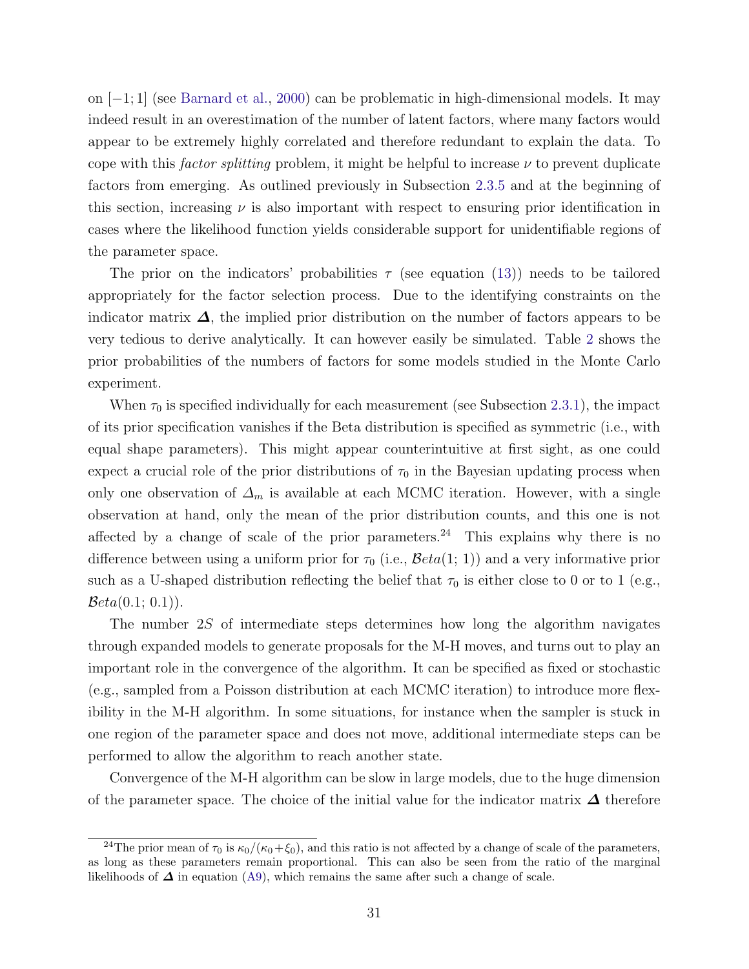on [−1; 1] (see [Barnard et al.,](#page-66-8) [2000\)](#page-66-8) can be problematic in high-dimensional models. It may indeed result in an overestimation of the number of latent factors, where many factors would appear to be extremely highly correlated and therefore redundant to explain the data. To cope with this *factor splitting* problem, it might be helpful to increase  $\nu$  to prevent duplicate factors from emerging. As outlined previously in Subsection [2.3.5](#page-17-0) and at the beginning of this section, increasing  $\nu$  is also important with respect to ensuring prior identification in cases where the likelihood function yields considerable support for unidentifiable regions of the parameter space.

The prior on the indicators' probabilities  $\tau$  (see equation [\(13\)](#page-14-0)) needs to be tailored appropriately for the factor selection process. Due to the identifying constraints on the indicator matrix  $\Delta$ , the implied prior distribution on the number of factors appears to be very tedious to derive analytically. It can however easily be simulated. Table [2](#page-37-0) shows the prior probabilities of the numbers of factors for some models studied in the Monte Carlo experiment.

When  $\tau_0$  is specified individually for each measurement (see Subsection [2.3.1\)](#page-13-1), the impact of its prior specification vanishes if the Beta distribution is specified as symmetric (i.e., with equal shape parameters). This might appear counterintuitive at first sight, as one could expect a crucial role of the prior distributions of  $\tau_0$  in the Bayesian updating process when only one observation of  $\Delta_m$  is available at each MCMC iteration. However, with a single observation at hand, only the mean of the prior distribution counts, and this one is not affected by a change of scale of the prior parameters.<sup>24</sup> This explains why there is no difference between using a uniform prior for  $\tau_0$  (i.e.,  $\betaeta(1; 1)$ ) and a very informative prior such as a U-shaped distribution reflecting the belief that  $\tau_0$  is either close to 0 or to 1 (e.g.,  $Beta(0.1; 0.1)$ .

The number 2S of intermediate steps determines how long the algorithm navigates through expanded models to generate proposals for the M-H moves, and turns out to play an important role in the convergence of the algorithm. It can be specified as fixed or stochastic (e.g., sampled from a Poisson distribution at each MCMC iteration) to introduce more flexibility in the M-H algorithm. In some situations, for instance when the sampler is stuck in one region of the parameter space and does not move, additional intermediate steps can be performed to allow the algorithm to reach another state.

Convergence of the M-H algorithm can be slow in large models, due to the huge dimension of the parameter space. The choice of the initial value for the indicator matrix  $\Delta$  therefore

<sup>&</sup>lt;sup>24</sup>The prior mean of  $\tau_0$  is  $\kappa_0/(\kappa_0+\xi_0)$ , and this ratio is not affected by a change of scale of the parameters, as long as these parameters remain proportional. This can also be seen from the ratio of the marginal likelihoods of  $\Delta$  in equation [\(A9\)](#page-62-0), which remains the same after such a change of scale.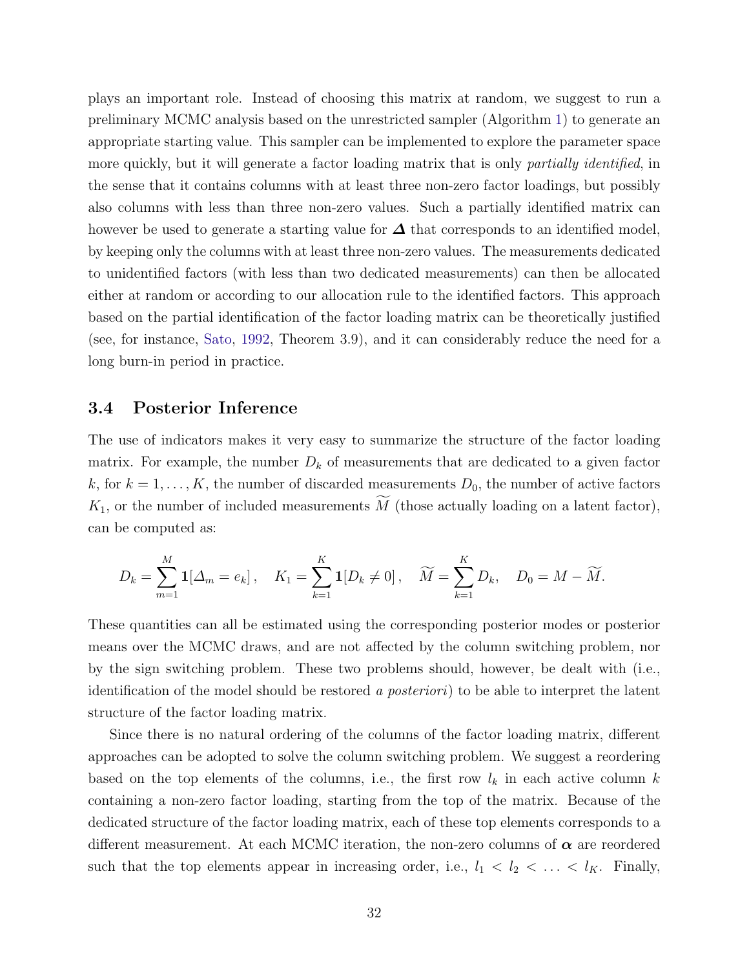plays an important role. Instead of choosing this matrix at random, we suggest to run a preliminary MCMC analysis based on the unrestricted sampler (Algorithm [1\)](#page-23-2) to generate an appropriate starting value. This sampler can be implemented to explore the parameter space more quickly, but it will generate a factor loading matrix that is only *partially identified*, in the sense that it contains columns with at least three non-zero factor loadings, but possibly also columns with less than three non-zero values. Such a partially identified matrix can however be used to generate a starting value for  $\Delta$  that corresponds to an identified model, by keeping only the columns with at least three non-zero values. The measurements dedicated to unidentified factors (with less than two dedicated measurements) can then be allocated either at random or according to our allocation rule to the identified factors. This approach based on the partial identification of the factor loading matrix can be theoretically justified (see, for instance, [Sato,](#page-73-7) [1992,](#page-73-7) Theorem 3.9), and it can considerably reduce the need for a long burn-in period in practice.

#### <span id="page-33-0"></span>3.4 Posterior Inference

The use of indicators makes it very easy to summarize the structure of the factor loading matrix. For example, the number  $D_k$  of measurements that are dedicated to a given factor k, for  $k = 1, \ldots, K$ , the number of discarded measurements  $D_0$ , the number of active factors  $K_1$ , or the number of included measurements  $\widetilde{M}$  (those actually loading on a latent factor), can be computed as:

$$
D_k = \sum_{m=1}^{M} \mathbf{1}[ \Delta_m = e_k], \quad K_1 = \sum_{k=1}^{K} \mathbf{1}[D_k \neq 0], \quad \widetilde{M} = \sum_{k=1}^{K} D_k, \quad D_0 = M - \widetilde{M}.
$$

These quantities can all be estimated using the corresponding posterior modes or posterior means over the MCMC draws, and are not affected by the column switching problem, nor by the sign switching problem. These two problems should, however, be dealt with (i.e., identification of the model should be restored a posteriori) to be able to interpret the latent structure of the factor loading matrix.

Since there is no natural ordering of the columns of the factor loading matrix, different approaches can be adopted to solve the column switching problem. We suggest a reordering based on the top elements of the columns, i.e., the first row  $l_k$  in each active column k containing a non-zero factor loading, starting from the top of the matrix. Because of the dedicated structure of the factor loading matrix, each of these top elements corresponds to a different measurement. At each MCMC iteration, the non-zero columns of  $\alpha$  are reordered such that the top elements appear in increasing order, i.e.,  $l_1 < l_2 < \ldots < l_K$ . Finally,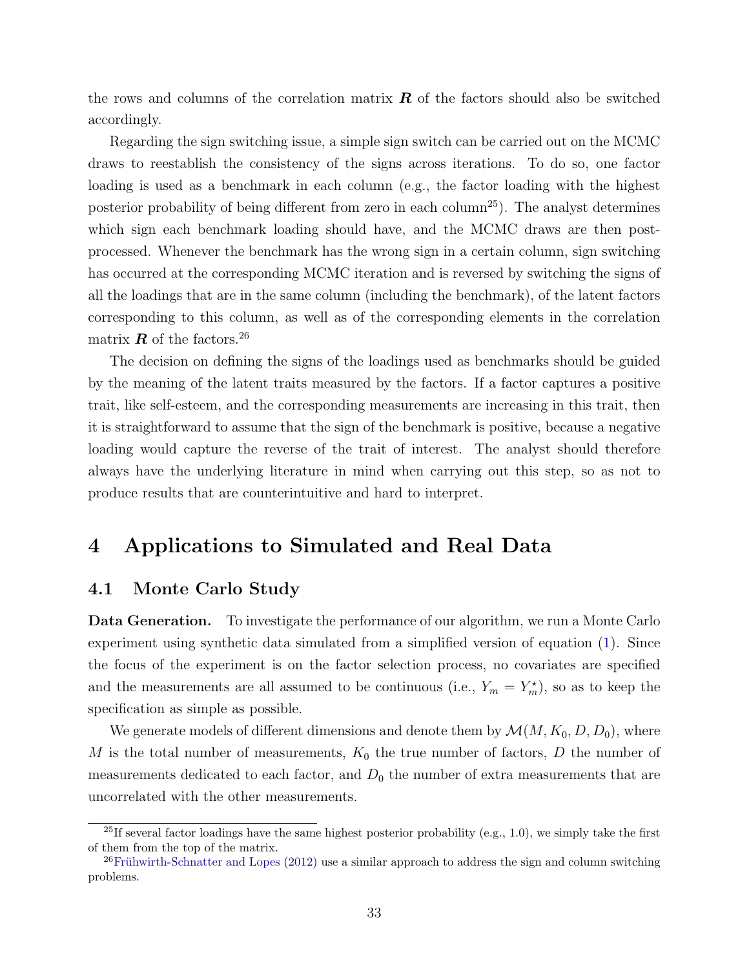the rows and columns of the correlation matrix  $\bm{R}$  of the factors should also be switched accordingly.

Regarding the sign switching issue, a simple sign switch can be carried out on the MCMC draws to reestablish the consistency of the signs across iterations. To do so, one factor loading is used as a benchmark in each column (e.g., the factor loading with the highest posterior probability of being different from zero in each column<sup>25</sup>). The analyst determines which sign each benchmark loading should have, and the MCMC draws are then postprocessed. Whenever the benchmark has the wrong sign in a certain column, sign switching has occurred at the corresponding MCMC iteration and is reversed by switching the signs of all the loadings that are in the same column (including the benchmark), of the latent factors corresponding to this column, as well as of the corresponding elements in the correlation matrix  $\boldsymbol{R}$  of the factors.<sup>26</sup>

The decision on defining the signs of the loadings used as benchmarks should be guided by the meaning of the latent traits measured by the factors. If a factor captures a positive trait, like self-esteem, and the corresponding measurements are increasing in this trait, then it is straightforward to assume that the sign of the benchmark is positive, because a negative loading would capture the reverse of the trait of interest. The analyst should therefore always have the underlying literature in mind when carrying out this step, so as not to produce results that are counterintuitive and hard to interpret.

## <span id="page-34-0"></span>4 Applications to Simulated and Real Data

#### <span id="page-34-1"></span>4.1 Monte Carlo Study

Data Generation. To investigate the performance of our algorithm, we run a Monte Carlo experiment using synthetic data simulated from a simplified version of equation [\(1\)](#page-6-0). Since the focus of the experiment is on the factor selection process, no covariates are specified and the measurements are all assumed to be continuous (i.e.,  $Y_m = Y_m^*$ ), so as to keep the specification as simple as possible.

We generate models of different dimensions and denote them by  $\mathcal{M}(M, K_0, D, D_0)$ , where M is the total number of measurements,  $K_0$  the true number of factors, D the number of measurements dedicated to each factor, and  $D_0$  the number of extra measurements that are uncorrelated with the other measurements.

<sup>&</sup>lt;sup>25</sup>If several factor loadings have the same highest posterior probability (e.g., 1.0), we simply take the first of them from the top of the matrix.

 $^{26}$ Frühwirth-Schnatter and Lopes [\(2012\)](#page-68-3) use a similar approach to address the sign and column switching problems.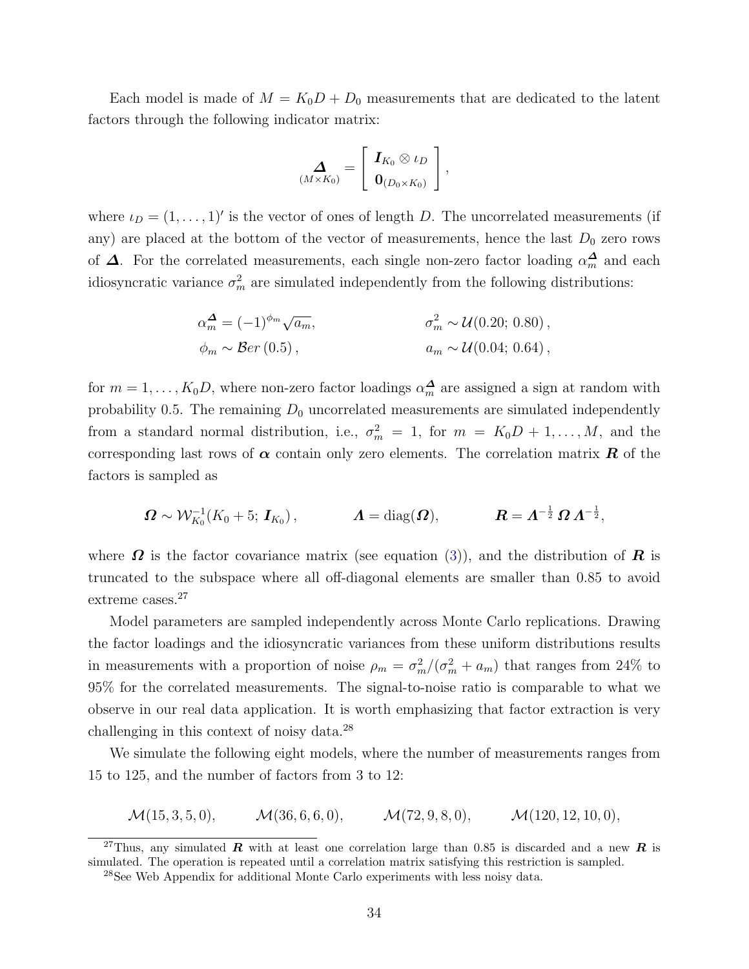Each model is made of  $M = K_0 D + D_0$  measurements that are dedicated to the latent factors through the following indicator matrix:

$$
\mathbf{\Lambda}_{(M\times K_0)}=\left[\begin{array}{c}\mathbf{I}_{K_0}\otimes\iota_D\\ \mathbf{0}_{(D_0\times K_0)}\end{array}\right],
$$

where  $\iota_D = (1, \ldots, 1)'$  is the vector of ones of length D. The uncorrelated measurements (if any) are placed at the bottom of the vector of measurements, hence the last  $D_0$  zero rows of  $\Delta$ . For the correlated measurements, each single non-zero factor loading  $\alpha_m^{\Delta}$  and each idiosyncratic variance  $\sigma_m^2$  are simulated independently from the following distributions:

$$
\alpha_m^{\Delta} = (-1)^{\phi_m} \sqrt{a_m}, \qquad \sigma_m^2 \sim \mathcal{U}(0.20; 0.80),
$$
  

$$
\phi_m \sim \mathcal{B}er (0.5), \qquad a_m \sim \mathcal{U}(0.04; 0.64),
$$

for  $m = 1, \ldots, K_0 D$ , where non-zero factor loadings  $\alpha_m^{\mathbf{\Delta}}$  are assigned a sign at random with probability 0.5. The remaining  $D_0$  uncorrelated measurements are simulated independently from a standard normal distribution, i.e.,  $\sigma_m^2 = 1$ , for  $m = K_0 D + 1, \ldots, M$ , and the corresponding last rows of  $\alpha$  contain only zero elements. The correlation matrix  $\bm{R}$  of the factors is sampled as

$$
\boldsymbol{\Omega} \sim \mathcal{W}_{K_0}^{-1}(K_0+5; \boldsymbol{I}_{K_0}), \qquad \qquad \boldsymbol{\Lambda} = \text{diag}(\boldsymbol{\Omega}), \qquad \qquad \boldsymbol{R} = \boldsymbol{\Lambda}^{-\frac{1}{2}} \boldsymbol{\Omega} \boldsymbol{\Lambda}^{-\frac{1}{2}},
$$

where  $\Omega$  is the factor covariance matrix (see equation [\(3\)](#page-7-0)), and the distribution of  $\boldsymbol{R}$  is truncated to the subspace where all off-diagonal elements are smaller than 0.85 to avoid extreme cases.<sup>27</sup>

Model parameters are sampled independently across Monte Carlo replications. Drawing the factor loadings and the idiosyncratic variances from these uniform distributions results in measurements with a proportion of noise  $\rho_m = \sigma_m^2/(\sigma_m^2 + a_m)$  that ranges from 24% to 95% for the correlated measurements. The signal-to-noise ratio is comparable to what we observe in our real data application. It is worth emphasizing that factor extraction is very challenging in this context of noisy data.<sup>28</sup>

We simulate the following eight models, where the number of measurements ranges from 15 to 125, and the number of factors from 3 to 12:

 $\mathcal{M}(15, 3, 5, 0), \qquad \mathcal{M}(36, 6, 6, 0), \qquad \mathcal{M}(72, 9, 8, 0), \qquad \mathcal{M}(120, 12, 10, 0),$ 

<sup>&</sup>lt;sup>27</sup>Thus, any simulated **R** with at least one correlation large than 0.85 is discarded and a new **R** is simulated. The operation is repeated until a correlation matrix satisfying this restriction is sampled.

<sup>28</sup>See Web Appendix for additional Monte Carlo experiments with less noisy data.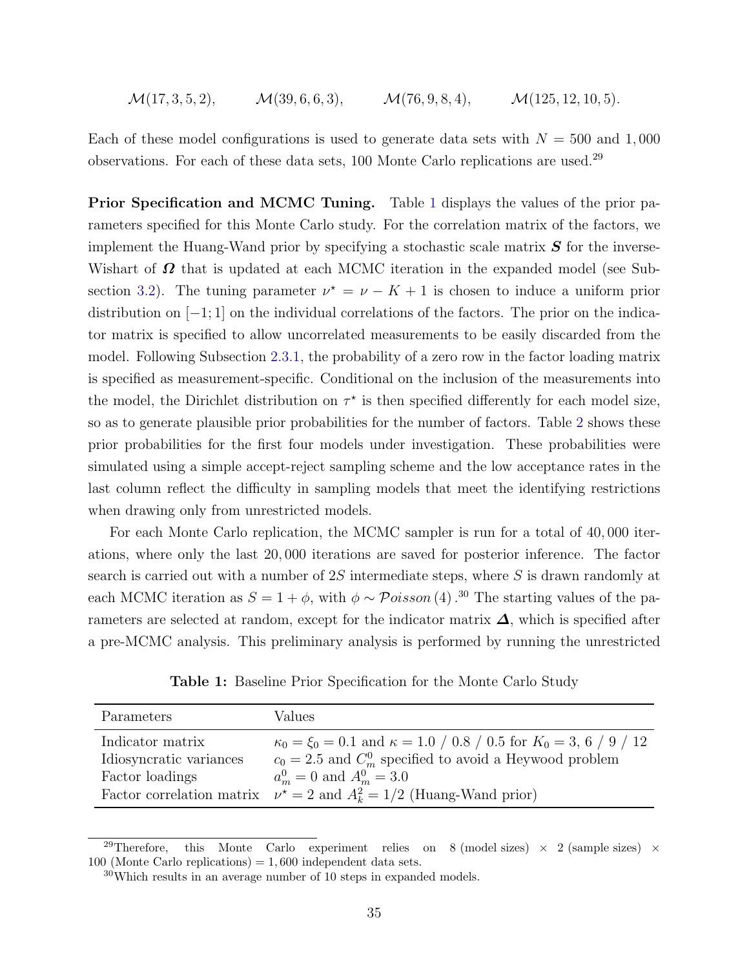$\mathcal{M}(17, 3, 5, 2), \qquad \mathcal{M}(39, 6, 6, 3), \qquad \mathcal{M}(76, 9, 8, 4), \qquad \mathcal{M}(125, 12, 10, 5).$ 

Each of these model configurations is used to generate data sets with  $N = 500$  and 1,000 observations. For each of these data sets, 100 Monte Carlo replications are used.<sup>29</sup>

Prior Specification and MCMC Tuning. Table [1](#page-36-0) displays the values of the prior parameters specified for this Monte Carlo study. For the correlation matrix of the factors, we implement the Huang-Wand prior by specifying a stochastic scale matrix  $S$  for the inverse-Wishart of  $\Omega$  that is updated at each MCMC iteration in the expanded model (see Sub-section [3.2\)](#page-26-0). The tuning parameter  $\nu^* = \nu - K + 1$  is chosen to induce a uniform prior distribution on  $[-1, 1]$  on the individual correlations of the factors. The prior on the indicator matrix is specified to allow uncorrelated measurements to be easily discarded from the model. Following Subsection [2.3.1,](#page-13-0) the probability of a zero row in the factor loading matrix is specified as measurement-specific. Conditional on the inclusion of the measurements into the model, the Dirichlet distribution on  $\tau^*$  is then specified differently for each model size, so as to generate plausible prior probabilities for the number of factors. Table [2](#page-37-0) shows these prior probabilities for the first four models under investigation. These probabilities were simulated using a simple accept-reject sampling scheme and the low acceptance rates in the last column reflect the difficulty in sampling models that meet the identifying restrictions when drawing only from unrestricted models.

For each Monte Carlo replication, the MCMC sampler is run for a total of 40, 000 iterations, where only the last 20, 000 iterations are saved for posterior inference. The factor search is carried out with a number of 2S intermediate steps, where S is drawn randomly at each MCMC iteration as  $S = 1 + \phi$ , with  $\phi \sim \mathcal{Poisson}(4)$ .<sup>30</sup> The starting values of the parameters are selected at random, except for the indicator matrix  $\Delta$ , which is specified after a pre-MCMC analysis. This preliminary analysis is performed by running the unrestricted

<span id="page-36-0"></span>

| Parameters                                                     | Values                                                                                                                                                                             |
|----------------------------------------------------------------|------------------------------------------------------------------------------------------------------------------------------------------------------------------------------------|
| Indicator matrix<br>Idiosyncratic variances<br>Factor loadings | $\kappa_0 = \xi_0 = 0.1$ and $\kappa = 1.0 / 0.8 / 0.5$ for $K_0 = 3, 6 / 9 / 12$<br>$c_0 = 2.5$ and $C_m^0$ specified to avoid a Heywood problem<br>$a_m^0 = 0$ and $A_m^0 = 3.0$ |
|                                                                | Factor correlation matrix $\nu^* = 2$ and $A_k^2 = 1/2$ (Huang-Wand prior)                                                                                                         |

Table 1: Baseline Prior Specification for the Monte Carlo Study

<sup>&</sup>lt;sup>29</sup>Therefore, this Monte Carlo experiment relies on 8 (model sizes)  $\times$  2 (sample sizes)  $\times$ 100 (Monte Carlo replications) =  $1,600$  independent data sets.

<sup>30</sup>Which results in an average number of 10 steps in expanded models.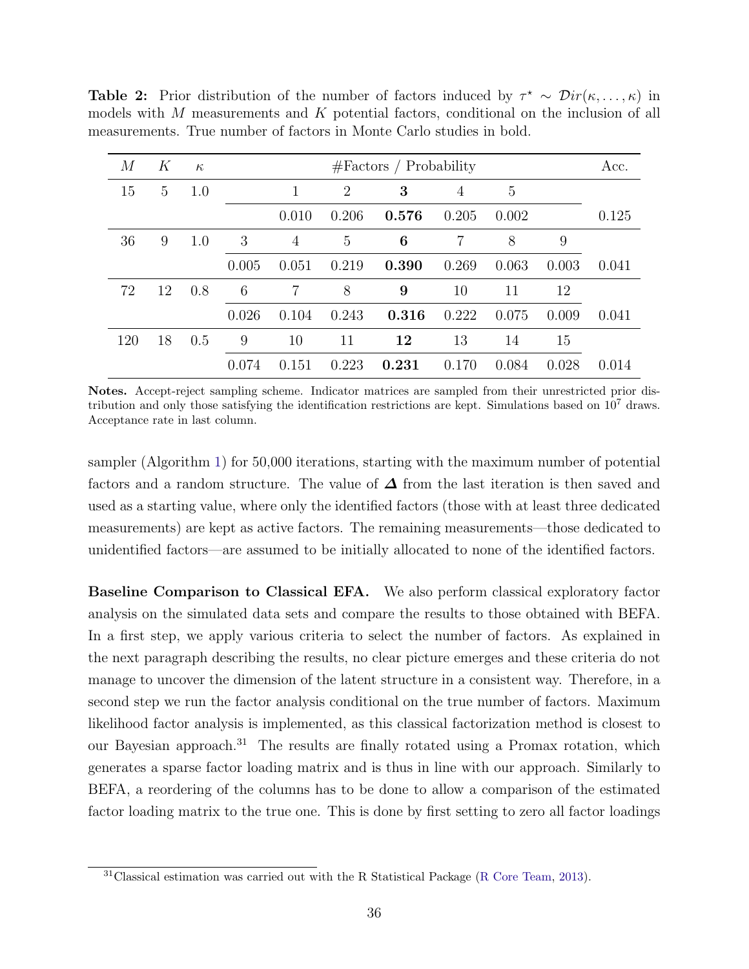| М   | К  | $\kappa$ |       |       |                | #Factors / Probability |       |       |       | Acc.  |
|-----|----|----------|-------|-------|----------------|------------------------|-------|-------|-------|-------|
| 15  | 5  | 1.0      |       |       | $\overline{2}$ | 3                      | 4     | 5     |       |       |
|     |    |          |       | 0.010 | 0.206          | 0.576                  | 0.205 | 0.002 |       | 0.125 |
| 36  | 9  | 1.0      | 3     | 4     | 5              | 6                      | 7     | 8     | 9     |       |
|     |    |          | 0.005 | 0.051 | 0.219          | 0.390                  | 0.269 | 0.063 | 0.003 | 0.041 |
| 72  | 12 | 0.8      | 6     | 7     | 8              | 9                      | 10    | 11    | 12    |       |
|     |    |          | 0.026 | 0.104 | 0.243          | 0.316                  | 0.222 | 0.075 | 0.009 | 0.041 |
| 120 | 18 | 0.5      | 9     | 10    | 11             | 12                     | 13    | 14    | 15    |       |
|     |    |          | 0.074 | 0.151 | 0.223          | 0.231                  | 0.170 | 0.084 | 0.028 | 0.014 |

<span id="page-37-0"></span>**Table 2:** Prior distribution of the number of factors induced by  $\tau^* \sim Dir(\kappa, \ldots, \kappa)$  in models with M measurements and K potential factors, conditional on the inclusion of all measurements. True number of factors in Monte Carlo studies in bold.

Notes. Accept-reject sampling scheme. Indicator matrices are sampled from their unrestricted prior distribution and only those satisfying the identification restrictions are kept. Simulations based on 10<sup>7</sup> draws. Acceptance rate in last column.

sampler (Algorithm [1\)](#page-23-0) for 50,000 iterations, starting with the maximum number of potential factors and a random structure. The value of  $\Delta$  from the last iteration is then saved and used as a starting value, where only the identified factors (those with at least three dedicated measurements) are kept as active factors. The remaining measurements—those dedicated to unidentified factors—are assumed to be initially allocated to none of the identified factors.

Baseline Comparison to Classical EFA. We also perform classical exploratory factor analysis on the simulated data sets and compare the results to those obtained with BEFA. In a first step, we apply various criteria to select the number of factors. As explained in the next paragraph describing the results, no clear picture emerges and these criteria do not manage to uncover the dimension of the latent structure in a consistent way. Therefore, in a second step we run the factor analysis conditional on the true number of factors. Maximum likelihood factor analysis is implemented, as this classical factorization method is closest to our Bayesian approach.<sup>31</sup> The results are finally rotated using a Promax rotation, which generates a sparse factor loading matrix and is thus in line with our approach. Similarly to BEFA, a reordering of the columns has to be done to allow a comparison of the estimated factor loading matrix to the true one. This is done by first setting to zero all factor loadings

<sup>31</sup>Classical estimation was carried out with the R Statistical Package [\(R Core Team,](#page-72-0) [2013\)](#page-72-0).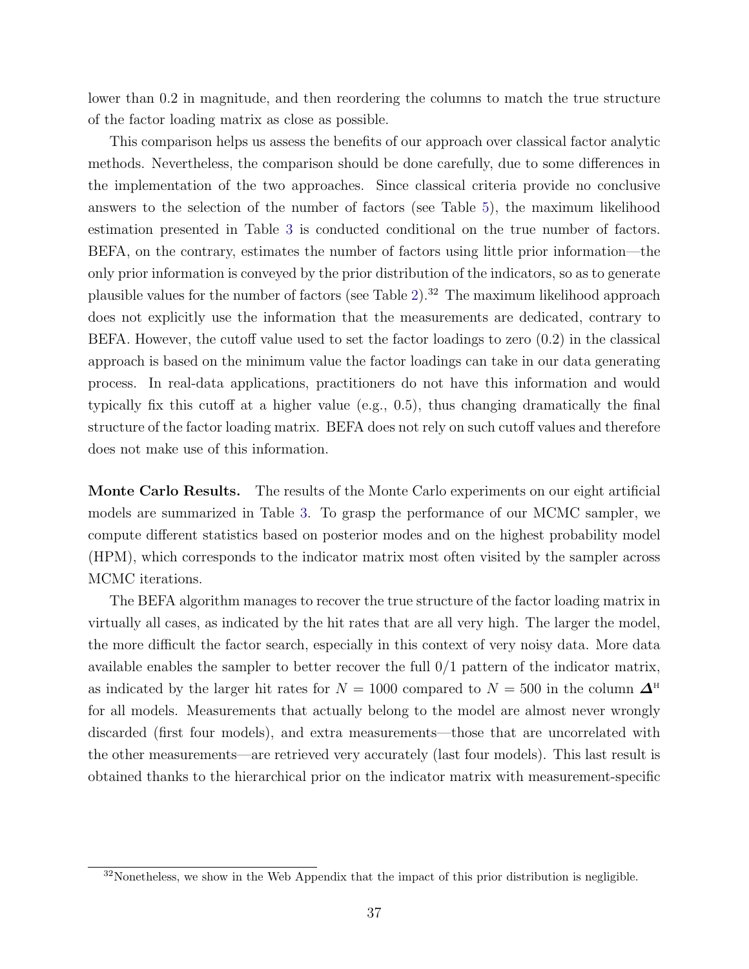lower than 0.2 in magnitude, and then reordering the columns to match the true structure of the factor loading matrix as close as possible.

This comparison helps us assess the benefits of our approach over classical factor analytic methods. Nevertheless, the comparison should be done carefully, due to some differences in the implementation of the two approaches. Since classical criteria provide no conclusive answers to the selection of the number of factors (see Table [5\)](#page-43-0), the maximum likelihood estimation presented in Table [3](#page-39-0) is conducted conditional on the true number of factors. BEFA, on the contrary, estimates the number of factors using little prior information—the only prior information is conveyed by the prior distribution of the indicators, so as to generate plausible values for the number of factors (see Table [2\)](#page-37-0).<sup>32</sup> The maximum likelihood approach does not explicitly use the information that the measurements are dedicated, contrary to BEFA. However, the cutoff value used to set the factor loadings to zero (0.2) in the classical approach is based on the minimum value the factor loadings can take in our data generating process. In real-data applications, practitioners do not have this information and would typically fix this cutoff at a higher value (e.g., 0.5), thus changing dramatically the final structure of the factor loading matrix. BEFA does not rely on such cutoff values and therefore does not make use of this information.

Monte Carlo Results. The results of the Monte Carlo experiments on our eight artificial models are summarized in Table [3.](#page-39-0) To grasp the performance of our MCMC sampler, we compute different statistics based on posterior modes and on the highest probability model (HPM), which corresponds to the indicator matrix most often visited by the sampler across MCMC iterations.

The BEFA algorithm manages to recover the true structure of the factor loading matrix in virtually all cases, as indicated by the hit rates that are all very high. The larger the model, the more difficult the factor search, especially in this context of very noisy data. More data available enables the sampler to better recover the full  $0/1$  pattern of the indicator matrix, as indicated by the larger hit rates for  $N = 1000$  compared to  $N = 500$  in the column  $\Delta^{\text{H}}$ for all models. Measurements that actually belong to the model are almost never wrongly discarded (first four models), and extra measurements—those that are uncorrelated with the other measurements—are retrieved very accurately (last four models). This last result is obtained thanks to the hierarchical prior on the indicator matrix with measurement-specific

 $32$ Nonetheless, we show in the Web Appendix that the impact of this prior distribution is negligible.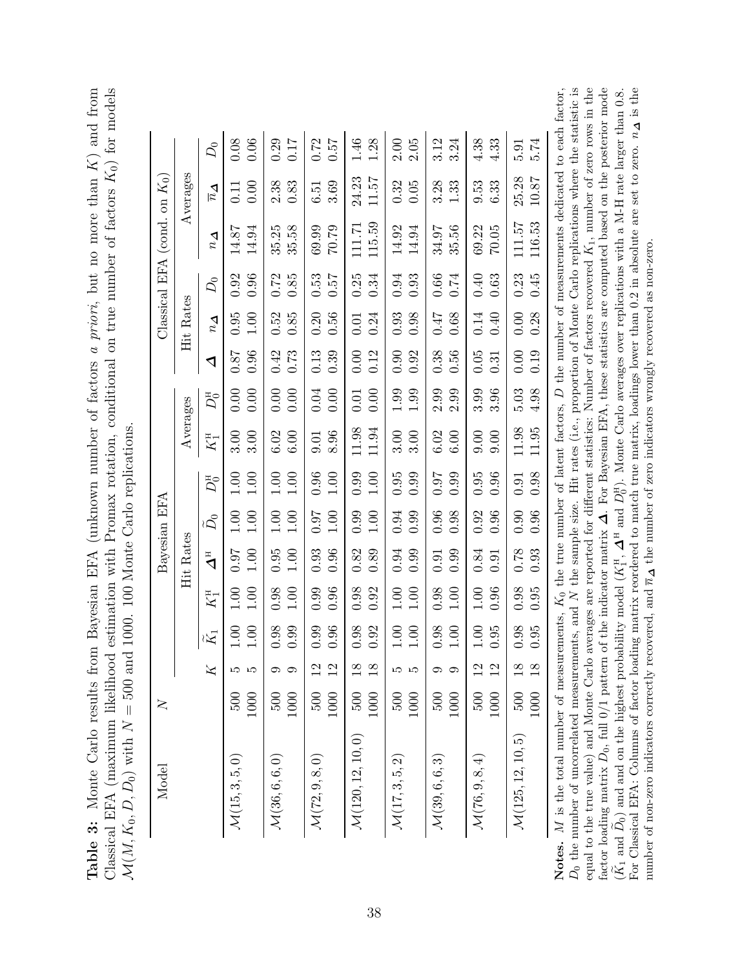<span id="page-39-0"></span>Classical EFA (maximum likelihood estimation with Promax rotation, conditional on true number of factors  $K_0$ ) for models **Table 3:** Monte Carlo results from Bayesian EFA (unknown number of factors a priori, but no more than  $K$ ) and from **Table 3:** Monte Carlo results from Bayesian EFA (unknown number of factors a priori, but no more than  $K$ ) and from  $\alpha_{n-1}$  and  $\alpha_{n-1}$  and  $\alpha_{n-1}$  and  $\alpha_{n-1}$  and  $\alpha_{n-1}$  and  $\alpha_{n-1}$  and  $\alpha_{n-1}$  and  $\alpha_{n-$ Classical EFA (maximum likelihood estimation with Promax rotation, conditional on true number of factors  $K_0$ ) for models  $\mathcal{M}(M, K_0, D, D_0)$  with  $N = 500$  and 1000. 100 Monte Carlo replications.  $\mathcal{M}(M, K_0, D, D_0)$  with  $N = 500$  and 1000. 100 Monte Carlo replications.

| Model                         | $\gtrsim$ |                |                   |                                                         | Bayesian EFA                  |                   |               |               |               |            |                   |                 | Classical EFA (cond. on $K_0$ ) |           |             |
|-------------------------------|-----------|----------------|-------------------|---------------------------------------------------------|-------------------------------|-------------------|---------------|---------------|---------------|------------|-------------------|-----------------|---------------------------------|-----------|-------------|
|                               |           |                |                   |                                                         | <b>Hit Rates</b>              |                   |               |               | Averages      |            | Rates<br>.<br>Hit |                 |                                 | Averages  |             |
|                               |           | R              | $\widetilde{K}_1$ | $K^{\scriptscriptstyle\rm H}_{\scriptscriptstyle\rm I}$ | $\mathbf{A}^{\text{\tiny H}}$ | $\widetilde{D}_0$ | $D_0^{\rm H}$ | $K^{\rm H}_1$ | $D_0^{\rm H}$ | ◁          | $n_{\Delta}$      | $\mathcal{D}_0$ | $n_{\mathbf{\Omega}}$           | $\bar{n}$ | $D_{\rm 0}$ |
| $\mathcal{M}(15, 3, 5, 0)$    | 500       | దా             | 1.00              | 00.1                                                    | <b>16:0</b>                   | 00.1              | 00.1          | 3.00          | 0.00          | <b>180</b> | 0.95              | 0.92            | 14.87                           | 0.11      | 0.08        |
|                               | 1000      | r.             | 1.00              | 1.00                                                    | 1.00                          | 00.1              | 00.1          | 3.00          | 0.00          | 0.96       | 1.00              | 0.96            | 14.94                           | 0.00      | 0.06        |
| $\mathcal{M}(36, 6, 6, 0)$    | 500       |                | 0.98              | 0.98                                                    | 0.95                          | 1.00              | 1.00          | 6.02          | $0.00$        | 0.42       | 0.52              | 0.72            | 35.25                           | 2.38      | 0.29        |
|                               | 1000      | ౧              | 0.99              | 1.00                                                    | 1.00                          | 1.00              | 1.00          | 6.00          | 0.00          | 0.73       | 0.85              | 0.85            | 35.58                           | 0.83      | 71.0        |
| $\mathcal{M}(72, 9, 8, 0)$    | 500       | $^{2}$         | 0.99              | 0.99                                                    | 0.93                          | <b>160</b>        | 0.96          | 0.01          | 0.04          | 0.13       | 0.20              | 0.53            | 69.99                           | 6.51      | 0.72        |
|                               | 1000      | 12             | 0.96              | 0.96                                                    | 0.96                          | 1.00              | 1.00          | 8.96          | 0.00          | 0.39       | 0.56              | 19.0            | 70.79                           | 3.69      | 19.0        |
| $\mathcal{M}(120, 12, 10, 0)$ | 500       | $\frac{8}{1}$  | 0.98              | 0.98                                                    | 0.82                          | 0.99              | 0.99          | 11.98         | 0.01          | 0.00       | 0.01              | 0.25            | 111.71                          | 24.23     | 1.46        |
|                               | 1000      | $\frac{8}{1}$  | 0.92              | 0.92                                                    | 0.89                          | 1.00              | 1.00          | 11.94         | 0.00          | 0.12       | 0.24              | 0.34            | 115.59                          | 11.57     | 1.28        |
| $\mathcal{M}(17, 3, 5, 2)$    | 500       | LC.            | 00.1              | 1.00                                                    | 0.94                          | 0.94              | 0.95          | 3.00          | 1.99          | 0.90       | 0.93              | 0.94            | 14.92                           | 0.32      | 2.00        |
|                               | 1000      | r.             | 00.1              | 1.00                                                    | 0.99                          | 0.99              | 0.99          | 3.00          | 1.99          | 0.92       | 0.98              | 0.93            | 14.94                           | 0.05      | 2.05        |
| $\mathcal{M}(39, 6, 6, 3)$    | 500       | ౧              | 0.98              | 0.98                                                    | 0.91                          | 0.96              | <b>L6:0</b>   | 6.02          | 2.99          | 0.38       | 7F0               | $0.66\,$        | 34.97                           | 3.28      | 3.12        |
|                               | 1000      | ౚ              | 1.00              | 1.00                                                    | 0.99                          | 0.98              | 0.99          | 6.00          | 2.99          | 0.56       | 0.68              | 0.74            | 35.56                           | 1.33      | 3.24        |
| $\mathcal{M}(76, 9, 8, 4)$    | 500       | $^{12}$        | 1.00              | $1.00$                                                  | 0.84                          | 0.92              | 0.95          | 0.00          | 3.99          | 0.05       | 0.14              | 0.40            | 69.22                           | 9.53      | 4.38        |
|                               | 1000      | 12             | 0.95              | 0.96                                                    | 0.91                          | 0.96              | 0.96          | 0.00          | 3.96          | 0.31       | 0.40              | 0.63            | 70.05                           | 6.33      | 4.33        |
| $\mathcal{M}(125, 12, 10, 5)$ | 500       | $\frac{8}{18}$ | 0.98              | 0.98                                                    | 0.78                          | 0.90              | 0.91          | 11.98         | 5.03          | 0.00       | 0.00              | 0.23            | 111.57                          | 25.28     | 5.91        |
|                               | 1000      | $\frac{8}{18}$ | 0.95              | 0.95                                                    | 0.93                          | 0.96              | 0.98          | 11.95         | 4.98          | 0.19       | 0.28              | 0.45            | 116.53                          | 10.87     | 5.74        |

or, equal to the true value) and Monte Carlo averages are reported for different statistics: Number of factors recovered  $K_{1}$ , number of zero rows in the  $\tilde{\mathbf{g}}$ . factor loading matrix  $D_0$ , full  $0/1$  pattern of the indicator matrix  $\Delta$ . For Bayesian EFA, these statistics are computed based on the posterior mode D<sub>0</sub> the number of uncorrelated measurements, and N the sample size. Hit rates (i.e., proportion of Monte Carlo replications where the statistic is  $\frac{1}{1-r}$ ,  $\frac{1}{1-r}$ ,  $\frac{1}{1-r}$ ,  $\frac{1}{1-r}$ ,  $\frac{1}{1-r}$ ,  $\frac{1}{1-r}$ , Notes. M is the total number of measurements,  $K_0$  the true number of latent factors, D the number of measurements dedicated to each factor,  $D_{\rm a}$  the number of measurements dedicated to each factor,  $D_{\rm a}$  the numb equal to the true value) and Monte Carlo averages are reported for different statistics: Number of factors recovered  $K_{1}$ , number of zero rows in the factor loading matrix  $D_0$ , full 0/1 pattern of the indicator matrix  $\Delta$ . For Bayesian EFA, these statistics are computed based on the posterior mode For Classical EFA: Columns of factor loading matrix reordered to match true matrix, loadings lower than 0.2 in absolute are set to zero. n∆ is the  $D_0$ ) and and on the highest probability model (K<sup>H</sup>,  $\Delta^{\text{H}}$  and  $D_0^{\text{H}}$ ). Monte Carlo averages over replications with a M-H rate larger than 0.8. number of non-zero indicators correctly recovered, and  $\bar{n}_{\Delta}$  the number of zero indicators wrongly recovered as non-zero. number of non-zero indicators correctly recovered, and n∆ the number of zero indicators wrongly recovered as non-zero. e C  $(\widetilde{K}_1 \text{ and}$  $\rm \Sigma_{D_0}^{-1}$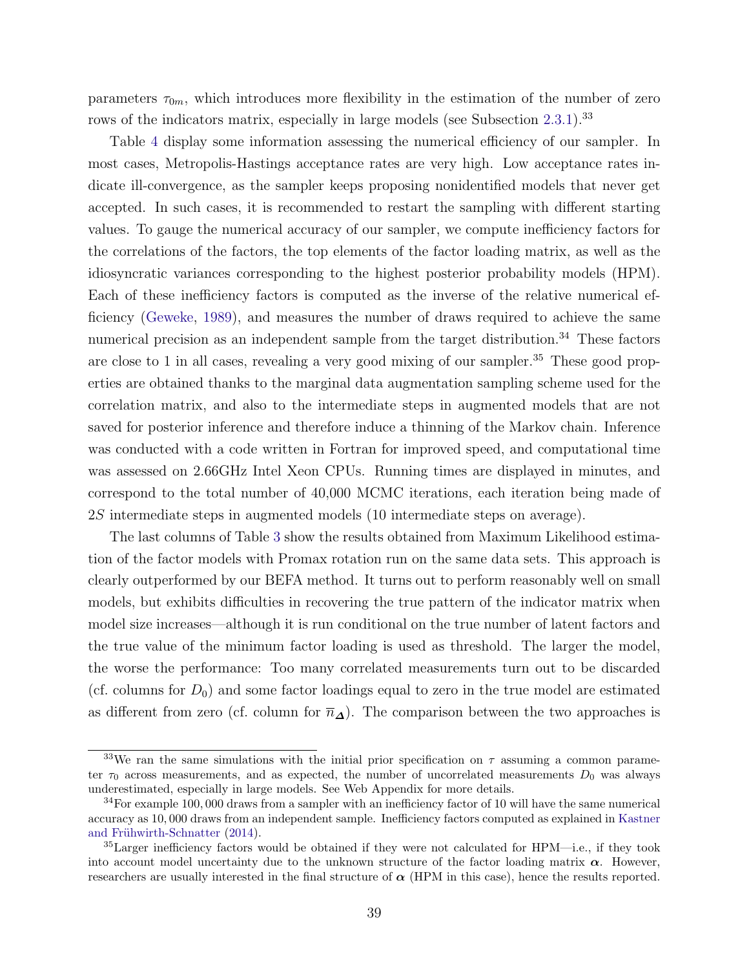parameters  $\tau_{0m}$ , which introduces more flexibility in the estimation of the number of zero rows of the indicators matrix, especially in large models (see Subsection [2.3.1\)](#page-13-0).<sup>33</sup>

Table [4](#page-41-0) display some information assessing the numerical efficiency of our sampler. In most cases, Metropolis-Hastings acceptance rates are very high. Low acceptance rates indicate ill-convergence, as the sampler keeps proposing nonidentified models that never get accepted. In such cases, it is recommended to restart the sampling with different starting values. To gauge the numerical accuracy of our sampler, we compute inefficiency factors for the correlations of the factors, the top elements of the factor loading matrix, as well as the idiosyncratic variances corresponding to the highest posterior probability models (HPM). Each of these inefficiency factors is computed as the inverse of the relative numerical efficiency [\(Geweke,](#page-69-0) [1989\)](#page-69-0), and measures the number of draws required to achieve the same numerical precision as an independent sample from the target distribution.<sup>34</sup> These factors are close to 1 in all cases, revealing a very good mixing of our sampler.<sup>35</sup> These good properties are obtained thanks to the marginal data augmentation sampling scheme used for the correlation matrix, and also to the intermediate steps in augmented models that are not saved for posterior inference and therefore induce a thinning of the Markov chain. Inference was conducted with a code written in Fortran for improved speed, and computational time was assessed on 2.66GHz Intel Xeon CPUs. Running times are displayed in minutes, and correspond to the total number of 40,000 MCMC iterations, each iteration being made of 2S intermediate steps in augmented models (10 intermediate steps on average).

The last columns of Table [3](#page-39-0) show the results obtained from Maximum Likelihood estimation of the factor models with Promax rotation run on the same data sets. This approach is clearly outperformed by our BEFA method. It turns out to perform reasonably well on small models, but exhibits difficulties in recovering the true pattern of the indicator matrix when model size increases—although it is run conditional on the true number of latent factors and the true value of the minimum factor loading is used as threshold. The larger the model, the worse the performance: Too many correlated measurements turn out to be discarded (cf. columns for  $D_0$ ) and some factor loadings equal to zero in the true model are estimated as different from zero (cf. column for  $\overline{n}_{\Delta}$ ). The comparison between the two approaches is

<sup>&</sup>lt;sup>33</sup>We ran the same simulations with the initial prior specification on  $\tau$  assuming a common parameter  $\tau_0$  across measurements, and as expected, the number of uncorrelated measurements  $D_0$  was always underestimated, especially in large models. See Web Appendix for more details.

 $34$ For example 100, 000 draws from a sampler with an inefficiency factor of 10 will have the same numerical accuracy as 10, 000 draws from an independent sample. Inefficiency factors computed as explained in [Kastner](#page-71-0) and Frühwirth-Schnatter [\(2014\)](#page-71-0).

<sup>&</sup>lt;sup>35</sup>Larger inefficiency factors would be obtained if they were not calculated for HPM—i.e., if they took into account model uncertainty due to the unknown structure of the factor loading matrix  $\alpha$ . However, researchers are usually interested in the final structure of  $\alpha$  (HPM in this case), hence the results reported.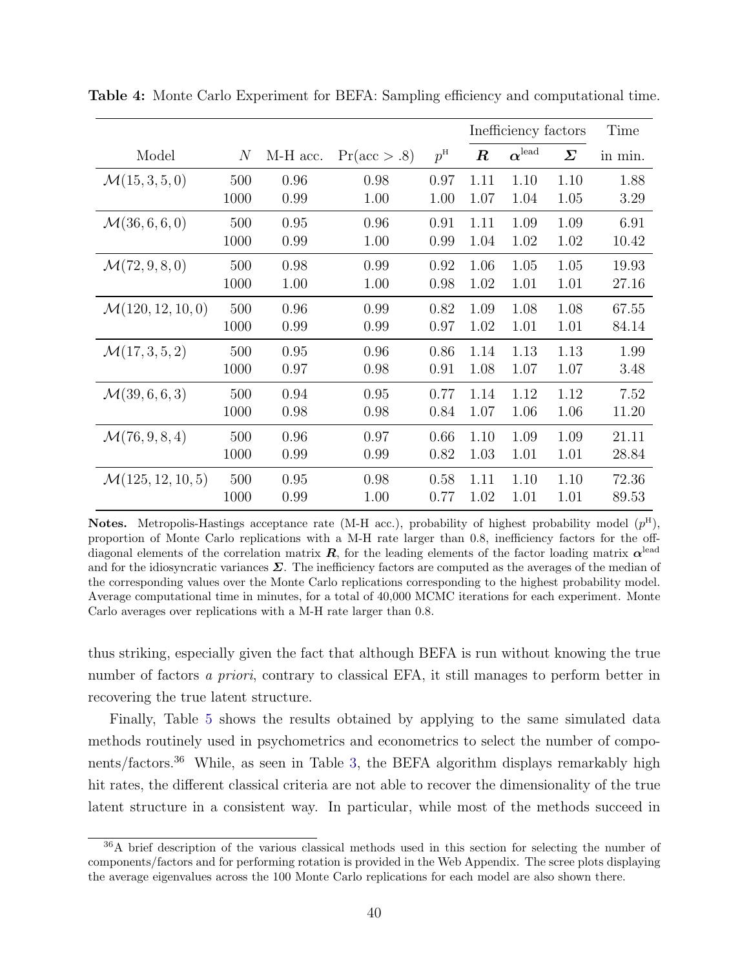|                               |       |          |                       |                |                  | Inefficiency factors                  |                       | Time    |
|-------------------------------|-------|----------|-----------------------|----------------|------------------|---------------------------------------|-----------------------|---------|
| Model                         | $\,N$ | M-H acc. | $Pr(\text{acc} > .8)$ | $p^{\text{H}}$ | $\boldsymbol{R}$ | $\boldsymbol{\alpha}^{\mathrm{lead}}$ | $\boldsymbol{\Sigma}$ | in min. |
| $\mathcal{M}(15, 3, 5, 0)$    | 500   | 0.96     | 0.98                  | 0.97           | 1.11             | 1.10                                  | 1.10                  | 1.88    |
|                               | 1000  | 0.99     | 1.00                  | 1.00           | 1.07             | 1.04                                  | 1.05                  | 3.29    |
| $\mathcal{M}(36, 6, 6, 0)$    | 500   | 0.95     | 0.96                  | 0.91           | 1.11             | 1.09                                  | 1.09                  | 6.91    |
|                               | 1000  | 0.99     | 1.00                  | 0.99           | 1.04             | 1.02                                  | 1.02                  | 10.42   |
| $\mathcal{M}(72, 9, 8, 0)$    | 500   | 0.98     | 0.99                  | 0.92           | 1.06             | 1.05                                  | 1.05                  | 19.93   |
|                               | 1000  | 1.00     | 1.00                  | 0.98           | 1.02             | 1.01                                  | 1.01                  | 27.16   |
| $\mathcal{M}(120, 12, 10, 0)$ | 500   | 0.96     | 0.99                  | 0.82           | 1.09             | 1.08                                  | 1.08                  | 67.55   |
|                               | 1000  | 0.99     | 0.99                  | 0.97           | 1.02             | 1.01                                  | 1.01                  | 84.14   |
| $\mathcal{M}(17, 3, 5, 2)$    | 500   | 0.95     | 0.96                  | 0.86           | 1.14             | 1.13                                  | 1.13                  | 1.99    |
|                               | 1000  | 0.97     | 0.98                  | 0.91           | 1.08             | 1.07                                  | 1.07                  | 3.48    |
| $\mathcal{M}(39, 6, 6, 3)$    | 500   | 0.94     | 0.95                  | 0.77           | 1.14             | 1.12                                  | 1.12                  | 7.52    |
|                               | 1000  | 0.98     | 0.98                  | 0.84           | 1.07             | 1.06                                  | 1.06                  | 11.20   |
| $\mathcal{M}(76, 9, 8, 4)$    | 500   | 0.96     | 0.97                  | 0.66           | 1.10             | 1.09                                  | 1.09                  | 21.11   |
|                               | 1000  | 0.99     | 0.99                  | 0.82           | 1.03             | 1.01                                  | 1.01                  | 28.84   |
| $\mathcal{M}(125, 12, 10, 5)$ | 500   | 0.95     | 0.98                  | 0.58           | 1.11             | 1.10                                  | 1.10                  | 72.36   |
|                               | 1000  | 0.99     | 1.00                  | 0.77           | 1.02             | 1.01                                  | 1.01                  | 89.53   |

<span id="page-41-0"></span>Table 4: Monte Carlo Experiment for BEFA: Sampling efficiency and computational time.

**Notes.** Metropolis-Hastings acceptance rate (M-H acc.), probability of highest probability model  $(p^{\rm H})$ , proportion of Monte Carlo replications with a M-H rate larger than 0.8, inefficiency factors for the offdiagonal elements of the correlation matrix **R**, for the leading elements of the factor loading matrix  $\alpha^{\text{lead}}$ and for the idiosyncratic variances  $\Sigma$ . The inefficiency factors are computed as the averages of the median of the corresponding values over the Monte Carlo replications corresponding to the highest probability model. Average computational time in minutes, for a total of 40,000 MCMC iterations for each experiment. Monte Carlo averages over replications with a M-H rate larger than 0.8.

thus striking, especially given the fact that although BEFA is run without knowing the true number of factors a priori, contrary to classical EFA, it still manages to perform better in recovering the true latent structure.

Finally, Table [5](#page-43-0) shows the results obtained by applying to the same simulated data methods routinely used in psychometrics and econometrics to select the number of components/factors.<sup>36</sup> While, as seen in Table [3,](#page-39-0) the BEFA algorithm displays remarkably high hit rates, the different classical criteria are not able to recover the dimensionality of the true latent structure in a consistent way. In particular, while most of the methods succeed in

<sup>36</sup>A brief description of the various classical methods used in this section for selecting the number of components/factors and for performing rotation is provided in the Web Appendix. The scree plots displaying the average eigenvalues across the 100 Monte Carlo replications for each model are also shown there.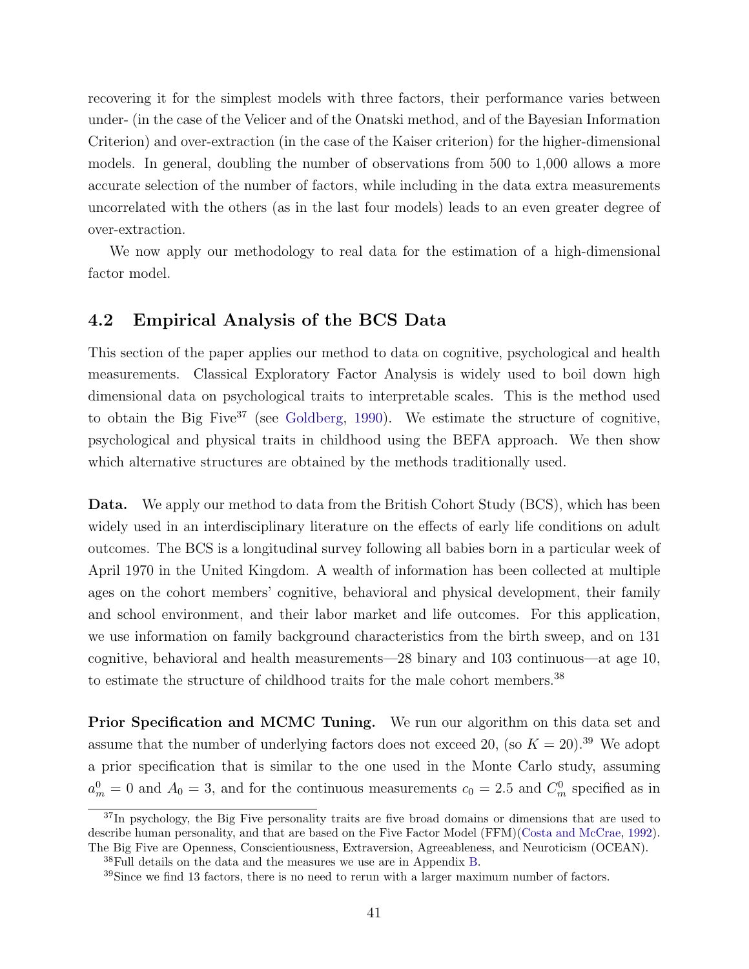recovering it for the simplest models with three factors, their performance varies between under- (in the case of the Velicer and of the Onatski method, and of the Bayesian Information Criterion) and over-extraction (in the case of the Kaiser criterion) for the higher-dimensional models. In general, doubling the number of observations from 500 to 1,000 allows a more accurate selection of the number of factors, while including in the data extra measurements uncorrelated with the others (as in the last four models) leads to an even greater degree of over-extraction.

We now apply our methodology to real data for the estimation of a high-dimensional factor model.

### 4.2 Empirical Analysis of the BCS Data

This section of the paper applies our method to data on cognitive, psychological and health measurements. Classical Exploratory Factor Analysis is widely used to boil down high dimensional data on psychological traits to interpretable scales. This is the method used to obtain the Big Five<sup>37</sup> (see [Goldberg,](#page-69-1) [1990\)](#page-69-1). We estimate the structure of cognitive, psychological and physical traits in childhood using the BEFA approach. We then show which alternative structures are obtained by the methods traditionally used.

Data. We apply our method to data from the British Cohort Study (BCS), which has been widely used in an interdisciplinary literature on the effects of early life conditions on adult outcomes. The BCS is a longitudinal survey following all babies born in a particular week of April 1970 in the United Kingdom. A wealth of information has been collected at multiple ages on the cohort members' cognitive, behavioral and physical development, their family and school environment, and their labor market and life outcomes. For this application, we use information on family background characteristics from the birth sweep, and on 131 cognitive, behavioral and health measurements—28 binary and 103 continuous—at age 10, to estimate the structure of childhood traits for the male cohort members.<sup>38</sup>

Prior Specification and MCMC Tuning. We run our algorithm on this data set and assume that the number of underlying factors does not exceed 20, (so  $K = 20$ ).<sup>39</sup> We adopt a prior specification that is similar to the one used in the Monte Carlo study, assuming  $a_m^0 = 0$  and  $A_0 = 3$ , and for the continuous measurements  $c_0 = 2.5$  and  $C_m^0$  specified as in

<sup>&</sup>lt;sup>37</sup>In psychology, the Big Five personality traits are five broad domains or dimensions that are used to describe human personality, and that are based on the Five Factor Model (FFM)[\(Costa and McCrae,](#page-68-0) [1992\)](#page-68-0). The Big Five are Openness, Conscientiousness, Extraversion, Agreeableness, and Neuroticism (OCEAN).

<sup>38</sup>Full details on the data and the measures we use are in Appendix [B.](#page-62-0)

 $39$ Since we find 13 factors, there is no need to rerun with a larger maximum number of factors.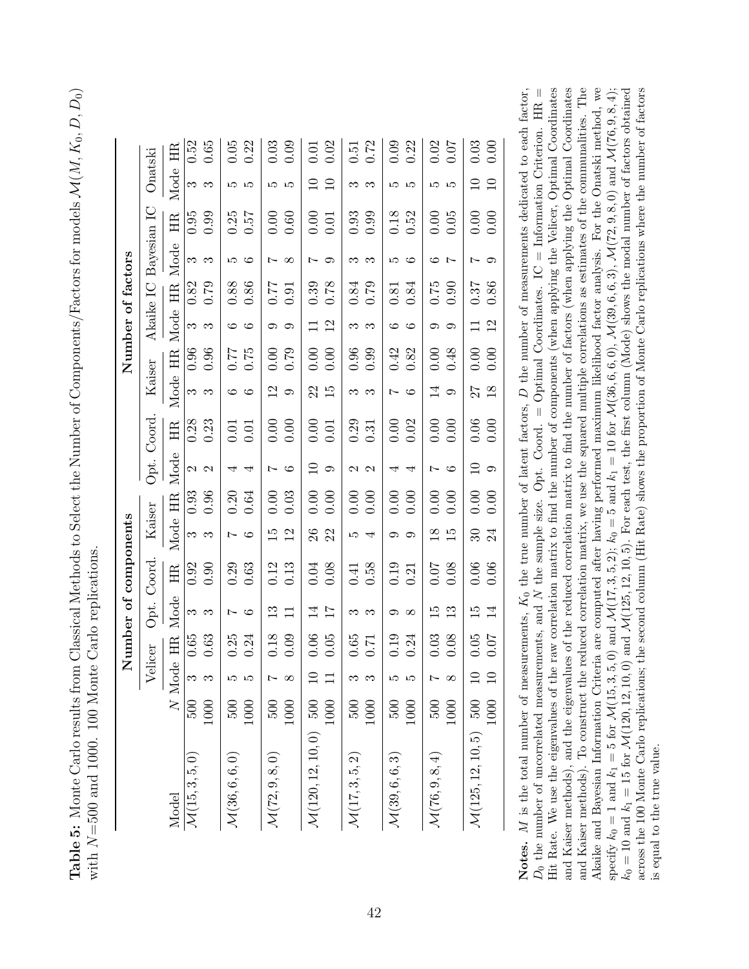<span id="page-43-0"></span>**Table 5:** Monte Carlo results from Classical Methods to Select the Number of Components/Factors for models  $\mathcal{M}(M, K_0, D, D_0)$  ${\bf Table\ 5:}$  Monte Carlo results from Classical Methods to Select the Number of Components/Factors for models  ${\cal M}(M,K_0,D,D_0)$ with  $N$ =500 and 1000. 100 Monte Carlo replications. with N=500 and 1000. 100 Monte Carlo replications.

|                                   |      |                | Number of components |                 |             |                 |        |                   |             |                 |      | Number of factors |      |                       |      |             |             |
|-----------------------------------|------|----------------|----------------------|-----------------|-------------|-----------------|--------|-------------------|-------------|-----------------|------|-------------------|------|-----------------------|------|-------------|-------------|
|                                   |      | Velicer        |                      |                 | Opt. Coord. |                 | Kaiser |                   | Opt. Coord. | Kaiser          |      |                   |      | Akaike IC Bayesian IC |      | Onatski     |             |
| Model                             |      | N Mode         | $\mathbb{H}$         | Mode            | HR          | Mode HR         |        | Mode              | $_{\rm HR}$ | Mode            | HR   | Mode              | HR   | Mode                  | HR   | Mode        | $_{\rm HR}$ |
| $\mathcal{M}(15, 3, 5, 0)$        | 500  | $\mathfrak{c}$ | 0.65                 | S               | 0.92        | S               | 0.93   | $\mathbf{C}$      | 0.28        | S               | 0.96 | S                 | 0.82 | S                     | 0.95 | S           | 0.52        |
|                                   | 1000 |                | 0.63                 | ొ               | 0.90        | ಣ               | 0.96   | $\mathbf{\Omega}$ | 0.23        | ಣ               | 0.96 | ಣ                 | 0.79 | ಣ                     | 0.99 | S           | 0.65        |
| $\mathcal{M}(36, 6, 6, 0)$        | 500  | IJ             | 0.25                 | Ņ               | 0.29        | Ņ               | 0.20   | 4                 | 0.01        | ు               | 77.0 | ు                 | 0.88 | IJ                    | 0.25 | Ľ           | 0.05        |
|                                   | 1000 | J,             | 0.24                 | అ               | 0.63        | ం               | 0.64   | ↤                 | 0.01        | ం               | 0.75 | ల                 | 0.86 | ం                     | 19.0 | LO          | 0.22        |
| $\mathcal{M}(72, 9, 8, 0)$        | 500  | Ņ              | 0.18                 | 13              | 0.12        | $\overline{15}$ | 0.00   | $\overline{ }$    | 0.00        | 12              | 0.00 | ౧                 | 0.77 | $\overline{z}$        | 0.00 | Ľ           | 0.03        |
|                                   | 1000 | $\infty$       | 0.09                 | $\Box$          | 0.13        | 12              | 0.03   | ం                 | 0.00        | ç               | 0.79 | ౚ                 | 0.91 | $\infty$              | 0.60 | LО          | 0.09        |
| $\mathcal{M}(120, 12, 10, 0)$ 500 |      | $\Xi$          | 0.06                 | 14              | 0.04        | 26              | 0.00   | $\overline{10}$   | 0.00        | 22              | 0.00 | $\Box$            | 0.39 | Ņ                     | 0.00 | $\supseteq$ | 0.01        |
|                                   | 1000 |                | 0.05                 | 17              | 0.08        | 22              | 0.00   | ç                 | 0.01        | $\frac{5}{2}$   | 0.00 | 12                | 0.78 | G                     | 0.01 | $\Box$      | 0.02        |
| $\mathcal{M}(17, 3, 5, 2)$        | 500  | ಌ              | 0.65                 | S               | 0.41        | S               | 0.00   | N                 | 0.29        | ಌ               | 0.96 | ಌ                 | 0.84 | ಣ                     | 0.93 | ಌ           | 0.51        |
|                                   | 1000 |                | 0.71                 | S               | 0.58        | ↤               | 0.00   | $\mathcal{C}$     | 0.31        | S               | 0.99 | S                 | 0.79 | S                     | 0.99 | ಌ           | 0.72        |
| $\mathcal{M}(39, 6, 6, 3)$        | 500  | ນລ             | 0.19                 | ౧               | 0.19        | ౧               | 0.00   | ↤                 | 0.00        | Ņ               | 0.42 | $\circ$           | 0.81 | S                     | 0.18 | Ľ           | 0.09        |
|                                   | 1000 | مد             | 0.24                 | $\infty$        | 0.21        | ౚ               | 0.00   | ↤                 | 0.02        | ం               | 0.82 | ల                 | 0.84 | ం                     | 0.52 | ഹ           | 0.22        |
| $\mathcal{M}(76, 9, 8, 4)$        | 500  |                | 0.03                 | $\frac{5}{1}$   | 0.07        | $\frac{8}{18}$  | 0.00   | $\overline{ }$    | 0.00        | $\overline{14}$ | 0.00 | ౚ                 | 0.75 | అ                     | 0.00 | J,          | 0.02        |
|                                   | 1000 | $^{\infty}$    | 0.08                 | 13              | 0.08        | $\frac{5}{10}$  | 0.00   | ం                 | 0.00        | G               | 0.48 | $\circ$           | 0.90 | $\overline{z}$        | 0.05 | LC.         | 0.07        |
| $\mathcal{M}(125, 12, 10, 5)$ 500 |      | $\Box$         | 0.05                 | $\overline{15}$ | 0.06        | R               | 0.00   | $\overline{10}$   | 0.06        | 27              | 0.00 | $\Box$            | 0.37 | Ņ                     | 0.00 | $\Box$      | 0.03        |
|                                   | 1000 |                | 0.07                 | $\overline{14}$ | 0.06        | 24              | 0.00   | $\circ$           | 0.00        | $\frac{8}{18}$  | 0.00 | 12                | 0.86 | ౚ                     | 0.00 | 10          | 0.00        |

Hit Rate. We use the eigenvalues of the raw correlation matrix to find the number of components (when applying the Velicer, Optimal Coordinates and Kaiser methods), and the eigenvalues of the reduced correlation matrix to find the number of factors (when applying the Optimal Coordinates and Kaiser methods). To construct the reduced correlation matrix, we use the squared multiple correlations as estimates of the communalities. The Akaike and Bayesian Information Criteria are computed after having performed maximum likelihood factor analysis. For the Onatski method, we Notes. M is the total number of measurements,  $K_0$  the true number of latent factors, D the number of measurements dedicated to each factor,  $D_0$  the number of uncorrelated measurements, and N the sample size. Opt. Coord. = Optimal Coordinates. IC = Information Criterion. HR = specify  $k_0 = 1$  and  $k_1 = 5$  for  $\mathcal{M}(15, 3, 5, 0)$  and  $\mathcal{M}(17, 3, 5, 2)$ ;  $k_0 = 5$  and  $k_1 = 10$  for  $\mathcal{M}(36, 6, 6, 0)$ ,  $\mathcal{M}(39, 6, 6, 3)$ ,  $\mathcal{M}(72, 9, 8, 0)$  and  $\mathcal{M}(76, 9, 8, 4)$ ;  $k_0 = 10$  and  $k_1 = 15$  for  $\mathcal{M}(120, 12, 10, 0)$  and  $\mathcal{M}(125, 12, 10, 5)$ . For each test, the first column (Mode) shows the modal number of factors obtained across the 100 Monte Carlo replications; the second column (Hit Rate) shows the proportion of Monte Carlo replications where the number of factors **Notes.** M is the total number of measurements,  $K_0$  the true number of latent factors, D the number of measurements dedicated to each factor,  $D_{\alpha}$  the number of measurements dedicated to each factor,  $D_{\alpha}$  the numb  $D_0$  the number of uncorrelated measurements, and N the sample size. Opt. Coord. = Optimal Coordinates. IC = Information Criterion.  $HR =$ <br>  $\ldots$ Hit Rate. We use the eigenvalues of the raw correlation matrix to find the number of components (when applying the Velicer, Optimal Coordinates and Kaiser methods), and the eigenvalues of the reduced correlation matrix to find the number of factors (when applying the Optimal Coordinates and Kaiser methods). To construct the reduced correlation matrix, we use the squared multiple correlations as estimates of the communalities. The Akaike and Bayesian Information Criteria are computed after having performed maximum likelihood factor analysis. For the Onatski method, we specify  $k_0 = 1$  and  $k_1 = 5$  for  $\mathcal{M}(15, 3, 5, 0)$  and  $\mathcal{M}(17, 3, 5, 2)$ ;  $k_0 = 5$  and  $k_1 = 10$  for  $\mathcal{M}(36, 6, 6, 0)$ ,  $\mathcal{M}(39, 6, 6, 3)$ ,  $\mathcal{M}(72, 9, 8, 0)$  and  $\mathcal{M}(76, 9, 8, 4)$ ;  $k_0 = 10$  and  $k_1 = 15$  for  $\mathcal{M}(120, 12, 10, 0)$  and  $\mathcal{M}(125, 12, 10, 5)$ . For each test, the first column (Mode) shows the modal number of factors obtained across the 100 Monte Carlo replications; the second column (Hit Rate) shows the proportion of Monte Carlo replications where the number of factors is equal to the true value. is equal to the true value.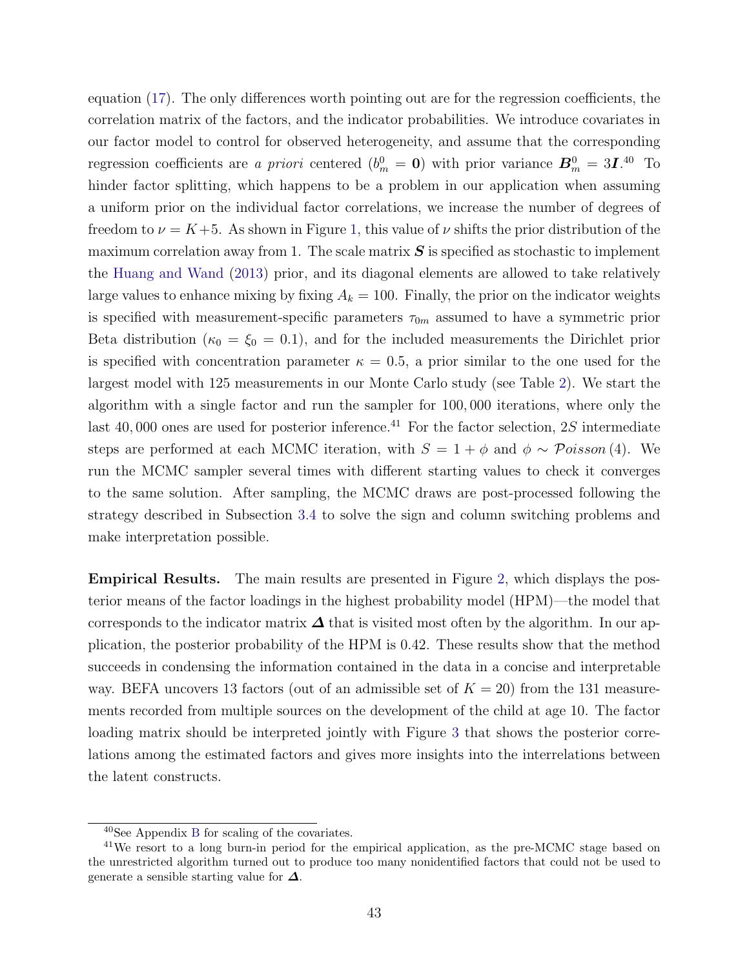equation [\(17\)](#page-16-0). The only differences worth pointing out are for the regression coefficients, the correlation matrix of the factors, and the indicator probabilities. We introduce covariates in our factor model to control for observed heterogeneity, and assume that the corresponding regression coefficients are *a priori* centered  $(b_m^0 = 0)$  with prior variance  $B_m^0 = 3I^{40}$  To hinder factor splitting, which happens to be a problem in our application when assuming a uniform prior on the individual factor correlations, we increase the number of degrees of freedom to  $\nu = K+5$ . As shown in Figure [1,](#page-20-0) this value of  $\nu$  shifts the prior distribution of the maximum correlation away from 1. The scale matrix  $S$  is specified as stochastic to implement the [Huang and Wand](#page-70-0) [\(2013\)](#page-70-0) prior, and its diagonal elements are allowed to take relatively large values to enhance mixing by fixing  $A_k = 100$ . Finally, the prior on the indicator weights is specified with measurement-specific parameters  $\tau_{0m}$  assumed to have a symmetric prior Beta distribution ( $\kappa_0 = \xi_0 = 0.1$ ), and for the included measurements the Dirichlet prior is specified with concentration parameter  $\kappa = 0.5$ , a prior similar to the one used for the largest model with 125 measurements in our Monte Carlo study (see Table [2\)](#page-37-0). We start the algorithm with a single factor and run the sampler for 100, 000 iterations, where only the last 40,000 ones are used for posterior inference.<sup>41</sup> For the factor selection, 2S intermediate steps are performed at each MCMC iteration, with  $S = 1 + \phi$  and  $\phi \sim \mathcal{Poisson}(4)$ . We run the MCMC sampler several times with different starting values to check it converges to the same solution. After sampling, the MCMC draws are post-processed following the strategy described in Subsection [3.4](#page-33-0) to solve the sign and column switching problems and make interpretation possible.

Empirical Results. The main results are presented in Figure [2,](#page-45-0) which displays the posterior means of the factor loadings in the highest probability model (HPM)—the model that corresponds to the indicator matrix  $\Delta$  that is visited most often by the algorithm. In our application, the posterior probability of the HPM is 0.42. These results show that the method succeeds in condensing the information contained in the data in a concise and interpretable way. BEFA uncovers 13 factors (out of an admissible set of  $K = 20$ ) from the 131 measurements recorded from multiple sources on the development of the child at age 10. The factor loading matrix should be interpreted jointly with Figure [3](#page-47-0) that shows the posterior correlations among the estimated factors and gives more insights into the interrelations between the latent constructs.

<sup>40</sup>See Appendix [B](#page-62-0) for scaling of the covariates.

<sup>&</sup>lt;sup>41</sup>We resort to a long burn-in period for the empirical application, as the pre-MCMC stage based on the unrestricted algorithm turned out to produce too many nonidentified factors that could not be used to generate a sensible starting value for  $\Delta$ .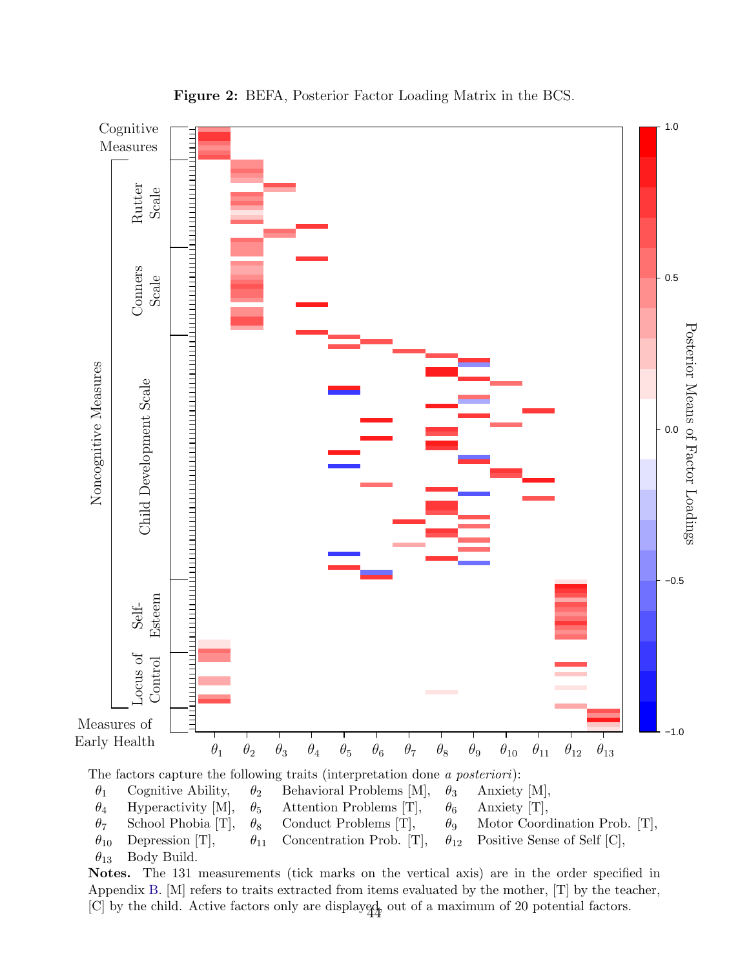<span id="page-45-0"></span>

Figure 2: BEFA, Posterior Factor Loading Matrix in the BCS.

 $\theta_4$  Hyperactivity [M],  $\theta_5$  Attention Problems [T],

 $\theta_7$  School Phobia [T],  $\theta_8$  Conduct Problems [T],  $\theta_9$  Motor Coordination Prob. [T],

 $\theta_{10}$  Depression [T],  $\theta_{11}$  Concentration Prob. [T],  $\theta_{12}$  Positive Sense of Self [C],

 $\theta_{13}$  Body Build.

Notes. The 131 measurements (tick marks on the vertical axis) are in the order specified in Appendix [B.](#page-62-0) [M] refers to traits extracted from items evaluated by the mother, [T] by the teacher, [C] by the child. Active factors only are displayed, out of a maximum of 20 potential factors.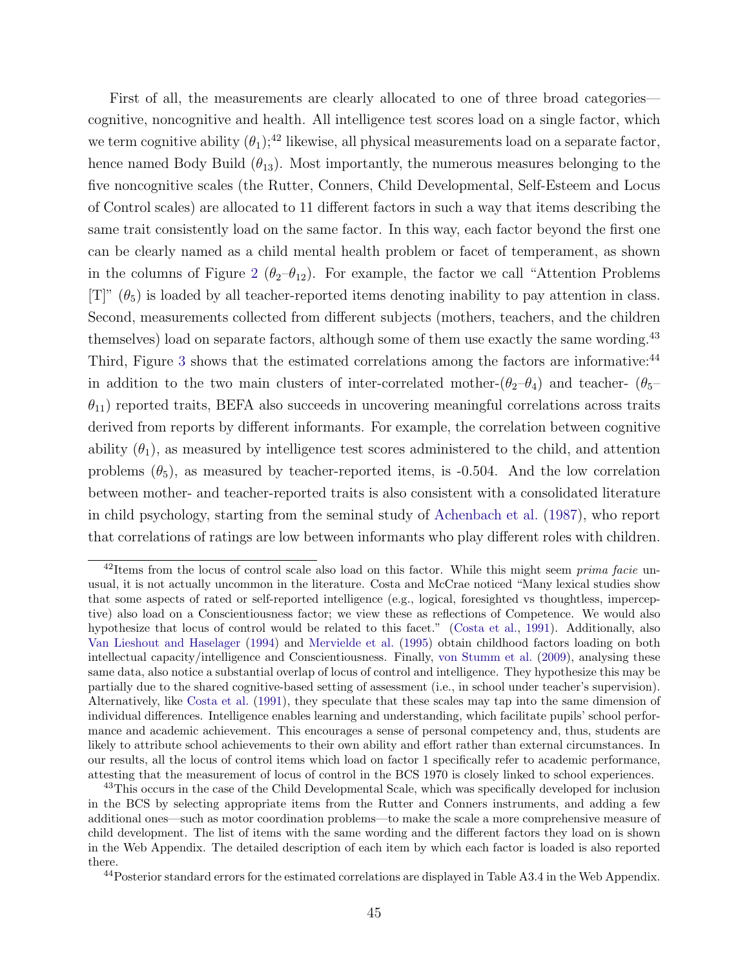First of all, the measurements are clearly allocated to one of three broad categories cognitive, noncognitive and health. All intelligence test scores load on a single factor, which we term cognitive ability  $(\theta_1);^{42}$  likewise, all physical measurements load on a separate factor, hence named Body Build  $(\theta_{13})$ . Most importantly, the numerous measures belonging to the five noncognitive scales (the Rutter, Conners, Child Developmental, Self-Esteem and Locus of Control scales) are allocated to 11 different factors in such a way that items describing the same trait consistently load on the same factor. In this way, each factor beyond the first one can be clearly named as a child mental health problem or facet of temperament, as shown in the columns of Figure [2](#page-45-0)  $(\theta_2-\theta_{12})$ . For example, the factor we call "Attention Problems  $[T]$ "  $(\theta_5)$  is loaded by all teacher-reported items denoting inability to pay attention in class. Second, measurements collected from different subjects (mothers, teachers, and the children themselves) load on separate factors, although some of them use exactly the same wording.<sup>43</sup> Third, Figure [3](#page-47-0) shows that the estimated correlations among the factors are informative:<sup>44</sup> in addition to the two main clusters of inter-correlated mother- $(\theta_2-\theta_4)$  and teacher-  $(\theta_5-\theta_5)$  $\theta_{11}$ ) reported traits, BEFA also succeeds in uncovering meaningful correlations across traits derived from reports by different informants. For example, the correlation between cognitive ability  $(\theta_1)$ , as measured by intelligence test scores administered to the child, and attention problems  $(\theta_5)$ , as measured by teacher-reported items, is -0.504. And the low correlation between mother- and teacher-reported traits is also consistent with a consolidated literature in child psychology, starting from the seminal study of [Achenbach et al.](#page-66-0) [\(1987\)](#page-66-0), who report that correlations of ratings are low between informants who play different roles with children.

 $42$ Items from the locus of control scale also load on this factor. While this might seem *prima facie* unusual, it is not actually uncommon in the literature. Costa and McCrae noticed "Many lexical studies show that some aspects of rated or self-reported intelligence (e.g., logical, foresighted vs thoughtless, imperceptive) also load on a Conscientiousness factor; we view these as reflections of Competence. We would also hypothesize that locus of control would be related to this facet." [\(Costa et al.,](#page-68-1) [1991\)](#page-68-1). Additionally, also [Van Lieshout and Haselager](#page-73-0) [\(1994\)](#page-73-0) and [Mervielde et al.](#page-72-1) [\(1995\)](#page-72-1) obtain childhood factors loading on both intellectual capacity/intelligence and Conscientiousness. Finally, [von Stumm et al.](#page-73-1) [\(2009\)](#page-73-1), analysing these same data, also notice a substantial overlap of locus of control and intelligence. They hypothesize this may be partially due to the shared cognitive-based setting of assessment (i.e., in school under teacher's supervision). Alternatively, like [Costa et al.](#page-68-1) [\(1991\)](#page-68-1), they speculate that these scales may tap into the same dimension of individual differences. Intelligence enables learning and understanding, which facilitate pupils' school performance and academic achievement. This encourages a sense of personal competency and, thus, students are likely to attribute school achievements to their own ability and effort rather than external circumstances. In our results, all the locus of control items which load on factor 1 specifically refer to academic performance, attesting that the measurement of locus of control in the BCS 1970 is closely linked to school experiences.

<sup>&</sup>lt;sup>43</sup>This occurs in the case of the Child Developmental Scale, which was specifically developed for inclusion in the BCS by selecting appropriate items from the Rutter and Conners instruments, and adding a few additional ones—such as motor coordination problems—to make the scale a more comprehensive measure of child development. The list of items with the same wording and the different factors they load on is shown in the Web Appendix. The detailed description of each item by which each factor is loaded is also reported there.

<sup>44</sup>Posterior standard errors for the estimated correlations are displayed in Table A3.4 in the Web Appendix.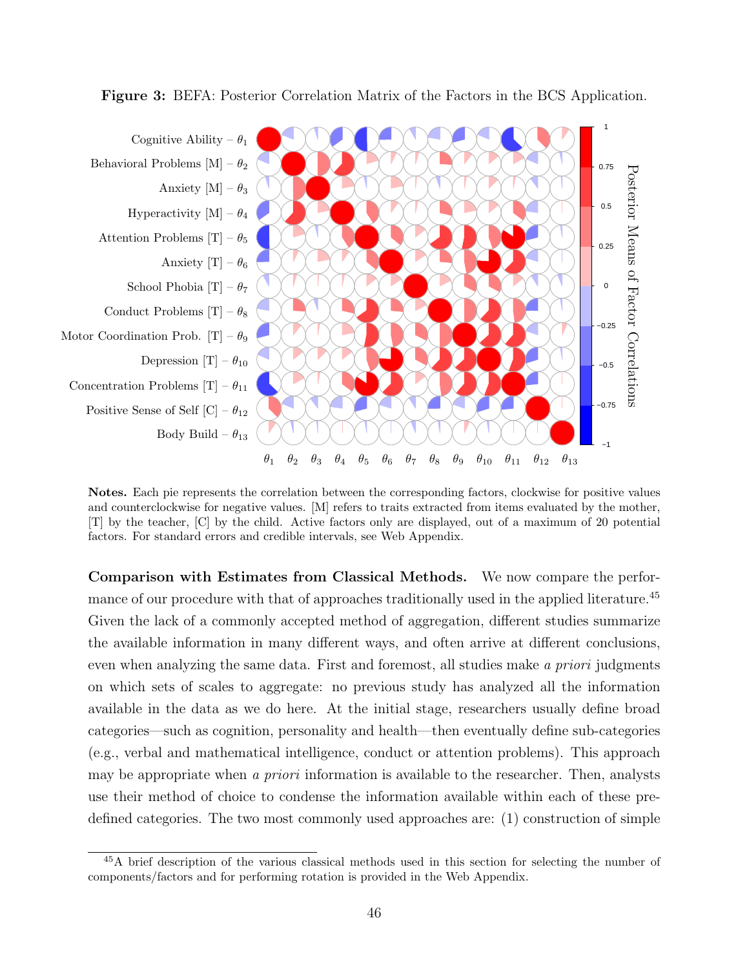

<span id="page-47-0"></span>Figure 3: BEFA: Posterior Correlation Matrix of the Factors in the BCS Application.

Notes. Each pie represents the correlation between the corresponding factors, clockwise for positive values and counterclockwise for negative values. [M] refers to traits extracted from items evaluated by the mother, [T] by the teacher, [C] by the child. Active factors only are displayed, out of a maximum of 20 potential factors. For standard errors and credible intervals, see Web Appendix.

Comparison with Estimates from Classical Methods. We now compare the performance of our procedure with that of approaches traditionally used in the applied literature.<sup>45</sup> Given the lack of a commonly accepted method of aggregation, different studies summarize the available information in many different ways, and often arrive at different conclusions, even when analyzing the same data. First and foremost, all studies make a priori judgments on which sets of scales to aggregate: no previous study has analyzed all the information available in the data as we do here. At the initial stage, researchers usually define broad categories—such as cognition, personality and health—then eventually define sub-categories (e.g., verbal and mathematical intelligence, conduct or attention problems). This approach may be appropriate when a priori information is available to the researcher. Then, analysts use their method of choice to condense the information available within each of these predefined categories. The two most commonly used approaches are: (1) construction of simple

<sup>45</sup>A brief description of the various classical methods used in this section for selecting the number of components/factors and for performing rotation is provided in the Web Appendix.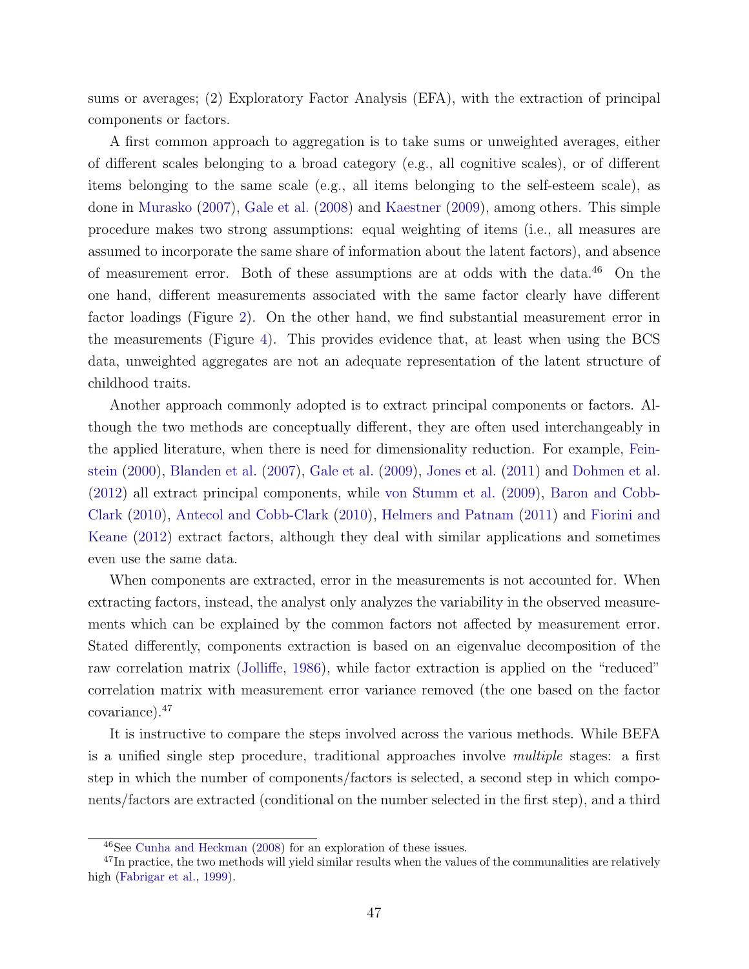sums or averages; (2) Exploratory Factor Analysis (EFA), with the extraction of principal components or factors.

A first common approach to aggregation is to take sums or unweighted averages, either of different scales belonging to a broad category (e.g., all cognitive scales), or of different items belonging to the same scale (e.g., all items belonging to the self-esteem scale), as done in [Murasko](#page-72-2) [\(2007\)](#page-72-2), [Gale et al.](#page-69-2) [\(2008\)](#page-69-2) and [Kaestner](#page-71-1) [\(2009\)](#page-71-1), among others. This simple procedure makes two strong assumptions: equal weighting of items (i.e., all measures are assumed to incorporate the same share of information about the latent factors), and absence of measurement error. Both of these assumptions are at odds with the data.<sup>46</sup> On the one hand, different measurements associated with the same factor clearly have different factor loadings (Figure [2\)](#page-45-0). On the other hand, we find substantial measurement error in the measurements (Figure [4\)](#page-49-0). This provides evidence that, at least when using the BCS data, unweighted aggregates are not an adequate representation of the latent structure of childhood traits.

Another approach commonly adopted is to extract principal components or factors. Although the two methods are conceptually different, they are often used interchangeably in the applied literature, when there is need for dimensionality reduction. For example, [Fein](#page-68-2)[stein](#page-68-2) [\(2000\)](#page-68-2), [Blanden et al.](#page-66-1) [\(2007\)](#page-66-1), [Gale et al.](#page-69-3) [\(2009\)](#page-69-3), [Jones et al.](#page-70-1) [\(2011\)](#page-70-1) and [Dohmen et al.](#page-68-3) [\(2012\)](#page-68-3) all extract principal components, while [von Stumm et al.](#page-73-1) [\(2009\)](#page-73-1), [Baron and Cobb-](#page-66-2)[Clark](#page-66-2) [\(2010\)](#page-66-2), [Antecol and Cobb-Clark](#page-66-3) [\(2010\)](#page-66-3), [Helmers and Patnam](#page-70-2) [\(2011\)](#page-70-2) and [Fiorini and](#page-68-4) [Keane](#page-68-4) [\(2012\)](#page-68-4) extract factors, although they deal with similar applications and sometimes even use the same data.

When components are extracted, error in the measurements is not accounted for. When extracting factors, instead, the analyst only analyzes the variability in the observed measurements which can be explained by the common factors not affected by measurement error. Stated differently, components extraction is based on an eigenvalue decomposition of the raw correlation matrix [\(Jolliffe,](#page-70-3) [1986\)](#page-70-3), while factor extraction is applied on the "reduced" correlation matrix with measurement error variance removed (the one based on the factor covariance).<sup>47</sup>

It is instructive to compare the steps involved across the various methods. While BEFA is a unified single step procedure, traditional approaches involve multiple stages: a first step in which the number of components/factors is selected, a second step in which components/factors are extracted (conditional on the number selected in the first step), and a third

<sup>46</sup>See [Cunha and Heckman](#page-68-5) [\(2008\)](#page-68-5) for an exploration of these issues.

<sup>&</sup>lt;sup>47</sup>In practice, the two methods will yield similar results when the values of the communalities are relatively high [\(Fabrigar et al.,](#page-68-6) [1999\)](#page-68-6).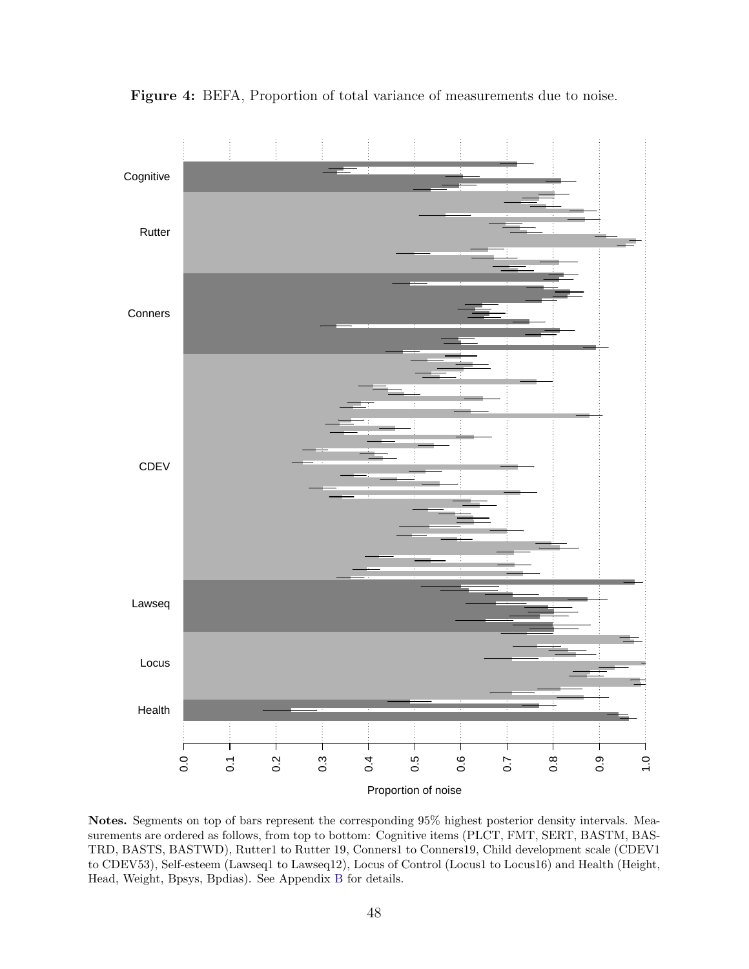<span id="page-49-0"></span>

Figure 4: BEFA, Proportion of total variance of measurements due to noise.

Notes. Segments on top of bars represent the corresponding 95% highest posterior density intervals. Measurements are ordered as follows, from top to bottom: Cognitive items (PLCT, FMT, SERT, BASTM, BAS-TRD, BASTS, BASTWD), Rutter1 to Rutter 19, Conners1 to Conners19, Child development scale (CDEV1 to CDEV53), Self-esteem (Lawseq1 to Lawseq12), Locus of Control (Locus1 to Locus16) and Health (Height, Head, Weight, Bpsys, Bpdias). See Appendix [B](#page-62-0) for details.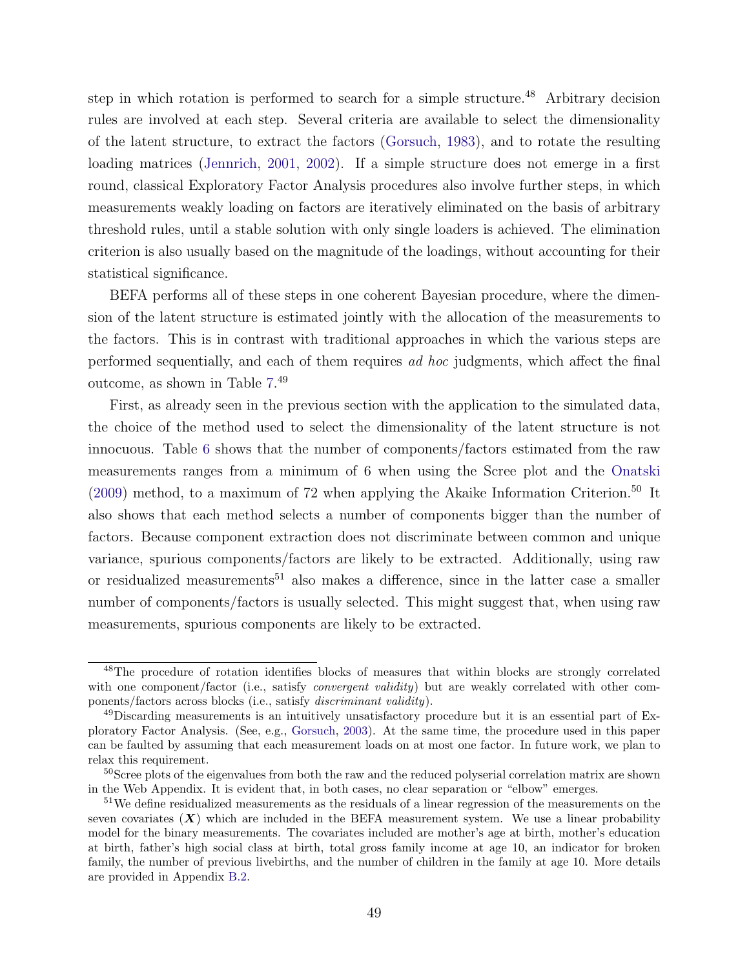step in which rotation is performed to search for a simple structure.<sup>48</sup> Arbitrary decision rules are involved at each step. Several criteria are available to select the dimensionality of the latent structure, to extract the factors [\(Gorsuch,](#page-69-4) [1983\)](#page-69-4), and to rotate the resulting loading matrices [\(Jennrich,](#page-70-4) [2001,](#page-70-4) [2002\)](#page-70-5). If a simple structure does not emerge in a first round, classical Exploratory Factor Analysis procedures also involve further steps, in which measurements weakly loading on factors are iteratively eliminated on the basis of arbitrary threshold rules, until a stable solution with only single loaders is achieved. The elimination criterion is also usually based on the magnitude of the loadings, without accounting for their statistical significance.

BEFA performs all of these steps in one coherent Bayesian procedure, where the dimension of the latent structure is estimated jointly with the allocation of the measurements to the factors. This is in contrast with traditional approaches in which the various steps are performed sequentially, and each of them requires ad hoc judgments, which affect the final outcome, as shown in Table [7.](#page-53-0) 49

First, as already seen in the previous section with the application to the simulated data, the choice of the method used to select the dimensionality of the latent structure is not innocuous. Table [6](#page-51-0) shows that the number of components/factors estimated from the raw measurements ranges from a minimum of 6 when using the Scree plot and the [Onatski](#page-72-3) [\(2009\)](#page-72-3) method, to a maximum of 72 when applying the Akaike Information Criterion.<sup>50</sup> It also shows that each method selects a number of components bigger than the number of factors. Because component extraction does not discriminate between common and unique variance, spurious components/factors are likely to be extracted. Additionally, using raw or residualized measurements<sup>51</sup> also makes a difference, since in the latter case a smaller number of components/factors is usually selected. This might suggest that, when using raw measurements, spurious components are likely to be extracted.

<sup>&</sup>lt;sup>48</sup>The procedure of rotation identifies blocks of measures that within blocks are strongly correlated with one component/factor (i.e., satisfy *convergent validity*) but are weakly correlated with other components/factors across blocks (i.e., satisfy discriminant validity).

<sup>49</sup>Discarding measurements is an intuitively unsatisfactory procedure but it is an essential part of Exploratory Factor Analysis. (See, e.g., [Gorsuch,](#page-69-5) [2003\)](#page-69-5). At the same time, the procedure used in this paper can be faulted by assuming that each measurement loads on at most one factor. In future work, we plan to relax this requirement.

<sup>&</sup>lt;sup>50</sup>Scree plots of the eigenvalues from both the raw and the reduced polyserial correlation matrix are shown in the Web Appendix. It is evident that, in both cases, no clear separation or "elbow" emerges.

<sup>&</sup>lt;sup>51</sup>We define residualized measurements as the residuals of a linear regression of the measurements on the seven covariates  $(X)$  which are included in the BEFA measurement system. We use a linear probability model for the binary measurements. The covariates included are mother's age at birth, mother's education at birth, father's high social class at birth, total gross family income at age 10, an indicator for broken family, the number of previous livebirths, and the number of children in the family at age 10. More details are provided in Appendix [B.2.](#page-64-0)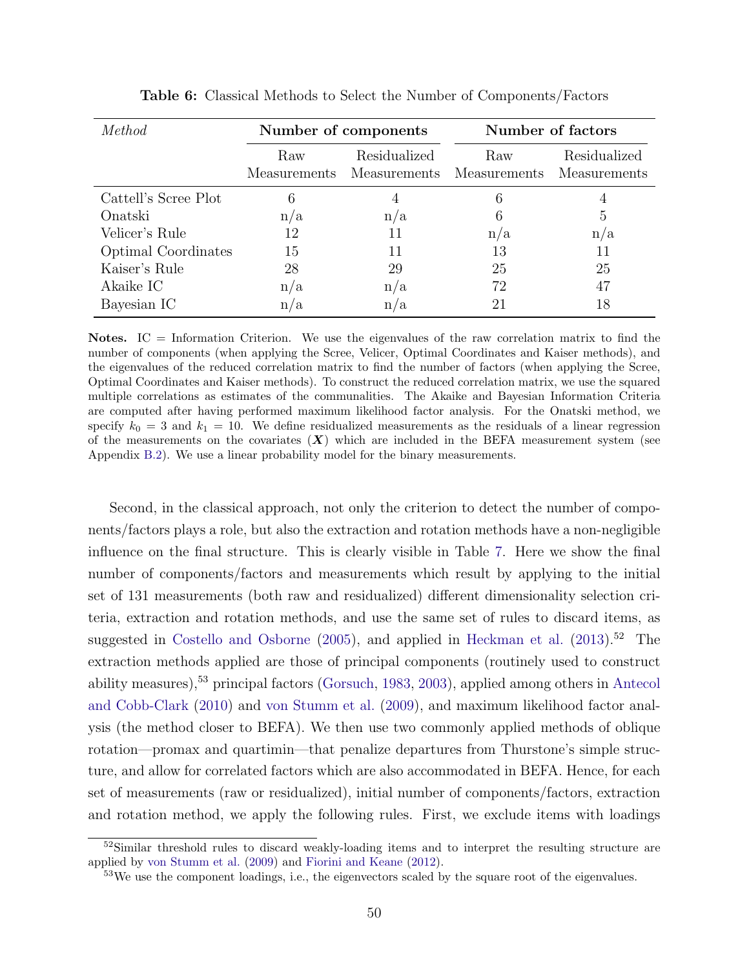<span id="page-51-0"></span>

| Method               |              | Number of components |              | Number of factors |
|----------------------|--------------|----------------------|--------------|-------------------|
|                      | Raw          | Residualized         | Raw          | Residualized      |
|                      | Measurements | Measurements         | Measurements | Measurements      |
| Cattell's Scree Plot | 6            | 4                    | 6            |                   |
| Onatski              | n/a          | n/a                  | 6            | 5                 |
| Velicer's Rule       | 12           | 11                   | n/a          | n/a               |
| Optimal Coordinates  | 15           | 11                   | 13           | 11                |
| Kaiser's Rule        | 28           | 29                   | 25           | 25                |
| Akaike IC            | n/a          | n/a                  | 72           | 47                |
| Bayesian IC          | n/a          | n/a                  | 21           | 18                |

Table 6: Classical Methods to Select the Number of Components/Factors

Notes. IC = Information Criterion. We use the eigenvalues of the raw correlation matrix to find the number of components (when applying the Scree, Velicer, Optimal Coordinates and Kaiser methods), and the eigenvalues of the reduced correlation matrix to find the number of factors (when applying the Scree, Optimal Coordinates and Kaiser methods). To construct the reduced correlation matrix, we use the squared multiple correlations as estimates of the communalities. The Akaike and Bayesian Information Criteria are computed after having performed maximum likelihood factor analysis. For the Onatski method, we specify  $k_0 = 3$  and  $k_1 = 10$ . We define residualized measurements as the residuals of a linear regression of the measurements on the covariates  $(X)$  which are included in the BEFA measurement system (see Appendix [B.2\)](#page-64-0). We use a linear probability model for the binary measurements.

Second, in the classical approach, not only the criterion to detect the number of components/factors plays a role, but also the extraction and rotation methods have a non-negligible influence on the final structure. This is clearly visible in Table [7.](#page-53-0) Here we show the final number of components/factors and measurements which result by applying to the initial set of 131 measurements (both raw and residualized) different dimensionality selection criteria, extraction and rotation methods, and use the same set of rules to discard items, as suggested in [Costello and Osborne](#page-68-7) [\(2005\)](#page-68-7), and applied in [Heckman et al.](#page-70-6) [\(2013\)](#page-70-6).<sup>52</sup> The extraction methods applied are those of principal components (routinely used to construct ability measures),<sup>53</sup> principal factors [\(Gorsuch,](#page-69-4) [1983,](#page-69-4) [2003\)](#page-69-5), applied among others in [Antecol](#page-66-3) [and Cobb-Clark](#page-66-3) [\(2010\)](#page-66-3) and [von Stumm et al.](#page-73-1) [\(2009\)](#page-73-1), and maximum likelihood factor analysis (the method closer to BEFA). We then use two commonly applied methods of oblique rotation—promax and quartimin—that penalize departures from Thurstone's simple structure, and allow for correlated factors which are also accommodated in BEFA. Hence, for each set of measurements (raw or residualized), initial number of components/factors, extraction and rotation method, we apply the following rules. First, we exclude items with loadings

<sup>&</sup>lt;sup>52</sup>Similar threshold rules to discard weakly-loading items and to interpret the resulting structure are applied by [von Stumm et al.](#page-73-1) [\(2009\)](#page-73-1) and [Fiorini and Keane](#page-68-4) [\(2012\)](#page-68-4).

<sup>&</sup>lt;sup>53</sup>We use the component loadings, i.e., the eigenvectors scaled by the square root of the eigenvalues.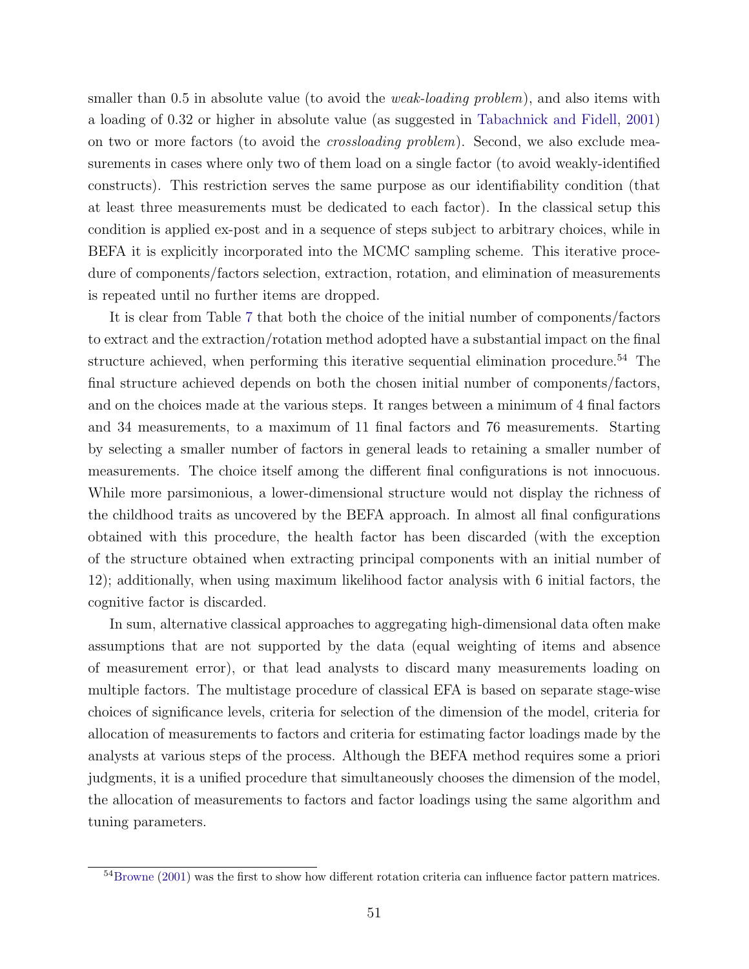smaller than 0.5 in absolute value (to avoid the *weak-loading problem*), and also items with a loading of 0.32 or higher in absolute value (as suggested in [Tabachnick and Fidell,](#page-73-2) [2001\)](#page-73-2) on two or more factors (to avoid the crossloading problem). Second, we also exclude measurements in cases where only two of them load on a single factor (to avoid weakly-identified constructs). This restriction serves the same purpose as our identifiability condition (that at least three measurements must be dedicated to each factor). In the classical setup this condition is applied ex-post and in a sequence of steps subject to arbitrary choices, while in BEFA it is explicitly incorporated into the MCMC sampling scheme. This iterative procedure of components/factors selection, extraction, rotation, and elimination of measurements is repeated until no further items are dropped.

It is clear from Table [7](#page-53-0) that both the choice of the initial number of components/factors to extract and the extraction/rotation method adopted have a substantial impact on the final structure achieved, when performing this iterative sequential elimination procedure.<sup>54</sup> The final structure achieved depends on both the chosen initial number of components/factors, and on the choices made at the various steps. It ranges between a minimum of 4 final factors and 34 measurements, to a maximum of 11 final factors and 76 measurements. Starting by selecting a smaller number of factors in general leads to retaining a smaller number of measurements. The choice itself among the different final configurations is not innocuous. While more parsimonious, a lower-dimensional structure would not display the richness of the childhood traits as uncovered by the BEFA approach. In almost all final configurations obtained with this procedure, the health factor has been discarded (with the exception of the structure obtained when extracting principal components with an initial number of 12); additionally, when using maximum likelihood factor analysis with 6 initial factors, the cognitive factor is discarded.

In sum, alternative classical approaches to aggregating high-dimensional data often make assumptions that are not supported by the data (equal weighting of items and absence of measurement error), or that lead analysts to discard many measurements loading on multiple factors. The multistage procedure of classical EFA is based on separate stage-wise choices of significance levels, criteria for selection of the dimension of the model, criteria for allocation of measurements to factors and criteria for estimating factor loadings made by the analysts at various steps of the process. Although the BEFA method requires some a priori judgments, it is a unified procedure that simultaneously chooses the dimension of the model, the allocation of measurements to factors and factor loadings using the same algorithm and tuning parameters.

<sup>&</sup>lt;sup>54</sup>[Browne](#page-67-0) [\(2001\)](#page-67-0) was the first to show how different rotation criteria can influence factor pattern matrices.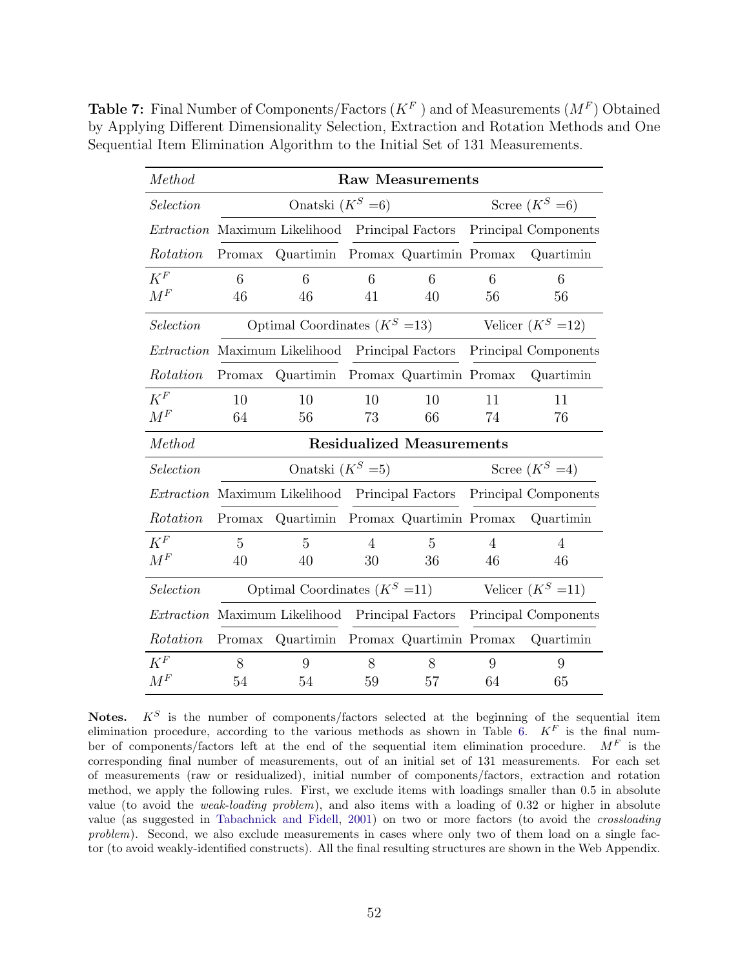<span id="page-53-0"></span>

| <b>Table 7:</b> Final Number of Components/Factors $(K^F)$ and of Measurements $(M^F)$ Obtained |
|-------------------------------------------------------------------------------------------------|
| by Applying Different Dimensionality Selection, Extraction and Rotation Methods and One         |
| Sequential Item Elimination Algorithm to the Initial Set of 131 Measurements.                   |

| Method       |        |                                                                      |                | <b>Raw Measurements</b>          |                |                      |
|--------------|--------|----------------------------------------------------------------------|----------------|----------------------------------|----------------|----------------------|
| Selection    |        | Onatski $(K^S = 6)$                                                  |                |                                  |                | Scree $(K^S = 6)$    |
|              |        | Extraction Maximum Likelihood Principal Factors                      |                |                                  |                | Principal Components |
| Rotation     | Promax | Quartimin Promax Quartimin Promax                                    |                |                                  |                | Quartimin            |
| $K^F$        | 6      | 6                                                                    | 6              | 6                                | 6              | 6                    |
| $M^F$        | 46     | 46                                                                   | 41             | 40                               | 56             | 56                   |
| Selection    |        | Optimal Coordinates $(K^S = 13)$                                     |                |                                  |                | Velicer $(K^S = 12)$ |
|              |        | Extraction Maximum Likelihood Principal Factors Principal Components |                |                                  |                |                      |
| Rotation     |        | Promax Quartimin Promax Quartimin Promax                             |                |                                  |                | Quartimin            |
| $K^F$        | 10     | 10                                                                   | 10             | 10                               | 11             | 11                   |
| $M^F$        | 64     | 56                                                                   | 73             | 66                               | 74             | 76                   |
|              |        |                                                                      |                |                                  |                |                      |
| Method       |        |                                                                      |                | <b>Residualized Measurements</b> |                |                      |
| Selection    |        | Onatski $(K^S = 5)$                                                  |                |                                  |                | Scree $(K^S = 4)$    |
| Extraction   |        | Maximum Likelihood Principal Factors                                 |                |                                  |                | Principal Components |
| Rotation     | Promax | Quartimin Promax Quartimin Promax                                    |                |                                  |                | Quartimin            |
| $K^{\cal F}$ | 5      | 5                                                                    | $\overline{4}$ | 5                                | $\overline{4}$ | 4                    |
| $M^F$        | 40     | 40                                                                   | 30             | 36                               | 46             | 46                   |
| Selection    |        | Optimal Coordinates $(K^S = 11)$                                     |                |                                  |                | Velicer $(K^S = 11)$ |
|              |        | <i>Extraction</i> Maximum Likelihood Principal Factors               |                |                                  |                | Principal Components |
| Rotation     |        | Promax Quartimin Promax Quartimin Promax                             |                |                                  |                | Quartimin            |
| $K^F$        | 8      | 9                                                                    | 8              | 8                                | 9              | 9                    |

Notes.  $K^S$  is the number of components/factors selected at the beginning of the sequential item elimination procedure, according to the various methods as shown in Table [6.](#page-51-0)  $K^F$  is the final number of components/factors left at the end of the sequential item elimination procedure.  $M<sup>F</sup>$  is the corresponding final number of measurements, out of an initial set of 131 measurements. For each set of measurements (raw or residualized), initial number of components/factors, extraction and rotation method, we apply the following rules. First, we exclude items with loadings smaller than 0.5 in absolute value (to avoid the weak-loading problem), and also items with a loading of 0.32 or higher in absolute value (as suggested in [Tabachnick and Fidell,](#page-73-2) [2001\)](#page-73-2) on two or more factors (to avoid the crossloading problem). Second, we also exclude measurements in cases where only two of them load on a single factor (to avoid weakly-identified constructs). All the final resulting structures are shown in the Web Appendix.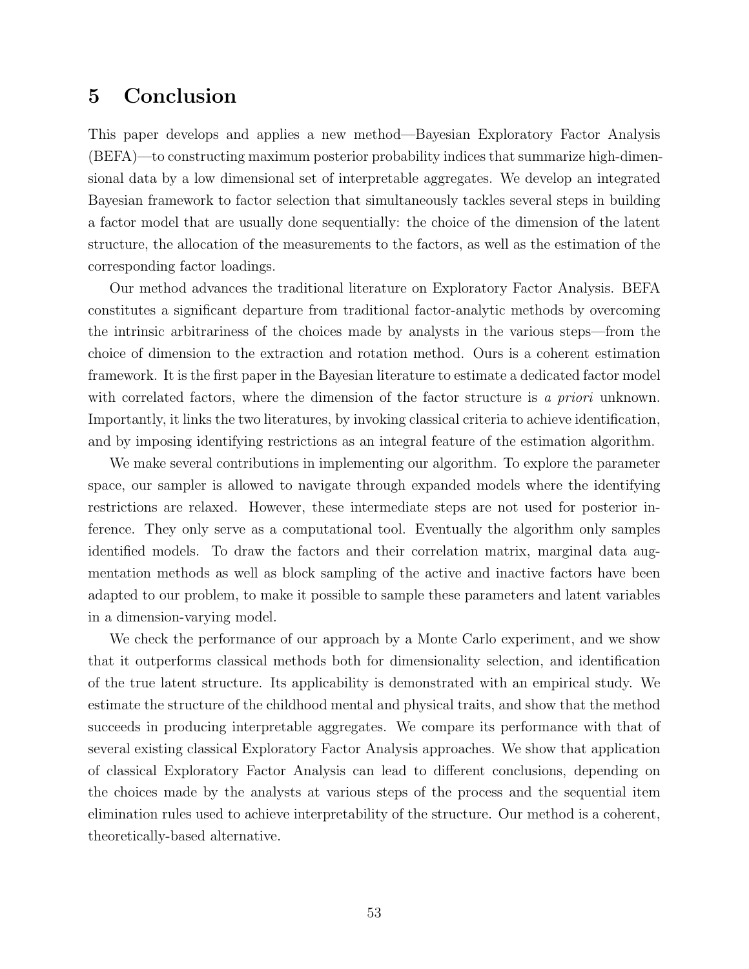## 5 Conclusion

This paper develops and applies a new method—Bayesian Exploratory Factor Analysis (BEFA)—to constructing maximum posterior probability indices that summarize high-dimensional data by a low dimensional set of interpretable aggregates. We develop an integrated Bayesian framework to factor selection that simultaneously tackles several steps in building a factor model that are usually done sequentially: the choice of the dimension of the latent structure, the allocation of the measurements to the factors, as well as the estimation of the corresponding factor loadings.

Our method advances the traditional literature on Exploratory Factor Analysis. BEFA constitutes a significant departure from traditional factor-analytic methods by overcoming the intrinsic arbitrariness of the choices made by analysts in the various steps—from the choice of dimension to the extraction and rotation method. Ours is a coherent estimation framework. It is the first paper in the Bayesian literature to estimate a dedicated factor model with correlated factors, where the dimension of the factor structure is a priori unknown. Importantly, it links the two literatures, by invoking classical criteria to achieve identification, and by imposing identifying restrictions as an integral feature of the estimation algorithm.

We make several contributions in implementing our algorithm. To explore the parameter space, our sampler is allowed to navigate through expanded models where the identifying restrictions are relaxed. However, these intermediate steps are not used for posterior inference. They only serve as a computational tool. Eventually the algorithm only samples identified models. To draw the factors and their correlation matrix, marginal data augmentation methods as well as block sampling of the active and inactive factors have been adapted to our problem, to make it possible to sample these parameters and latent variables in a dimension-varying model.

We check the performance of our approach by a Monte Carlo experiment, and we show that it outperforms classical methods both for dimensionality selection, and identification of the true latent structure. Its applicability is demonstrated with an empirical study. We estimate the structure of the childhood mental and physical traits, and show that the method succeeds in producing interpretable aggregates. We compare its performance with that of several existing classical Exploratory Factor Analysis approaches. We show that application of classical Exploratory Factor Analysis can lead to different conclusions, depending on the choices made by the analysts at various steps of the process and the sequential item elimination rules used to achieve interpretability of the structure. Our method is a coherent, theoretically-based alternative.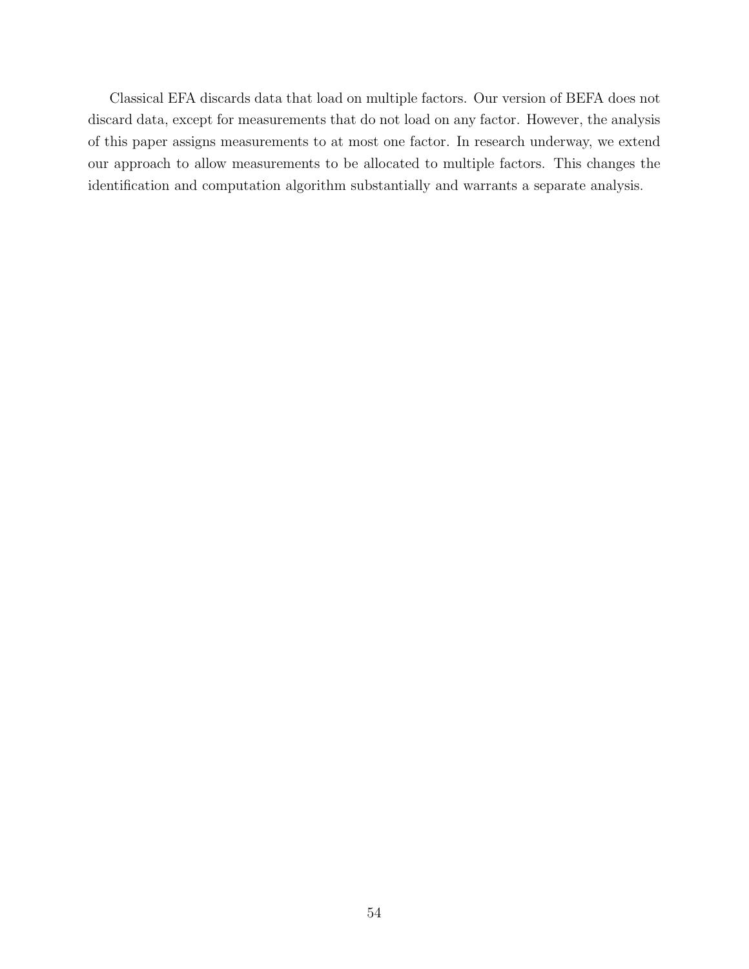Classical EFA discards data that load on multiple factors. Our version of BEFA does not discard data, except for measurements that do not load on any factor. However, the analysis of this paper assigns measurements to at most one factor. In research underway, we extend our approach to allow measurements to be allocated to multiple factors. This changes the identification and computation algorithm substantially and warrants a separate analysis.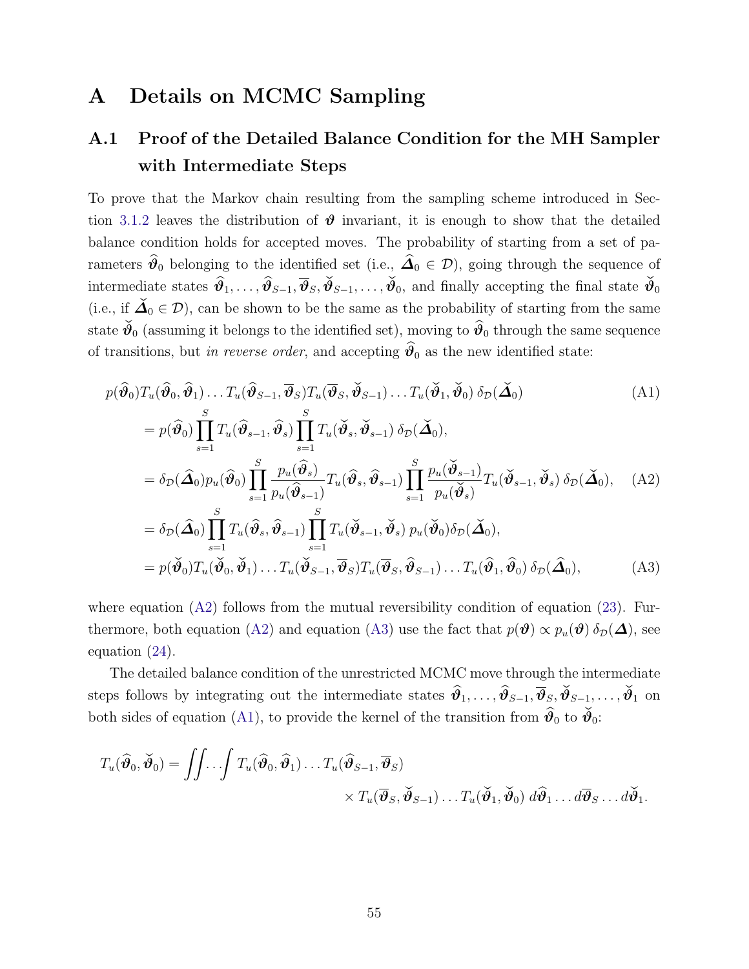## A Details on MCMC Sampling

# A.1 Proof of the Detailed Balance Condition for the MH Sampler with Intermediate Steps

To prove that the Markov chain resulting from the sampling scheme introduced in Sec-tion [3.1.2](#page-24-0) leaves the distribution of  $\vartheta$  invariant, it is enough to show that the detailed balance condition holds for accepted moves. The probability of starting from a set of parameters  $\hat{\theta}_0$  belonging to the identified set (i.e.,  $\hat{\Delta}_0 \in \mathcal{D}$ ), going through the sequence of intermediate states  $\hat{\theta}_1, \ldots, \hat{\theta}_{S-1}, \overline{\theta}_S, \check{\theta}_{S-1}, \ldots, \check{\theta}_0$ , and finally accepting the final state  $\check{\theta}_0$ (i.e., if  $\check{\Delta}_0 \in \mathcal{D}$ ), can be shown to be the same as the probability of starting from the same state  $\check{\theta}_0$  (assuming it belongs to the identified set), moving to  $\hat{\theta}_0$  through the same sequence of transitions, but in reverse order, and accepting  $\hat{\theta}_0$  as the new identified state:

<span id="page-56-2"></span><span id="page-56-0"></span>
$$
p(\widehat{\boldsymbol{\vartheta}}_0)T_u(\widehat{\boldsymbol{\vartheta}}_0, \widehat{\boldsymbol{\vartheta}}_1) \dots T_u(\widehat{\boldsymbol{\vartheta}}_{S-1}, \overline{\boldsymbol{\vartheta}}_S)T_u(\overline{\boldsymbol{\vartheta}}_S, \widecheck{\boldsymbol{\vartheta}}_{S-1}) \dots T_u(\widecheck{\boldsymbol{\vartheta}}_1, \widecheck{\boldsymbol{\vartheta}}_0) \delta_{\mathcal{D}}(\widetilde{\boldsymbol{\Delta}}_0)
$$
\n
$$
= p(\widehat{\boldsymbol{\vartheta}}_0) \prod_{s=1}^S T_u(\widehat{\boldsymbol{\vartheta}}_{s-1}, \widehat{\boldsymbol{\vartheta}}_s) \prod_{s=1}^S T_u(\widecheck{\boldsymbol{\vartheta}}_s, \widecheck{\boldsymbol{\vartheta}}_{s-1}) \delta_{\mathcal{D}}(\widetilde{\boldsymbol{\Delta}}_0),
$$
\n
$$
= \delta_{\mathcal{D}}(\widehat{\boldsymbol{\Delta}}_0) p_u(\widehat{\boldsymbol{\vartheta}}_0) \prod_{s=1}^S \frac{p_u(\widehat{\boldsymbol{\vartheta}}_s)}{p_u(\widehat{\boldsymbol{\vartheta}}_{s-1})} T_u(\widehat{\boldsymbol{\vartheta}}_s, \widehat{\boldsymbol{\vartheta}}_{s-1}) \prod_{s=1}^S \frac{p_u(\widecheck{\boldsymbol{\vartheta}}_{s-1})}{p_u(\widecheck{\boldsymbol{\vartheta}}_s)} T_u(\widecheck{\boldsymbol{\vartheta}}_s) \delta_{\mathcal{D}}(\widetilde{\boldsymbol{\Delta}}_0), \quad (A2)
$$
\n
$$
= \delta_{\mathcal{D}}(\widehat{\boldsymbol{\Delta}}_0) \prod_{s=1}^S T_u(\widehat{\boldsymbol{\vartheta}}_s, \widehat{\boldsymbol{\vartheta}}_{s-1}) \prod_{s=1}^S T_u(\widecheck{\boldsymbol{\vartheta}}_{s-1}, \widecheck{\boldsymbol{\vartheta}}_s) p_u(\widecheck{\boldsymbol{\vartheta}}_0) \delta_{\mathcal{D}}(\widetilde{\boldsymbol{\Delta}}_0),
$$
\n
$$
= p(\widecheck{\boldsymbol{\vartheta}}_0) T_u(\widecheck{\boldsymbol{\vartheta}}_0, \widecheck{\boldsymbol{\vartheta}}_1) \dots T_u(\widecheck{\boldsymbol{\vartheta}}_{S-1}, \overline{\boldsymbol{\vartheta}}_S) T_u(\overline{\boldsymbol{\vartheta}}_S, \widehat{\boldsymbol{\vartheta}}_{S-1}) \dots T_u(\widehat
$$

<span id="page-56-1"></span>where equation  $(A2)$  follows from the mutual reversibility condition of equation [\(23\)](#page-25-0). Fur-thermore, both equation [\(A2\)](#page-56-0) and equation [\(A3\)](#page-56-1) use the fact that  $p(\theta) \propto p_u(\theta) \delta_D(\Delta)$ , see equation [\(24\)](#page-26-1).

The detailed balance condition of the unrestricted MCMC move through the intermediate steps follows by integrating out the intermediate states  $\widehat{\theta}_1, \ldots, \widehat{\theta}_{S-1}, \overline{\theta}_S, \check{\theta}_{S-1}, \ldots, \check{\theta}_1$  on both sides of equation [\(A1\)](#page-56-2), to provide the kernel of the transition from  $\hat{\theta}_0$  to  $\check{\theta}_0$ :

$$
T_u(\widehat{\boldsymbol{\vartheta}}_0, \widecheck{\boldsymbol{\vartheta}}_0) = \iint \ldots \int T_u(\widehat{\boldsymbol{\vartheta}}_0, \widehat{\boldsymbol{\vartheta}}_1) \ldots T_u(\widehat{\boldsymbol{\vartheta}}_{S-1}, \overline{\boldsymbol{\vartheta}}_S) \times T_u(\overline{\boldsymbol{\vartheta}}_S, \widecheck{\boldsymbol{\vartheta}}_{S-1}) \ldots T_u(\widecheck{\boldsymbol{\vartheta}}_1, \widecheck{\boldsymbol{\vartheta}}_0) d\widehat{\boldsymbol{\vartheta}}_1 \ldots d\overline{\boldsymbol{\vartheta}}_S \ldots d\widecheck{\boldsymbol{\vartheta}}_1.
$$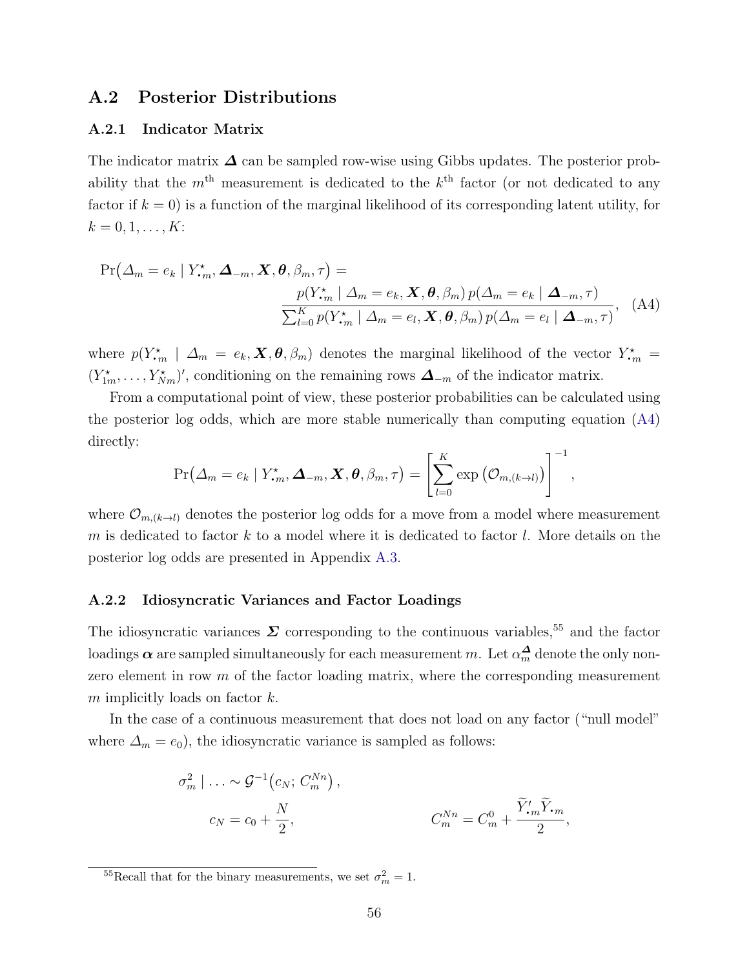### A.2 Posterior Distributions

#### A.2.1 Indicator Matrix

The indicator matrix  $\Delta$  can be sampled row-wise using Gibbs updates. The posterior probability that the  $m<sup>th</sup>$  measurement is dedicated to the  $k<sup>th</sup>$  factor (or not dedicated to any factor if  $k = 0$ ) is a function of the marginal likelihood of its corresponding latent utility, for  $k = 0, 1, \ldots, K$ :

$$
\Pr(\Delta_m = e_k \mid Y_{\cdot m}^*, \Delta_{-m}, \mathbf{X}, \theta, \beta_m, \tau) =
$$
\n
$$
\frac{p(Y_{\cdot m}^* \mid \Delta_m = e_k, \mathbf{X}, \theta, \beta_m) p(\Delta_m = e_k \mid \Delta_{-m}, \tau)}{\sum_{l=0}^K p(Y_{\cdot m}^* \mid \Delta_m = e_l, \mathbf{X}, \theta, \beta_m) p(\Delta_m = e_l \mid \Delta_{-m}, \tau)}, \quad (A4)
$$

where  $p(Y_{\cdot m}^* \mid \Delta_m = e_k, \mathbf{X}, \theta, \beta_m)$  denotes the marginal likelihood of the vector  $Y_{\cdot m}^* =$  $(Y_{1m}^*, \ldots, Y_{Nm}^*)'$ , conditioning on the remaining rows  $\Delta_{-m}$  of the indicator matrix.

From a computational point of view, these posterior probabilities can be calculated using the posterior log odds, which are more stable numerically than computing equation [\(A4\)](#page-57-0) directly:

<span id="page-57-0"></span>
$$
\Pr(\Delta_m = e_k \mid Y_{\boldsymbol{\cdot}m}^{\star}, \boldsymbol{\Delta}_{-m}, \boldsymbol{X}, \boldsymbol{\theta}, \beta_m, \tau) = \left[\sum_{l=0}^K \exp\left(\mathcal{O}_{m,(k \to l)}\right)\right]^{-1},
$$

where  $\mathcal{O}_{m,(k\to l)}$  denotes the posterior log odds for a move from a model where measurement  $m$  is dedicated to factor  $k$  to a model where it is dedicated to factor  $l$ . More details on the posterior log odds are presented in Appendix [A.3.](#page-59-0)

#### <span id="page-57-1"></span>A.2.2 Idiosyncratic Variances and Factor Loadings

The idiosyncratic variances  $\Sigma$  corresponding to the continuous variables,<sup>55</sup> and the factor loadings  $\bm{\alpha}$  are sampled simultaneously for each measurement  $m$ . Let  $\alpha^{\bm{\Delta}}_m$  denote the only nonzero element in row  $m$  of the factor loading matrix, where the corresponding measurement m implicitly loads on factor  $k$ .

In the case of a continuous measurement that does not load on any factor ("null model" where  $\Delta_m = e_0$ , the idiosyncratic variance is sampled as follows:

$$
\sigma_m^2 \mid \dots \sim \mathcal{G}^{-1}(c_N; C_m^{Nn}),
$$
  
\n
$$
c_N = c_0 + \frac{N}{2},
$$
  
\n
$$
C_m^{Nn} = C_m^0 + \frac{\widetilde{Y}'_{m}\widetilde{Y}_{m}}{2},
$$

<sup>&</sup>lt;sup>55</sup>Recall that for the binary measurements, we set  $\sigma_m^2 = 1$ .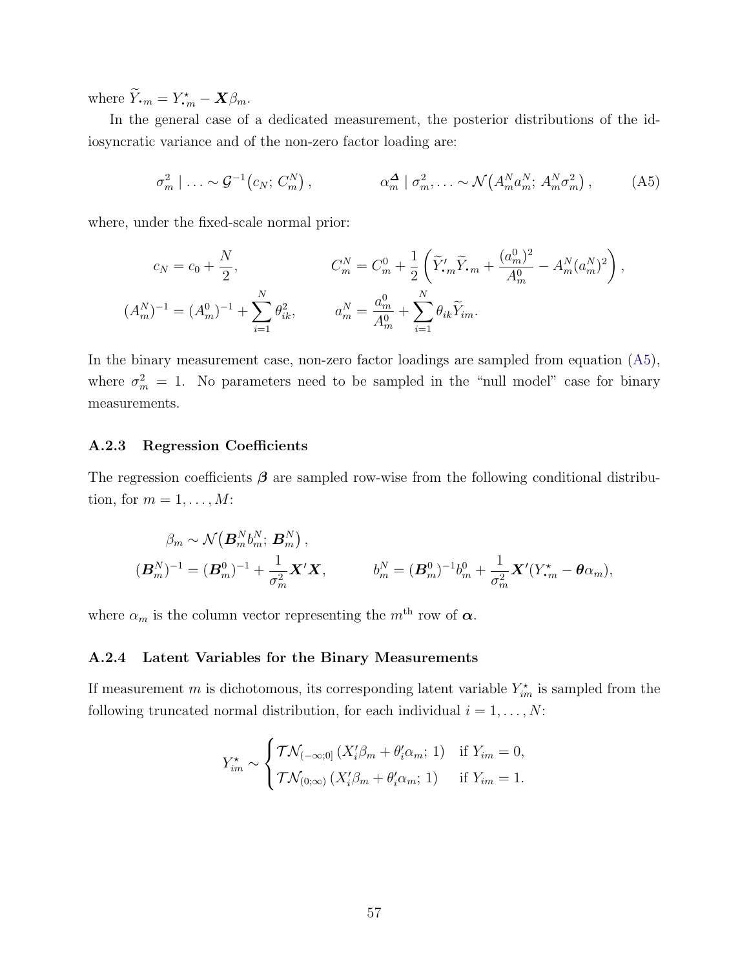where  $\widetilde{Y}_{\bullet m} = Y_{\bullet m}^* - \mathbf{X} \beta_m$ .

In the general case of a dedicated measurement, the posterior distributions of the idiosyncratic variance and of the non-zero factor loading are:

<span id="page-58-0"></span>
$$
\sigma_m^2 \mid \ldots \sim \mathcal{G}^{-1}(c_N; C_m^N), \qquad \qquad \alpha_m^{\mathbf{A}} \mid \sigma_m^2, \ldots \sim \mathcal{N}\left(A_m^N a_m^N; A_m^N \sigma_m^2\right), \qquad \text{(A5)}
$$

where, under the fixed-scale normal prior:

$$
c_N = c_0 + \frac{N}{2}, \qquad C_m^N = C_m^0 + \frac{1}{2} \left( \tilde{Y}_{\cdot m}' \tilde{Y}_{\cdot m} + \frac{(a_m^0)^2}{A_m^0} - A_m^N (a_m^N)^2 \right),
$$
  

$$
(A_m^N)^{-1} = (A_m^0)^{-1} + \sum_{i=1}^N \theta_{ik}^2, \qquad a_m^N = \frac{a_m^0}{A_m^0} + \sum_{i=1}^N \theta_{ik} \tilde{Y}_{im}.
$$

In the binary measurement case, non-zero factor loadings are sampled from equation  $(A5)$ , where  $\sigma_m^2 = 1$ . No parameters need to be sampled in the "null model" case for binary measurements.

#### A.2.3 Regression Coefficients

The regression coefficients  $\beta$  are sampled row-wise from the following conditional distribution, for  $m = 1, \ldots, M$ :

$$
\beta_m \sim \mathcal{N}\left(\mathbf{B}_m^N b_m^N;\,\mathbf{B}_m^N\right),
$$
  

$$
(\mathbf{B}_m^N)^{-1} = (\mathbf{B}_m^0)^{-1} + \frac{1}{\sigma_m^2} \mathbf{X}' \mathbf{X}, \qquad b_m^N = (\mathbf{B}_m^0)^{-1} b_m^0 + \frac{1}{\sigma_m^2} \mathbf{X}' (Y_{\cdot m}^* - \boldsymbol{\theta} \alpha_m),
$$

where  $\alpha_m$  is the column vector representing the  $m^{\text{th}}$  row of  $\alpha$ .

#### A.2.4 Latent Variables for the Binary Measurements

If measurement m is dichotomous, its corresponding latent variable  $Y_{im}^{\star}$  is sampled from the following truncated normal distribution, for each individual  $i = 1, \ldots, N$ :

$$
Y_{im}^* \sim \begin{cases} \mathcal{TN}_{(-\infty;0]} \left( X_i' \beta_m + \theta_i' \alpha_m; 1 \right) & \text{if } Y_{im} = 0, \\ \mathcal{TN}_{(0;\infty)} \left( X_i' \beta_m + \theta_i' \alpha_m; 1 \right) & \text{if } Y_{im} = 1. \end{cases}
$$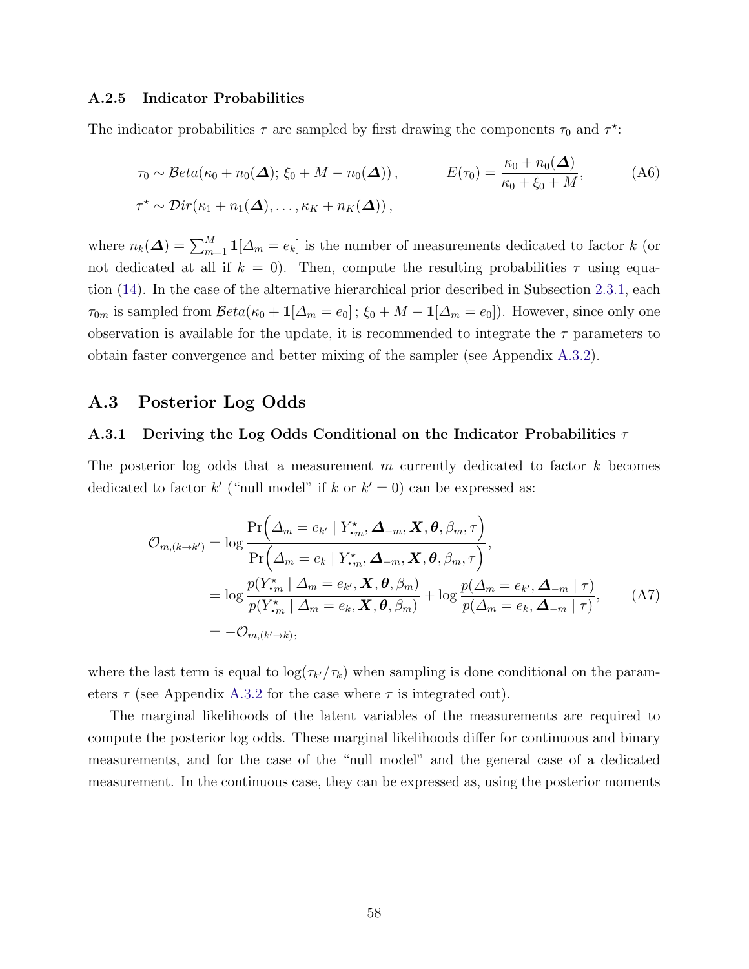#### A.2.5 Indicator Probabilities

The indicator probabilities  $\tau$  are sampled by first drawing the components  $\tau_0$  and  $\tau^*$ :

$$
\tau_0 \sim \mathcal{B}eta(\kappa_0 + n_0(\Delta); \xi_0 + M - n_0(\Delta)), \qquad E(\tau_0) = \frac{\kappa_0 + n_0(\Delta)}{\kappa_0 + \xi_0 + M}, \qquad \text{(A6)}
$$
  

$$
\tau^* \sim \mathcal{D}ir(\kappa_1 + n_1(\Delta), \dots, \kappa_K + n_K(\Delta)),
$$

where  $n_k(\Delta) = \sum_{m=1}^{M} \mathbf{1}[\Delta_m = e_k]$  is the number of measurements dedicated to factor k (or not dedicated at all if  $k = 0$ . Then, compute the resulting probabilities  $\tau$  using equation [\(14\)](#page-14-0). In the case of the alternative hierarchical prior described in Subsection [2.3.1,](#page-13-0) each  $\tau_{0m}$  is sampled from  $\mathcal{B}eta(\kappa_0 + 1[\Delta_m = e_0]; \xi_0 + M - 1[\Delta_m = e_0])$ . However, since only one observation is available for the update, it is recommended to integrate the  $\tau$  parameters to obtain faster convergence and better mixing of the sampler (see Appendix [A.3.2\)](#page-60-0).

### <span id="page-59-0"></span>A.3 Posterior Log Odds

#### A.3.1 Deriving the Log Odds Conditional on the Indicator Probabilities  $\tau$

The posterior log odds that a measurement  $m$  currently dedicated to factor  $k$  becomes dedicated to factor k' ("null model" if k or  $k' = 0$ ) can be expressed as:

<span id="page-59-1"></span>
$$
\mathcal{O}_{m,(k\to k')} = \log \frac{\Pr\left(\Delta_m = e_{k'} \mid Y_{\cdot,m}^{\star}, \mathbf{\Delta}_{-m}, \mathbf{X}, \theta, \beta_m, \tau\right)}{\Pr\left(\Delta_m = e_k \mid Y_{\cdot,m}^{\star}, \mathbf{\Delta}_{-m}, \mathbf{X}, \theta, \beta_m, \tau\right)},
$$
\n
$$
= \log \frac{p(Y_{\cdot,m}^{\star} \mid \Delta_m = e_{k'}, \mathbf{X}, \theta, \beta_m)}{p(Y_{\cdot,m}^{\star} \mid \Delta_m = e_k, \mathbf{X}, \theta, \beta_m)} + \log \frac{p(\Delta_m = e_{k'}, \mathbf{\Delta}_{-m} \mid \tau)}{p(\Delta_m = e_k, \mathbf{\Delta}_{-m} \mid \tau)}, \quad (A7)
$$
\n
$$
= -\mathcal{O}_{m,(k'\to k)},
$$

where the last term is equal to  $\log(\tau_{k'}/\tau_k)$  when sampling is done conditional on the parameters  $\tau$  (see Appendix [A.3.2](#page-60-0) for the case where  $\tau$  is integrated out).

The marginal likelihoods of the latent variables of the measurements are required to compute the posterior log odds. These marginal likelihoods differ for continuous and binary measurements, and for the case of the "null model" and the general case of a dedicated measurement. In the continuous case, they can be expressed as, using the posterior moments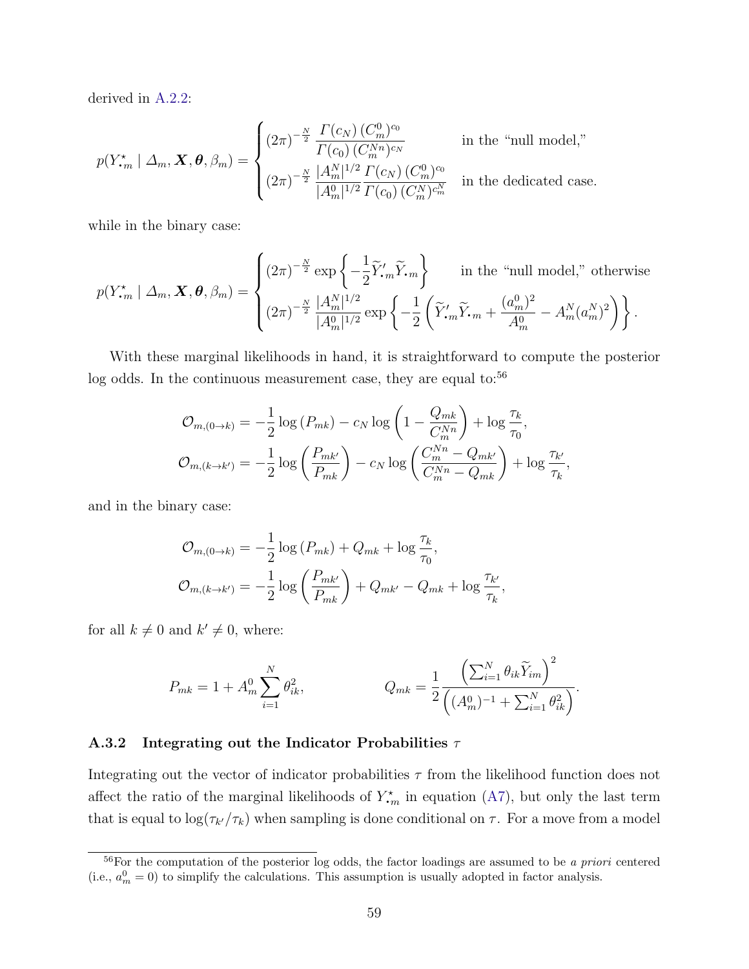derived in [A.2.2:](#page-57-1)

$$
p(Y_{\bullet m}^* \mid \Delta_m, \mathbf{X}, \theta, \beta_m) = \begin{cases} (2\pi)^{-\frac{N}{2}} \frac{\Gamma(c_N) (C_m^0)^{c_0}}{\Gamma(c_0) (C_m^{Nn})^{c_N}} & \text{in the "null model,"} \\ (2\pi)^{-\frac{N}{2}} \frac{|A_m^N|^{1/2}}{|A_m^0|^{1/2}} \frac{\Gamma(c_N) (C_m^0)^{c_0}}{\Gamma(c_0) (C_m^N)^{c_m^N}} & \text{in the dedicated case.} \end{cases}
$$

while in the binary case:

$$
p(Y_{\boldsymbol{\cdot}m}^{\star} \mid \Delta_m, \boldsymbol{X}, \boldsymbol{\theta}, \beta_m) = \begin{cases} (2\pi)^{-\frac{N}{2}} \exp\left\{-\frac{1}{2}\widetilde{Y}_{\boldsymbol{\cdot}m}^{\prime}\widetilde{Y}_{\boldsymbol{\cdot}m}\right\} & \text{in the "null model," otherwise} \\ (2\pi)^{-\frac{N}{2}} \frac{|A_m^N|^{1/2}}{|A_m^0|^{1/2}} \exp\left\{-\frac{1}{2}\left(\widetilde{Y}_{\boldsymbol{\cdot}m}^{\prime}\widetilde{Y}_{\boldsymbol{\cdot}m} + \frac{(a_m^0)^2}{A_m^0} - A_m^N(a_m^N)^2\right)\right\} . \end{cases}
$$

With these marginal likelihoods in hand, it is straightforward to compute the posterior log odds. In the continuous measurement case, they are equal to:<sup>56</sup>

$$
\mathcal{O}_{m,(0\to k)} = -\frac{1}{2}\log\left(P_{mk}\right) - c_N\log\left(1 - \frac{Q_{mk}}{C_m^{Nn}}\right) + \log\frac{\tau_k}{\tau_0},
$$
  

$$
\mathcal{O}_{m,(k\to k')} = -\frac{1}{2}\log\left(\frac{P_{mk'}}{P_{mk}}\right) - c_N\log\left(\frac{C_m^{Nn} - Q_{mk'}}{C_m^{Nn} - Q_{mk}}\right) + \log\frac{\tau_{k'}}{\tau_k},
$$

and in the binary case:

$$
\mathcal{O}_{m,(0\to k)} = -\frac{1}{2}\log\left(P_{mk}\right) + Q_{mk} + \log\frac{\tau_k}{\tau_0},
$$
  

$$
\mathcal{O}_{m,(k\to k')} = -\frac{1}{2}\log\left(\frac{P_{mk'}}{P_{mk}}\right) + Q_{mk'} - Q_{mk} + \log\frac{\tau_{k'}}{\tau_k},
$$

for all  $k \neq 0$  and  $k' \neq 0$ , where:

$$
P_{mk} = 1 + A_m^0 \sum_{i=1}^N \theta_{ik}^2, \qquad Q_{mk} = \frac{1}{2} \frac{\left(\sum_{i=1}^N \theta_{ik} \widetilde{Y}_{im}\right)^2}{\left((A_m^0)^{-1} + \sum_{i=1}^N \theta_{ik}^2\right)}.
$$

#### <span id="page-60-0"></span>A.3.2 Integrating out the Indicator Probabilities  $\tau$

Integrating out the vector of indicator probabilities  $\tau$  from the likelihood function does not affect the ratio of the marginal likelihoods of  $Y_{m}^*$  in equation [\(A7\)](#page-59-1), but only the last term that is equal to  $\log(\tau_{k'}/\tau_k)$  when sampling is done conditional on  $\tau$ . For a move from a model

 $56$ For the computation of the posterior log odds, the factor loadings are assumed to be a priori centered (i.e.,  $a_m^0 = 0$ ) to simplify the calculations. This assumption is usually adopted in factor analysis.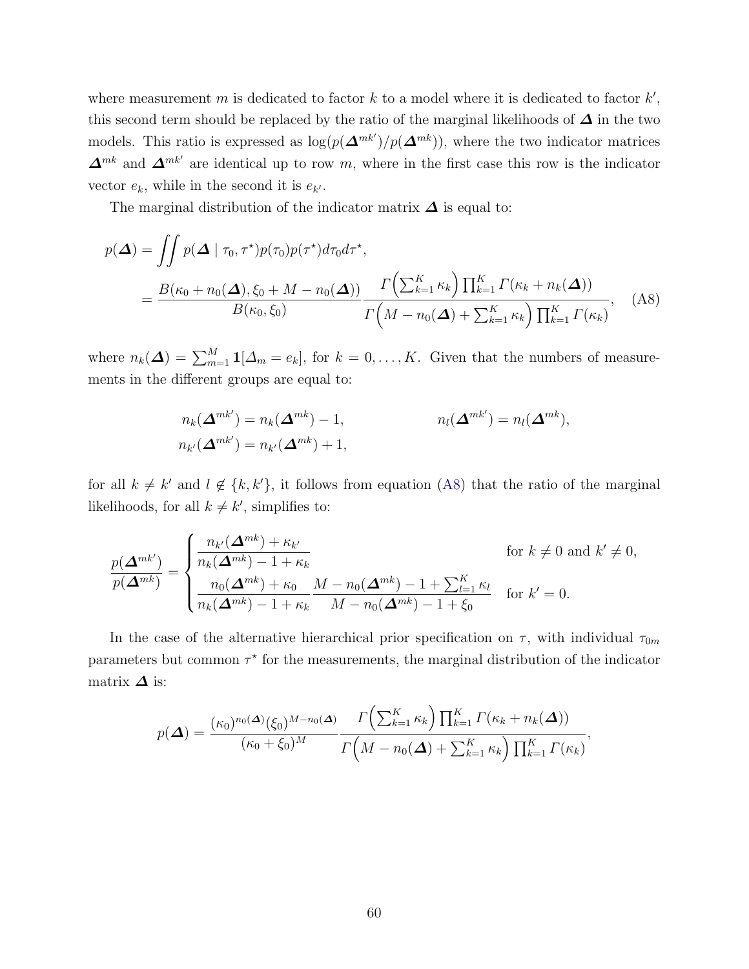where measurement m is dedicated to factor k to a model where it is dedicated to factor  $k'$ , this second term should be replaced by the ratio of the marginal likelihoods of  $\Delta$  in the two models. This ratio is expressed as  $\log(p(\mathbf{\Delta}^{mk'})/p(\mathbf{\Delta}^{mk}))$ , where the two indicator matrices  $\Delta^{mk}$  and  $\Delta^{mk'}$  are identical up to row m, where in the first case this row is the indicator vector  $e_k$ , while in the second it is  $e_{k'}$ .

The marginal distribution of the indicator matrix  $\Delta$  is equal to:

$$
p(\mathbf{\Delta}) = \iint p(\mathbf{\Delta} \mid \tau_0, \tau^*) p(\tau_0) p(\tau^*) d\tau_0 d\tau^*,
$$
  
= 
$$
\frac{B(\kappa_0 + n_0(\mathbf{\Delta}), \xi_0 + M - n_0(\mathbf{\Delta}))}{B(\kappa_0, \xi_0)} \frac{\Gamma\left(\sum_{k=1}^K \kappa_k\right) \prod_{k=1}^K \Gamma(\kappa_k + n_k(\mathbf{\Delta}))}{\Gamma\left(M - n_0(\mathbf{\Delta}) + \sum_{k=1}^K \kappa_k\right) \prod_{k=1}^K \Gamma(\kappa_k)},
$$
(A8)

where  $n_k(\Delta) = \sum_{m=1}^{M} \mathbf{1}[\Delta_m = e_k]$ , for  $k = 0, \ldots, K$ . Given that the numbers of measurements in the different groups are equal to:

<span id="page-61-0"></span>
$$
n_k(\mathbf{\Delta}^{mk'}) = n_k(\mathbf{\Delta}^{mk}) - 1,
$$
  
\n
$$
n_k(\mathbf{\Delta}^{mk'}) = n_{k'}(\mathbf{\Delta}^{mk'}) + 1,
$$
  
\n
$$
n_k(\mathbf{\Delta}^{mk'}) = n_{k'}(\mathbf{\Delta}^{mk'}) + 1,
$$

for all  $k \neq k'$  and  $l \notin \{k, k'\}$ , it follows from equation [\(A8\)](#page-61-0) that the ratio of the marginal likelihoods, for all  $k \neq k'$ , simplifies to:

$$
\frac{p(\boldsymbol{\Delta}^{mk'})}{p(\boldsymbol{\Delta}^{mk})} = \begin{cases}\n\frac{n_{k'}(\boldsymbol{\Delta}^{mk}) + \kappa_{k'}}{n_k(\boldsymbol{\Delta}^{mk}) - 1 + \kappa_k} & \text{for } k \neq 0 \text{ and } k' \neq 0, \\
\frac{n_0(\boldsymbol{\Delta}^{mk}) + \kappa_0}{n_k(\boldsymbol{\Delta}^{mk}) - 1 + \kappa_k} \frac{M - n_0(\boldsymbol{\Delta}^{mk}) - 1 + \sum_{l=1}^K \kappa_l}{M - n_0(\boldsymbol{\Delta}^{mk}) - 1 + \xi_0} & \text{for } k' = 0.\n\end{cases}
$$

In the case of the alternative hierarchical prior specification on  $\tau$ , with individual  $\tau_{0m}$ parameters but common  $\tau^*$  for the measurements, the marginal distribution of the indicator matrix  $\Delta$  is:

$$
p(\boldsymbol{\Delta}) = \frac{(\kappa_0)^{n_0(\boldsymbol{\Delta})}(\xi_0)^{M-n_0(\boldsymbol{\Delta})}}{(\kappa_0 + \xi_0)^M} \frac{\Gamma\left(\sum_{k=1}^K \kappa_k\right) \prod_{k=1}^K \Gamma(\kappa_k + n_k(\boldsymbol{\Delta}))}{\Gamma\left(M - n_0(\boldsymbol{\Delta}) + \sum_{k=1}^K \kappa_k\right) \prod_{k=1}^K \Gamma(\kappa_k)},
$$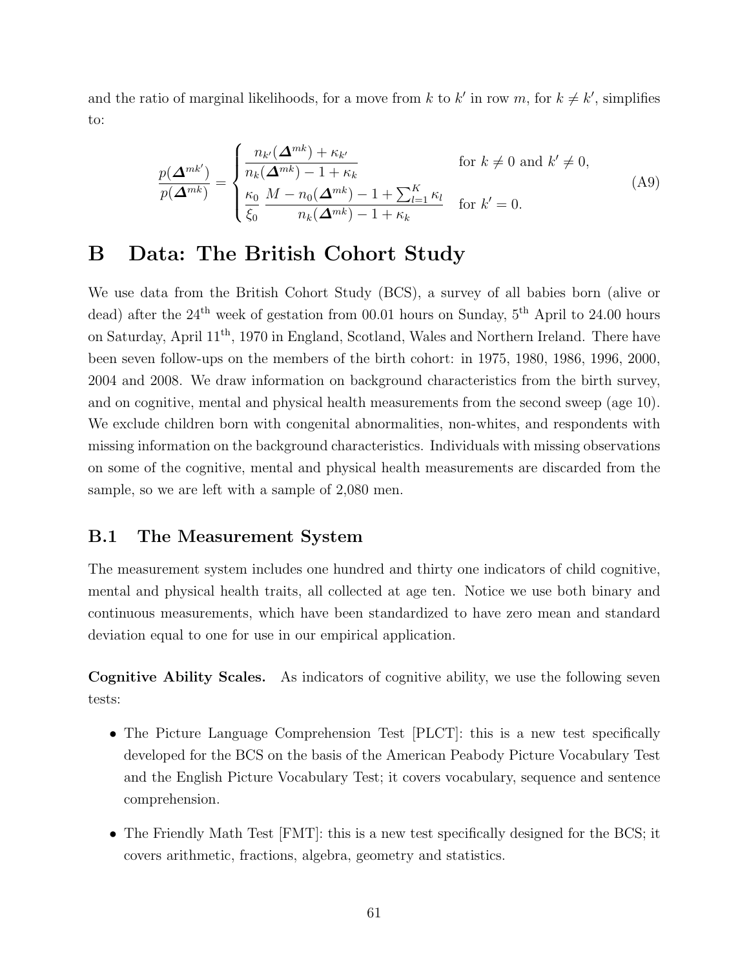and the ratio of marginal likelihoods, for a move from k to k' in row m, for  $k \neq k'$ , simplifies to:

$$
\frac{p(\boldsymbol{\Delta}^{mk'})}{p(\boldsymbol{\Delta}^{mk})} = \begin{cases}\n\frac{n_{k'}(\boldsymbol{\Delta}^{mk}) + \kappa_{k'}}{n_k(\boldsymbol{\Delta}^{mk}) - 1 + \kappa_k} & \text{for } k \neq 0 \text{ and } k' \neq 0, \\
\frac{\kappa_0}{\xi_0} \frac{M - n_0(\boldsymbol{\Delta}^{mk}) - 1 + \sum_{l=1}^K \kappa_l}{n_k(\boldsymbol{\Delta}^{mk}) - 1 + \kappa_k} & \text{for } k' = 0.\n\end{cases}
$$
\n(A9)

## <span id="page-62-0"></span>B Data: The British Cohort Study

We use data from the British Cohort Study (BCS), a survey of all babies born (alive or dead) after the  $24<sup>th</sup>$  week of gestation from 00.01 hours on Sunday,  $5<sup>th</sup>$  April to 24.00 hours on Saturday, April 11th, 1970 in England, Scotland, Wales and Northern Ireland. There have been seven follow-ups on the members of the birth cohort: in 1975, 1980, 1986, 1996, 2000, 2004 and 2008. We draw information on background characteristics from the birth survey, and on cognitive, mental and physical health measurements from the second sweep (age 10). We exclude children born with congenital abnormalities, non-whites, and respondents with missing information on the background characteristics. Individuals with missing observations on some of the cognitive, mental and physical health measurements are discarded from the sample, so we are left with a sample of 2,080 men.

### B.1 The Measurement System

The measurement system includes one hundred and thirty one indicators of child cognitive, mental and physical health traits, all collected at age ten. Notice we use both binary and continuous measurements, which have been standardized to have zero mean and standard deviation equal to one for use in our empirical application.

Cognitive Ability Scales. As indicators of cognitive ability, we use the following seven tests:

- The Picture Language Comprehension Test [PLCT]: this is a new test specifically developed for the BCS on the basis of the American Peabody Picture Vocabulary Test and the English Picture Vocabulary Test; it covers vocabulary, sequence and sentence comprehension.
- The Friendly Math Test [FMT]: this is a new test specifically designed for the BCS; it covers arithmetic, fractions, algebra, geometry and statistics.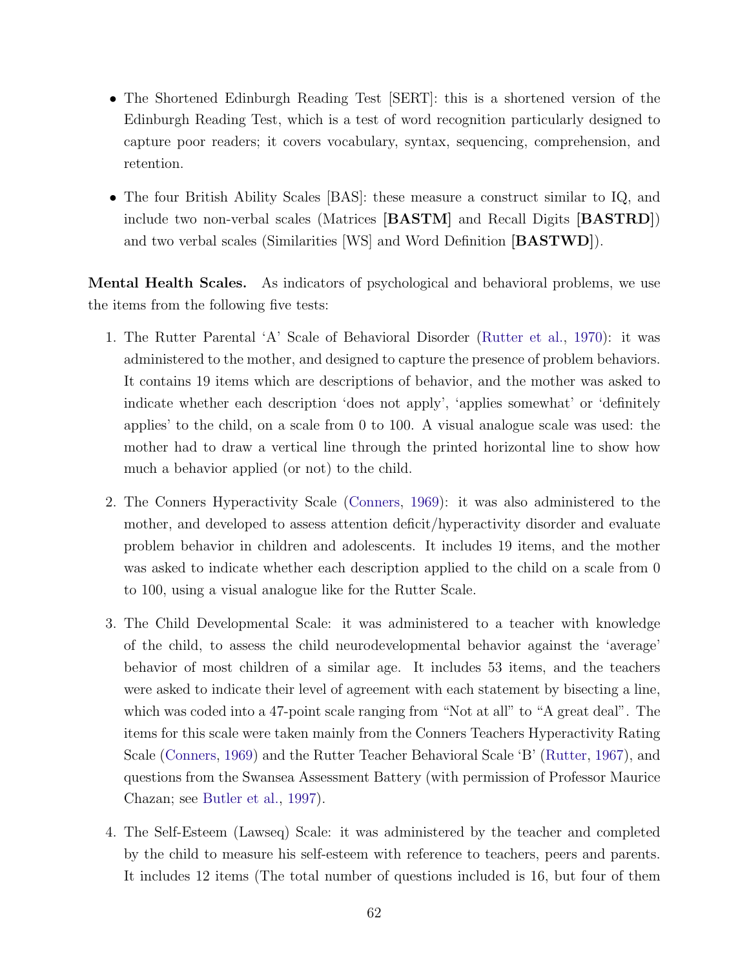- The Shortened Edinburgh Reading Test [SERT]: this is a shortened version of the Edinburgh Reading Test, which is a test of word recognition particularly designed to capture poor readers; it covers vocabulary, syntax, sequencing, comprehension, and retention.
- The four British Ability Scales [BAS]: these measure a construct similar to IQ, and include two non-verbal scales (Matrices [BASTM] and Recall Digits [BASTRD]) and two verbal scales (Similarities [WS] and Word Definition [BASTWD]).

Mental Health Scales. As indicators of psychological and behavioral problems, we use the items from the following five tests:

- 1. The Rutter Parental 'A' Scale of Behavioral Disorder [\(Rutter et al.,](#page-73-3) [1970\)](#page-73-3): it was administered to the mother, and designed to capture the presence of problem behaviors. It contains 19 items which are descriptions of behavior, and the mother was asked to indicate whether each description 'does not apply', 'applies somewhat' or 'definitely applies' to the child, on a scale from 0 to 100. A visual analogue scale was used: the mother had to draw a vertical line through the printed horizontal line to show how much a behavior applied (or not) to the child.
- 2. The Conners Hyperactivity Scale [\(Conners,](#page-67-1) [1969\)](#page-67-1): it was also administered to the mother, and developed to assess attention deficit/hyperactivity disorder and evaluate problem behavior in children and adolescents. It includes 19 items, and the mother was asked to indicate whether each description applied to the child on a scale from 0 to 100, using a visual analogue like for the Rutter Scale.
- 3. The Child Developmental Scale: it was administered to a teacher with knowledge of the child, to assess the child neurodevelopmental behavior against the 'average' behavior of most children of a similar age. It includes 53 items, and the teachers were asked to indicate their level of agreement with each statement by bisecting a line, which was coded into a 47-point scale ranging from "Not at all" to "A great deal". The items for this scale were taken mainly from the Conners Teachers Hyperactivity Rating Scale [\(Conners,](#page-67-1) [1969\)](#page-67-1) and the Rutter Teacher Behavioral Scale 'B' [\(Rutter,](#page-72-4) [1967\)](#page-72-4), and questions from the Swansea Assessment Battery (with permission of Professor Maurice Chazan; see [Butler et al.,](#page-67-2) [1997\)](#page-67-2).
- 4. The Self-Esteem (Lawseq) Scale: it was administered by the teacher and completed by the child to measure his self-esteem with reference to teachers, peers and parents. It includes 12 items (The total number of questions included is 16, but four of them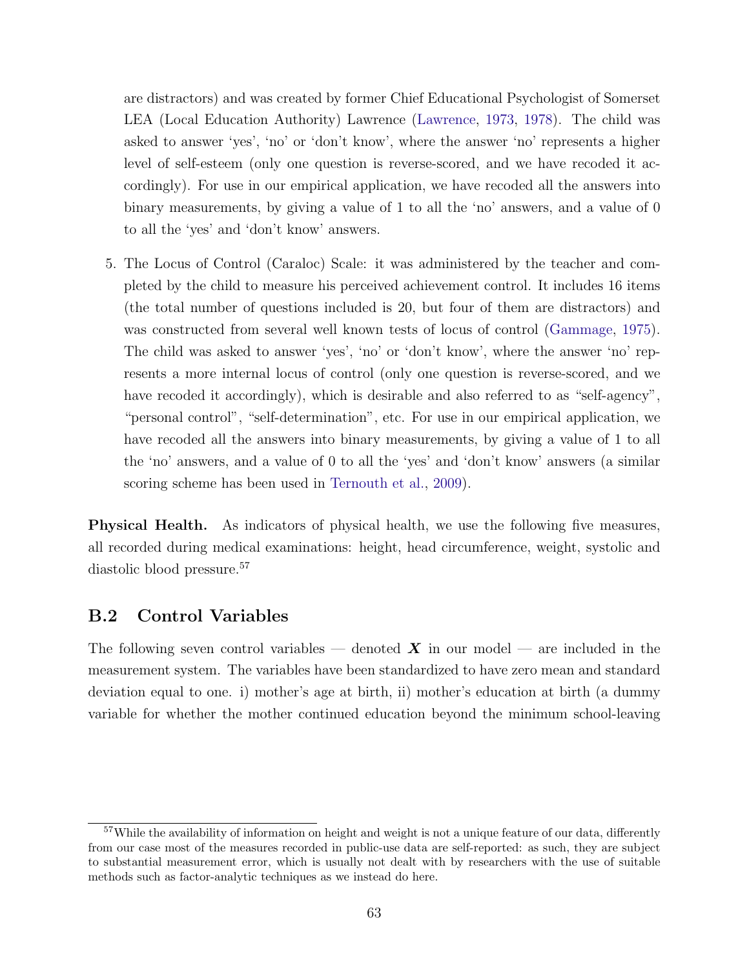are distractors) and was created by former Chief Educational Psychologist of Somerset LEA (Local Education Authority) Lawrence [\(Lawrence,](#page-71-2) [1973,](#page-71-2) [1978\)](#page-71-3). The child was asked to answer 'yes', 'no' or 'don't know', where the answer 'no' represents a higher level of self-esteem (only one question is reverse-scored, and we have recoded it accordingly). For use in our empirical application, we have recoded all the answers into binary measurements, by giving a value of 1 to all the 'no' answers, and a value of 0 to all the 'yes' and 'don't know' answers.

5. The Locus of Control (Caraloc) Scale: it was administered by the teacher and completed by the child to measure his perceived achievement control. It includes 16 items (the total number of questions included is 20, but four of them are distractors) and was constructed from several well known tests of locus of control [\(Gammage,](#page-69-6) [1975\)](#page-69-6). The child was asked to answer 'yes', 'no' or 'don't know', where the answer 'no' represents a more internal locus of control (only one question is reverse-scored, and we have recoded it accordingly), which is desirable and also referred to as "self-agency", "personal control", "self-determination", etc. For use in our empirical application, we have recoded all the answers into binary measurements, by giving a value of 1 to all the 'no' answers, and a value of 0 to all the 'yes' and 'don't know' answers (a similar scoring scheme has been used in [Ternouth et al.,](#page-73-4) [2009\)](#page-73-4).

Physical Health. As indicators of physical health, we use the following five measures, all recorded during medical examinations: height, head circumference, weight, systolic and diastolic blood pressure.<sup>57</sup>

### <span id="page-64-0"></span>B.2 Control Variables

The following seven control variables — denoted  $X$  in our model — are included in the measurement system. The variables have been standardized to have zero mean and standard deviation equal to one. i) mother's age at birth, ii) mother's education at birth (a dummy variable for whether the mother continued education beyond the minimum school-leaving

<sup>&</sup>lt;sup>57</sup>While the availability of information on height and weight is not a unique feature of our data, differently from our case most of the measures recorded in public-use data are self-reported: as such, they are subject to substantial measurement error, which is usually not dealt with by researchers with the use of suitable methods such as factor-analytic techniques as we instead do here.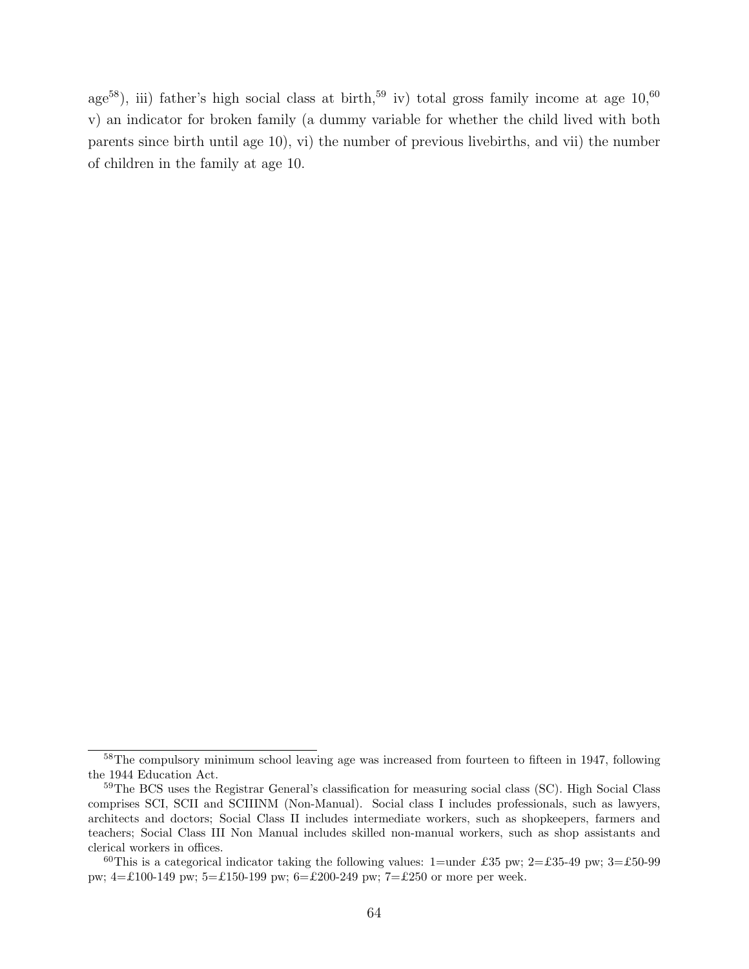age<sup>58</sup>), iii) father's high social class at birth,<sup>59</sup> iv) total gross family income at age 10,<sup>60</sup> v) an indicator for broken family (a dummy variable for whether the child lived with both parents since birth until age 10), vi) the number of previous livebirths, and vii) the number of children in the family at age 10.

<sup>&</sup>lt;sup>58</sup>The compulsory minimum school leaving age was increased from fourteen to fifteen in 1947, following the 1944 Education Act.

<sup>59</sup>The BCS uses the Registrar General's classification for measuring social class (SC). High Social Class comprises SCI, SCII and SCIIINM (Non-Manual). Social class I includes professionals, such as lawyers, architects and doctors; Social Class II includes intermediate workers, such as shopkeepers, farmers and teachers; Social Class III Non Manual includes skilled non-manual workers, such as shop assistants and clerical workers in offices.

<sup>&</sup>lt;sup>60</sup>This is a categorical indicator taking the following values: 1=under £35 pw; 2=£35-49 pw; 3=£50-99 pw; 4=£100-149 pw; 5=£150-199 pw; 6=£200-249 pw; 7=£250 or more per week.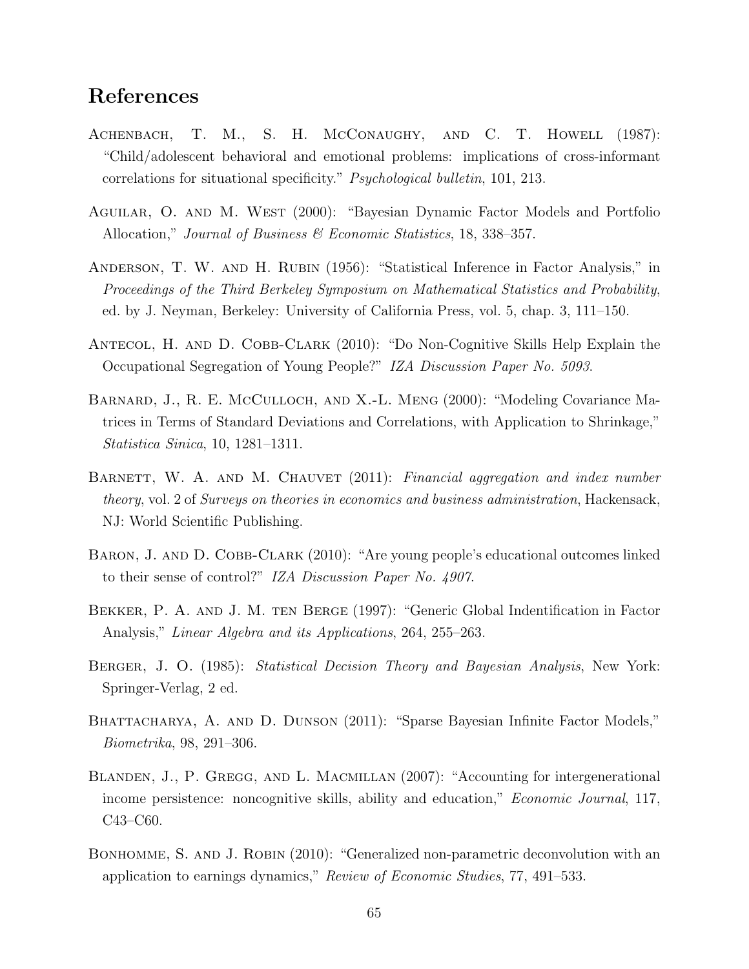## References

- <span id="page-66-0"></span>ACHENBACH, T. M., S. H. McCONAUGHY, AND C. T. HOWELL (1987): "Child/adolescent behavioral and emotional problems: implications of cross-informant correlations for situational specificity." Psychological bulletin, 101, 213.
- Aguilar, O. and M. West (2000): "Bayesian Dynamic Factor Models and Portfolio Allocation," Journal of Business & Economic Statistics, 18, 338–357.
- Anderson, T. W. and H. Rubin (1956): "Statistical Inference in Factor Analysis," in Proceedings of the Third Berkeley Symposium on Mathematical Statistics and Probability, ed. by J. Neyman, Berkeley: University of California Press, vol. 5, chap. 3, 111–150.
- <span id="page-66-3"></span>ANTECOL, H. AND D. COBB-CLARK (2010): "Do Non-Cognitive Skills Help Explain the Occupational Segregation of Young People?" IZA Discussion Paper No. 5093.
- Barnard, J., R. E. McCulloch, and X.-L. Meng (2000): "Modeling Covariance Matrices in Terms of Standard Deviations and Correlations, with Application to Shrinkage," Statistica Sinica, 10, 1281–1311.
- BARNETT, W. A. AND M. CHAUVET (2011): Financial aggregation and index number theory, vol. 2 of Surveys on theories in economics and business administration, Hackensack, NJ: World Scientific Publishing.
- <span id="page-66-2"></span>BARON, J. AND D. COBB-CLARK (2010): "Are young people's educational outcomes linked to their sense of control?" IZA Discussion Paper No. 4907.
- Bekker, P. A. and J. M. ten Berge (1997): "Generic Global Indentification in Factor Analysis," Linear Algebra and its Applications, 264, 255–263.
- BERGER, J. O. (1985): Statistical Decision Theory and Bayesian Analysis, New York: Springer-Verlag, 2 ed.
- BHATTACHARYA, A. AND D. DUNSON (2011): "Sparse Bayesian Infinite Factor Models," Biometrika, 98, 291–306.
- <span id="page-66-1"></span>Blanden, J., P. Gregg, and L. Macmillan (2007): "Accounting for intergenerational income persistence: noncognitive skills, ability and education," Economic Journal, 117, C43–C60.
- BONHOMME, S. AND J. ROBIN (2010): "Generalized non-parametric deconvolution with an application to earnings dynamics," Review of Economic Studies, 77, 491–533.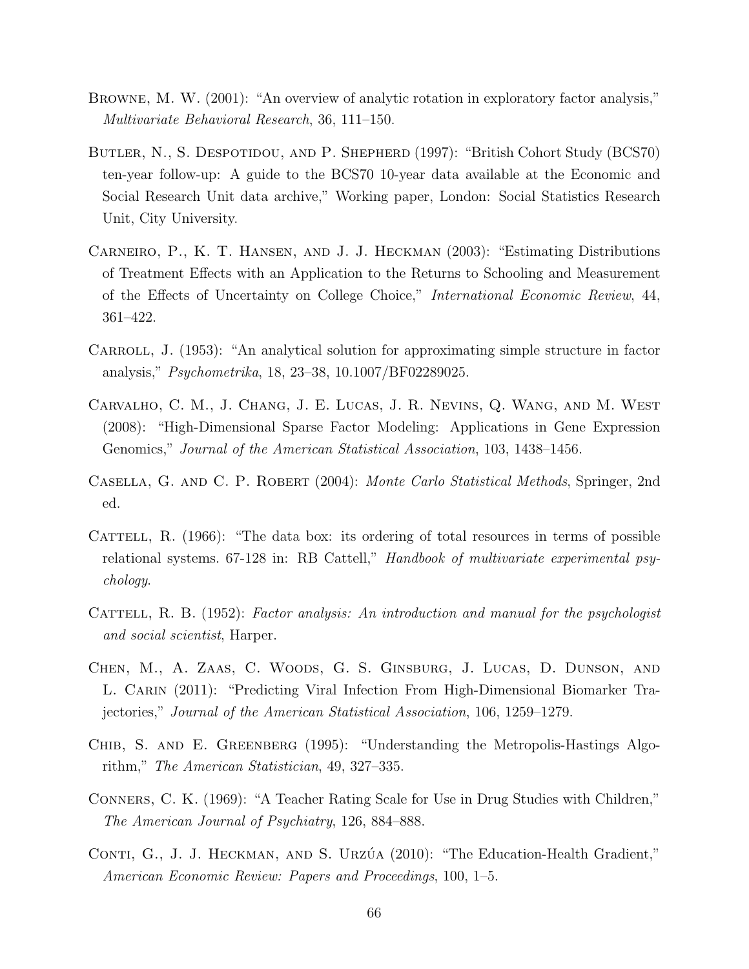- <span id="page-67-0"></span>Browne, M. W. (2001): "An overview of analytic rotation in exploratory factor analysis," Multivariate Behavioral Research, 36, 111–150.
- <span id="page-67-2"></span>BUTLER, N., S. DESPOTIDOU, AND P. SHEPHERD (1997): "British Cohort Study (BCS70) ten-year follow-up: A guide to the BCS70 10-year data available at the Economic and Social Research Unit data archive," Working paper, London: Social Statistics Research Unit, City University.
- Carneiro, P., K. T. Hansen, and J. J. Heckman (2003): "Estimating Distributions of Treatment Effects with an Application to the Returns to Schooling and Measurement of the Effects of Uncertainty on College Choice," International Economic Review, 44, 361–422.
- CARROLL, J. (1953): "An analytical solution for approximating simple structure in factor analysis," Psychometrika, 18, 23–38, 10.1007/BF02289025.
- Carvalho, C. M., J. Chang, J. E. Lucas, J. R. Nevins, Q. Wang, and M. West (2008): "High-Dimensional Sparse Factor Modeling: Applications in Gene Expression Genomics," Journal of the American Statistical Association, 103, 1438–1456.
- Casella, G. and C. P. Robert (2004): Monte Carlo Statistical Methods, Springer, 2nd ed.
- CATTELL, R.  $(1966)$ : "The data box: its ordering of total resources in terms of possible relational systems. 67-128 in: RB Cattell," *Handbook of multivariate experimental psy*chology.
- CATTELL, R. B.  $(1952)$ : Factor analysis: An introduction and manual for the psychologist and social scientist, Harper.
- Chen, M., A. Zaas, C. Woods, G. S. Ginsburg, J. Lucas, D. Dunson, and L. CARIN (2011): "Predicting Viral Infection From High-Dimensional Biomarker Trajectories," Journal of the American Statistical Association, 106, 1259–1279.
- Chib, S. and E. Greenberg (1995): "Understanding the Metropolis-Hastings Algorithm," The American Statistician, 49, 327–335.
- <span id="page-67-1"></span>Conners, C. K. (1969): "A Teacher Rating Scale for Use in Drug Studies with Children," The American Journal of Psychiatry, 126, 884–888.
- CONTI, G., J. J. HECKMAN, AND S. URZÚA (2010): "The Education-Health Gradient," American Economic Review: Papers and Proceedings, 100, 1–5.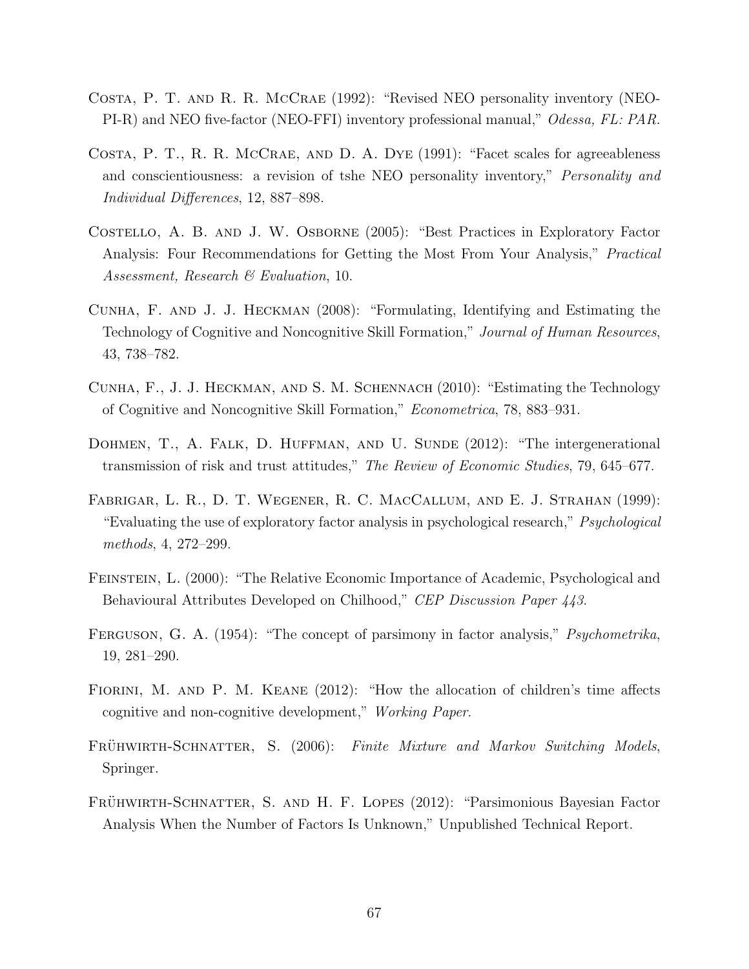- <span id="page-68-0"></span>Costa, P. T. and R. R. McCrae (1992): "Revised NEO personality inventory (NEO-PI-R) and NEO five-factor (NEO-FFI) inventory professional manual," Odessa, FL: PAR.
- <span id="page-68-1"></span>Costa, P. T., R. R. McCrae, and D. A. Dye (1991): "Facet scales for agreeableness and conscientiousness: a revision of tshe NEO personality inventory," Personality and Individual Differences, 12, 887–898.
- <span id="page-68-7"></span>Costello, A. B. and J. W. Osborne (2005): "Best Practices in Exploratory Factor Analysis: Four Recommendations for Getting the Most From Your Analysis," Practical Assessment, Research & Evaluation, 10.
- <span id="page-68-5"></span>Cunha, F. and J. J. Heckman (2008): "Formulating, Identifying and Estimating the Technology of Cognitive and Noncognitive Skill Formation," Journal of Human Resources, 43, 738–782.
- Cunha, F., J. J. Heckman, and S. M. Schennach (2010): "Estimating the Technology of Cognitive and Noncognitive Skill Formation," Econometrica, 78, 883–931.
- <span id="page-68-3"></span>DOHMEN, T., A. FALK, D. HUFFMAN, AND U. SUNDE (2012): "The intergenerational transmission of risk and trust attitudes," The Review of Economic Studies, 79, 645–677.
- <span id="page-68-6"></span>FABRIGAR, L. R., D. T. WEGENER, R. C. MACCALLUM, AND E. J. STRAHAN (1999): "Evaluating the use of exploratory factor analysis in psychological research," Psychological methods, 4, 272–299.
- <span id="page-68-2"></span>Feinstein, L. (2000): "The Relative Economic Importance of Academic, Psychological and Behavioural Attributes Developed on Chilhood," CEP Discussion Paper 443.
- FERGUSON, G. A. (1954): "The concept of parsimony in factor analysis," *Psychometrika*, 19, 281–290.
- <span id="page-68-4"></span>FIORINI, M. AND P. M. KEANE (2012): "How the allocation of children's time affects cognitive and non-cognitive development," Working Paper.
- FRÜHWIRTH-SCHNATTER, S. (2006): Finite Mixture and Markov Switching Models, Springer.
- FRÜHWIRTH-SCHNATTER, S. AND H. F. LOPES (2012): "Parsimonious Bayesian Factor Analysis When the Number of Factors Is Unknown," Unpublished Technical Report.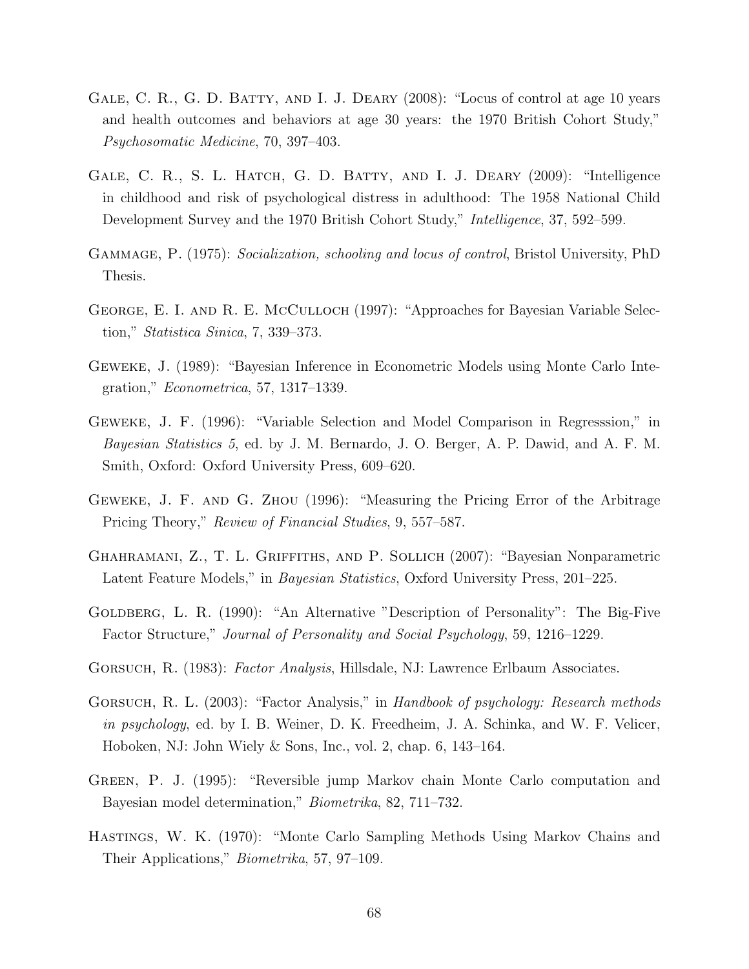- <span id="page-69-2"></span>GALE, C. R., G. D. BATTY, AND I. J. DEARY (2008): "Locus of control at age 10 years and health outcomes and behaviors at age 30 years: the 1970 British Cohort Study," Psychosomatic Medicine, 70, 397–403.
- <span id="page-69-3"></span>GALE, C. R., S. L. HATCH, G. D. BATTY, AND I. J. DEARY (2009): "Intelligence in childhood and risk of psychological distress in adulthood: The 1958 National Child Development Survey and the 1970 British Cohort Study," Intelligence, 37, 592–599.
- <span id="page-69-6"></span>Gammage, P. (1975): Socialization, schooling and locus of control, Bristol University, PhD Thesis.
- George, E. I. and R. E. McCulloch (1997): "Approaches for Bayesian Variable Selection," Statistica Sinica, 7, 339–373.
- <span id="page-69-0"></span>Geweke, J. (1989): "Bayesian Inference in Econometric Models using Monte Carlo Integration," Econometrica, 57, 1317–1339.
- Geweke, J. F. (1996): "Variable Selection and Model Comparison in Regresssion," in Bayesian Statistics 5, ed. by J. M. Bernardo, J. O. Berger, A. P. Dawid, and A. F. M. Smith, Oxford: Oxford University Press, 609–620.
- Geweke, J. F. and G. Zhou (1996): "Measuring the Pricing Error of the Arbitrage Pricing Theory," Review of Financial Studies, 9, 557–587.
- Ghahramani, Z., T. L. Griffiths, and P. Sollich (2007): "Bayesian Nonparametric Latent Feature Models," in Bayesian Statistics, Oxford University Press, 201–225.
- <span id="page-69-1"></span>GOLDBERG, L. R. (1990): "An Alternative "Description of Personality": The Big-Five Factor Structure," Journal of Personality and Social Psychology, 59, 1216–1229.
- <span id="page-69-4"></span>GORSUCH, R. (1983): Factor Analysis, Hillsdale, NJ: Lawrence Erlbaum Associates.
- <span id="page-69-5"></span>GORSUCH, R. L. (2003): "Factor Analysis," in Handbook of psychology: Research methods in psychology, ed. by I. B. Weiner, D. K. Freedheim, J. A. Schinka, and W. F. Velicer, Hoboken, NJ: John Wiely & Sons, Inc., vol. 2, chap. 6, 143–164.
- Green, P. J. (1995): "Reversible jump Markov chain Monte Carlo computation and Bayesian model determination," Biometrika, 82, 711–732.
- Hastings, W. K. (1970): "Monte Carlo Sampling Methods Using Markov Chains and Their Applications," Biometrika, 57, 97–109.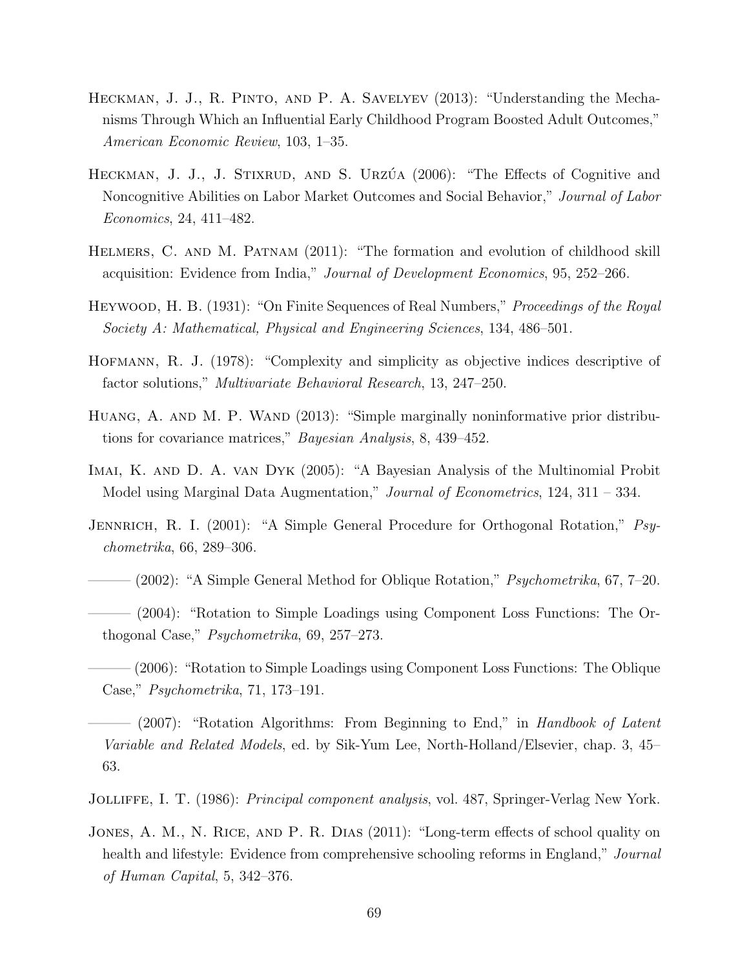- <span id="page-70-6"></span>Heckman, J. J., R. Pinto, and P. A. Savelyev (2013): "Understanding the Mechanisms Through Which an Influential Early Childhood Program Boosted Adult Outcomes," American Economic Review, 103, 1–35.
- HECKMAN, J. J., J. STIXRUD, AND S. URZÚA (2006): "The Effects of Cognitive and Noncognitive Abilities on Labor Market Outcomes and Social Behavior," Journal of Labor Economics, 24, 411–482.
- <span id="page-70-2"></span>Helmers, C. and M. Patnam (2011): "The formation and evolution of childhood skill acquisition: Evidence from India," Journal of Development Economics, 95, 252–266.
- Heywood, H. B. (1931): "On Finite Sequences of Real Numbers," Proceedings of the Royal Society A: Mathematical, Physical and Engineering Sciences, 134, 486–501.
- HOFMANN, R. J. (1978): "Complexity and simplicity as objective indices descriptive of factor solutions," Multivariate Behavioral Research, 13, 247–250.
- <span id="page-70-0"></span>HUANG, A. AND M. P. WAND (2013): "Simple marginally noninformative prior distributions for covariance matrices," Bayesian Analysis, 8, 439–452.
- IMAI, K. AND D. A. VAN DYK (2005): "A Bayesian Analysis of the Multinomial Probit Model using Marginal Data Augmentation," *Journal of Econometrics*, 124, 311 – 334.
- <span id="page-70-4"></span>JENNRICH, R. I. (2001): "A Simple General Procedure for Orthogonal Rotation," Psychometrika, 66, 289–306.
- <span id="page-70-5"></span> $-$  (2002): "A Simple General Method for Oblique Rotation," *Psychometrika*, 67, 7–20.
- ——— (2004): "Rotation to Simple Loadings using Component Loss Functions: The Orthogonal Case," Psychometrika, 69, 257–273.
- (2006): "Rotation to Simple Loadings using Component Loss Functions: The Oblique Case," Psychometrika, 71, 173–191.
- $-$  (2007): "Rotation Algorithms: From Beginning to End," in Handbook of Latent Variable and Related Models, ed. by Sik-Yum Lee, North-Holland/Elsevier, chap. 3, 45– 63.
- <span id="page-70-3"></span>JOLLIFFE, I. T. (1986): *Principal component analysis*, vol. 487, Springer-Verlag New York.
- <span id="page-70-1"></span>Jones, A. M., N. Rice, and P. R. Dias (2011): "Long-term effects of school quality on health and lifestyle: Evidence from comprehensive schooling reforms in England," Journal of Human Capital, 5, 342–376.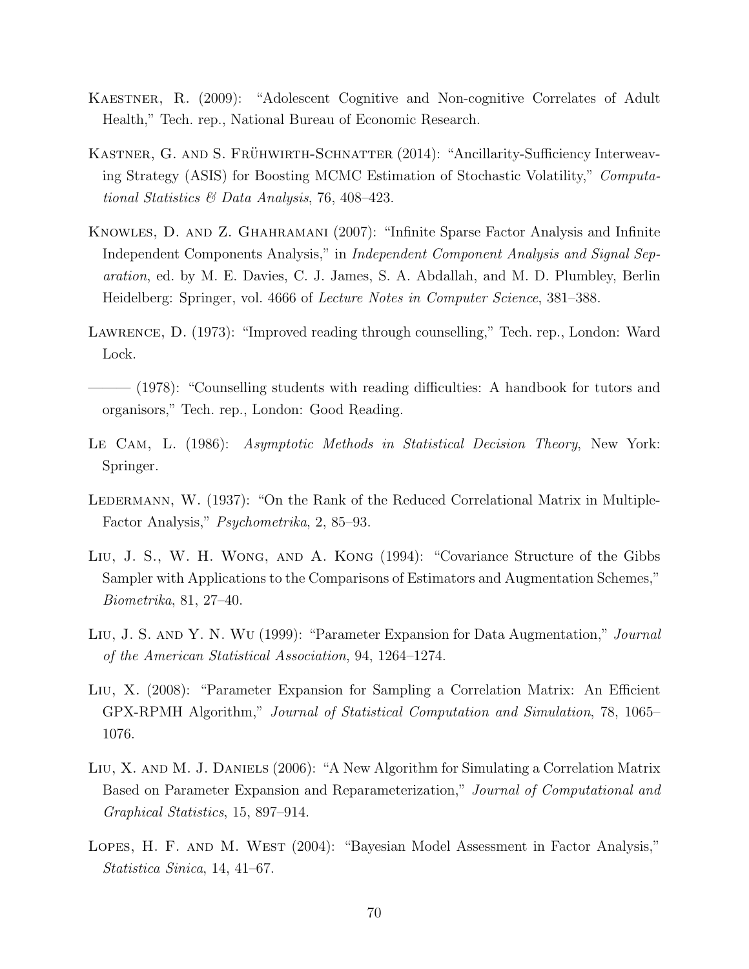- <span id="page-71-1"></span>Kaestner, R. (2009): "Adolescent Cognitive and Non-cognitive Correlates of Adult Health," Tech. rep., National Bureau of Economic Research.
- <span id="page-71-0"></span>KASTNER, G. AND S. FRÜHWIRTH-SCHNATTER  $(2014)$ : "Ancillarity-Sufficiency Interweaving Strategy (ASIS) for Boosting MCMC Estimation of Stochastic Volatility," Computational Statistics & Data Analysis, 76, 408–423.
- Knowles, D. and Z. Ghahramani (2007): "Infinite Sparse Factor Analysis and Infinite Independent Components Analysis," in Independent Component Analysis and Signal Separation, ed. by M. E. Davies, C. J. James, S. A. Abdallah, and M. D. Plumbley, Berlin Heidelberg: Springer, vol. 4666 of Lecture Notes in Computer Science, 381–388.
- <span id="page-71-2"></span>LAWRENCE, D. (1973): "Improved reading through counselling," Tech. rep., London: Ward Lock.
- <span id="page-71-3"></span>——— (1978): "Counselling students with reading difficulties: A handbook for tutors and organisors," Tech. rep., London: Good Reading.
- Le Cam, L. (1986): Asymptotic Methods in Statistical Decision Theory, New York: Springer.
- LEDERMANN, W.  $(1937)$ : "On the Rank of the Reduced Correlational Matrix in Multiple-Factor Analysis," Psychometrika, 2, 85–93.
- Liu, J. S., W. H. Wong, and A. Kong (1994): "Covariance Structure of the Gibbs Sampler with Applications to the Comparisons of Estimators and Augmentation Schemes," Biometrika, 81, 27–40.
- LIU, J. S. AND Y. N. WU (1999): "Parameter Expansion for Data Augmentation," Journal of the American Statistical Association, 94, 1264–1274.
- Liu, X. (2008): "Parameter Expansion for Sampling a Correlation Matrix: An Efficient GPX-RPMH Algorithm," Journal of Statistical Computation and Simulation, 78, 1065– 1076.
- LIU, X. AND M. J. DANIELS (2006): "A New Algorithm for Simulating a Correlation Matrix Based on Parameter Expansion and Reparameterization," Journal of Computational and Graphical Statistics, 15, 897–914.
- Lopes, H. F. and M. West (2004): "Bayesian Model Assessment in Factor Analysis," Statistica Sinica, 14, 41–67.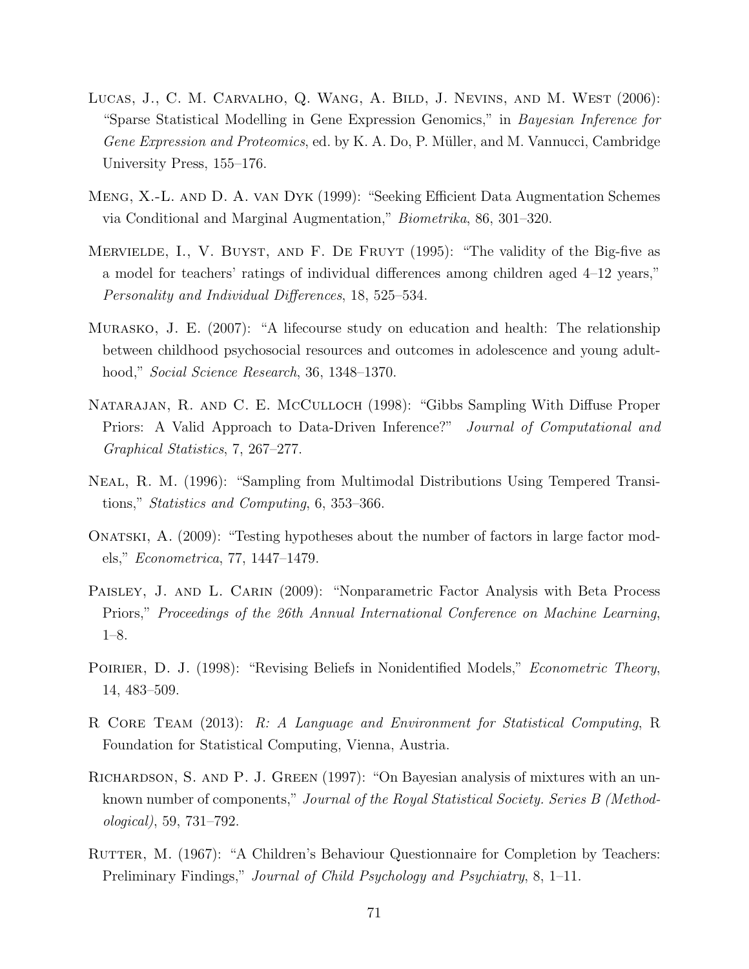- Lucas, J., C. M. Carvalho, Q. Wang, A. Bild, J. Nevins, and M. West (2006): "Sparse Statistical Modelling in Gene Expression Genomics," in Bayesian Inference for Gene Expression and Proteomics, ed. by K. A. Do, P. Müller, and M. Vannucci, Cambridge University Press, 155–176.
- Meng, X.-L. and D. A. van Dyk (1999): "Seeking Efficient Data Augmentation Schemes via Conditional and Marginal Augmentation," Biometrika, 86, 301–320.
- MERVIELDE, I., V. BUYST, AND F. DE FRUYT (1995): "The validity of the Big-five as a model for teachers' ratings of individual differences among children aged 4–12 years," Personality and Individual Differences, 18, 525–534.
- Murasko, J. E. (2007): "A lifecourse study on education and health: The relationship between childhood psychosocial resources and outcomes in adolescence and young adulthood," *Social Science Research*, 36, 1348–1370.
- Natarajan, R. and C. E. McCulloch (1998): "Gibbs Sampling With Diffuse Proper Priors: A Valid Approach to Data-Driven Inference?" Journal of Computational and Graphical Statistics, 7, 267–277.
- Neal, R. M. (1996): "Sampling from Multimodal Distributions Using Tempered Transitions," Statistics and Computing, 6, 353–366.
- Onatski, A. (2009): "Testing hypotheses about the number of factors in large factor models," Econometrica, 77, 1447–1479.
- PAISLEY, J. AND L. CARIN (2009): "Nonparametric Factor Analysis with Beta Process Priors," Proceedings of the 26th Annual International Conference on Machine Learning, 1–8.
- POIRIER, D. J. (1998): "Revising Beliefs in Nonidentified Models," *Econometric Theory*, 14, 483–509.
- R Core Team (2013): R: A Language and Environment for Statistical Computing, R Foundation for Statistical Computing, Vienna, Austria.
- Richardson, S. and P. J. Green (1997): "On Bayesian analysis of mixtures with an unknown number of components," Journal of the Royal Statistical Society. Series B (Methodological), 59, 731–792.
- RUTTER, M. (1967): "A Children's Behaviour Questionnaire for Completion by Teachers: Preliminary Findings," *Journal of Child Psychology and Psychiatry*, 8, 1–11.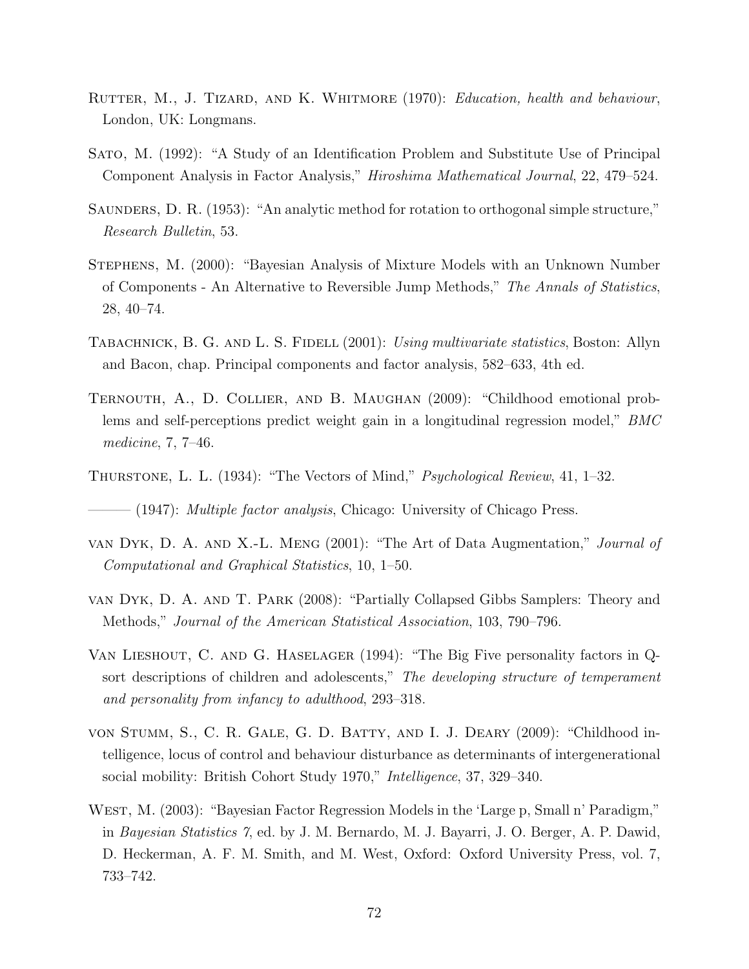- RUTTER, M., J. TIZARD, AND K. WHITMORE (1970): *Education, health and behaviour*, London, UK: Longmans.
- Sato, M. (1992): "A Study of an Identification Problem and Substitute Use of Principal Component Analysis in Factor Analysis," Hiroshima Mathematical Journal, 22, 479–524.
- Saunders, D. R. (1953): "An analytic method for rotation to orthogonal simple structure," Research Bulletin, 53.
- Stephens, M. (2000): "Bayesian Analysis of Mixture Models with an Unknown Number of Components - An Alternative to Reversible Jump Methods," The Annals of Statistics, 28, 40–74.
- TABACHNICK, B. G. AND L. S. FIDELL (2001): Using multivariate statistics, Boston: Allyn and Bacon, chap. Principal components and factor analysis, 582–633, 4th ed.
- Ternouth, A., D. Collier, and B. Maughan (2009): "Childhood emotional problems and self-perceptions predict weight gain in a longitudinal regression model," BMC medicine, 7, 7–46.
- Thurstone, L. L. (1934): "The Vectors of Mind," Psychological Review, 41, 1–32.

 $-$  (1947): *Multiple factor analysis*, Chicago: University of Chicago Press.

- van Dyk, D. A. and X.-L. Meng (2001): "The Art of Data Augmentation," Journal of Computational and Graphical Statistics, 10, 1–50.
- van Dyk, D. A. and T. Park (2008): "Partially Collapsed Gibbs Samplers: Theory and Methods," Journal of the American Statistical Association, 103, 790–796.
- Van Lieshout, C. and G. Haselager (1994): "The Big Five personality factors in Qsort descriptions of children and adolescents," The developing structure of temperament and personality from infancy to adulthood, 293–318.
- von Stumm, S., C. R. Gale, G. D. Batty, and I. J. Deary (2009): "Childhood intelligence, locus of control and behaviour disturbance as determinants of intergenerational social mobility: British Cohort Study 1970," Intelligence, 37, 329–340.
- WEST, M. (2003): "Bayesian Factor Regression Models in the 'Large p, Small n' Paradigm," in Bayesian Statistics 7, ed. by J. M. Bernardo, M. J. Bayarri, J. O. Berger, A. P. Dawid, D. Heckerman, A. F. M. Smith, and M. West, Oxford: Oxford University Press, vol. 7, 733–742.